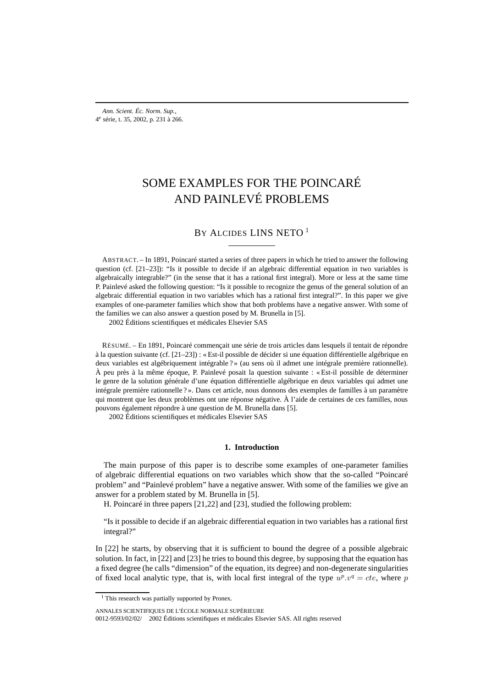# SOME EXAMPLES FOR THE POINCARÉ AND PAINLEVÉ PROBLEMS

BY ALCIDES LINS NETO<sup>1</sup>

ABSTRACT. – In 1891, Poincaré started a series of three papers in which he tried to answer the following question (cf. [21–23]): "Is it possible to decide if an algebraic differential equation in two variables is algebraically integrable?" (in the sense that it has a rational first integral). More or less at the same time P. Painlevé asked the following question: "Is it possible to recognize the genus of the general solution of an algebraic differential equation in two variables which has a rational first integral?". In this paper we give examples of one-parameter families which show that both problems have a negative answer. With some of the families we can also answer a question posed by M. Brunella in [5].

2002 Éditions scientifiques et médicales Elsevier SAS

RÉSUMÉ. – En 1891, Poincaré commençait une série de trois articles dans lesquels il tentait de répondre à la question suivante (cf. [21–23]) : « Est-il possible de décider si une équation différentielle algébrique en deux variables est algébriquement intégrable ? » (au sens où il admet une intégrale première rationnelle). À peu près à la même époque, P. Painlevé posait la question suivante : « Est-il possible de déterminer le genre de la solution générale d'une équation différentielle algébrique en deux variables qui admet une intégrale première rationnelle ? ». Dans cet article, nous donnons des exemples de familles à un paramètre qui montrent que les deux problèmes ont une réponse négative. À l'aide de certaines de ces familles, nous pouvons également répondre à une question de M. Brunella dans [5].

2002 Éditions scientifiques et médicales Elsevier SAS

# **1. Introduction**

The main purpose of this paper is to describe some examples of one-parameter families of algebraic differential equations on two variables which show that the so-called "Poincaré problem" and "Painlevé problem" have a negative answer. With some of the families we give an answer for a problem stated by M. Brunella in [5].

H. Poincaré in three papers [21,22] and [23], studied the following problem:

"Is it possible to decide if an algebraic differential equation in two variables has a rational first integral?"

In [22] he starts, by observing that it is sufficient to bound the degree of a possible algebraic solution. In fact, in [22] and [23] he tries to bound this degree, by supposing that the equation has a fixed degree (he calls "dimension" of the equation, its degree) and non-degenerate singularities of fixed local analytic type, that is, with local first integral of the type  $u^p v^q = cte$ , where p

<sup>&</sup>lt;sup>1</sup> This research was partially supported by Pronex.

ANNALES SCIENTIFIQUES DE L'ÉCOLE NORMALE SUPÉRIEURE

<sup>0012-9593/02/02/ 2002</sup> Éditions scientifiques et médicales Elsevier SAS. All rights reserved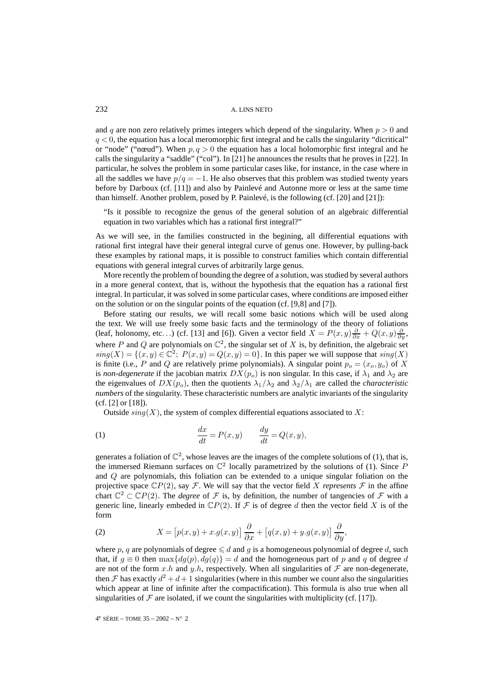and q are non zero relatively primes integers which depend of the singularity. When  $p > 0$  and  $q < 0$ , the equation has a local meromorphic first integral and he calls the singularity "dicritical" or "node" ("nœud"). When  $p, q > 0$  the equation has a local holomorphic first integral and he calls the singularity a "saddle" ("col"). In [21] he announces the results that he proves in [22]. In particular, he solves the problem in some particular cases like, for instance, in the case where in all the saddles we have  $p/q = -1$ . He also observes that this problem was studied twenty years before by Darboux (cf. [11]) and also by Painlevé and Autonne more or less at the same time than himself. Another problem, posed by P. Painlevé, is the following (cf. [20] and [21]):

"Is it possible to recognize the genus of the general solution of an algebraic differential equation in two variables which has a rational first integral?"

As we will see, in the families constructed in the begining, all differential equations with rational first integral have their general integral curve of genus one. However, by pulling-back these examples by rational maps, it is possible to construct families which contain differential equations with general integral curves of arbitrarily large genus.

More recently the problem of bounding the degree of a solution, was studied by several authors in a more general context, that is, without the hypothesis that the equation has a rational first integral. In particular, it was solved in some particular cases, where conditions are imposed either on the solution or on the singular points of the equation (cf. [9,8] and [7]).

Before stating our results, we will recall some basic notions which will be used along the text. We will use freely some basic facts and the terminology of the theory of foliations (leaf, holonomy, etc...) (cf. [13] and [6]). Given a vector field  $X = P(x, y) \frac{\partial}{\partial x} + Q(x, y) \frac{\partial}{\partial y}$ , where P and Q are polynomials on  $\mathbb{C}^2$ , the singular set of X is, by definition, the algebraic set  $sing(X) = \{(x, y) \in \mathbb{C}^2; P(x, y) = Q(x, y) = 0\}.$  In this paper we will suppose that  $sing(X)$ is finite (i.e., P and Q are relatively prime polynomials). A singular point  $p_o = (x_o, y_o)$  of X is *non-degenerate* if the jacobian matrix  $DX(p<sub>o</sub>)$  is non singular. In this case, if  $\lambda_1$  and  $\lambda_2$  are the eigenvalues of  $DX(p<sub>o</sub>)$ , then the quotients  $\lambda_1/\lambda_2$  and  $\lambda_2/\lambda_1$  are called the *characteristic numbers* of the singularity. These characteristic numbers are analytic invariants of the singularity (cf. [2] or [18]).

Outside  $sing(X)$ , the system of complex differential equations associated to X:

(1) 
$$
\frac{dx}{dt} = P(x, y) \qquad \frac{dy}{dt} = Q(x, y),
$$

generates a foliation of  $\mathbb{C}^2$ , whose leaves are the images of the complete solutions of (1), that is, the immersed Riemann surfaces on  $\mathbb{C}^2$  locally parametrized by the solutions of (1). Since P and Q are polynomials, this foliation can be extended to a unique singular foliation on the projective space  $\mathbb{C}P(2)$ , say  $\mathcal F$ . We will say that the vector field X *represents*  $\mathcal F$  in the affine chart  $\mathbb{C}^2 \subset \mathbb{C}P(2)$ . The *degree* of F is, by definition, the number of tangencies of F with a generic line, linearly embeded in  $\mathbb{C}P(2)$ . If F is of degree d then the vector field X is of the form

(2) 
$$
X = [p(x, y) + x.g(x, y)] \frac{\partial}{\partial x} + [q(x, y) + y.g(x, y)] \frac{\partial}{\partial y},
$$

where p, q are polynomials of degree  $\leq d$  and g is a homogeneous polynomial of degree d, such that, if  $g \equiv 0$  then  $\max\{dg(p), dg(q)\} = d$  and the homogeneous part of p and q of degree d are not of the form x.h and y.h, respectively. When all singularities of  $\mathcal F$  are non-degenerate, then F has exactly  $d^2 + d + 1$  singularities (where in this number we count also the singularities which appear at line of infinite after the compactification). This formula is also true when all singularities of  $\mathcal F$  are isolated, if we count the singularities with multiplicity (cf. [17]).

4<sup>e</sup> SÉRIE – TOME 35 – 2002 – N° 2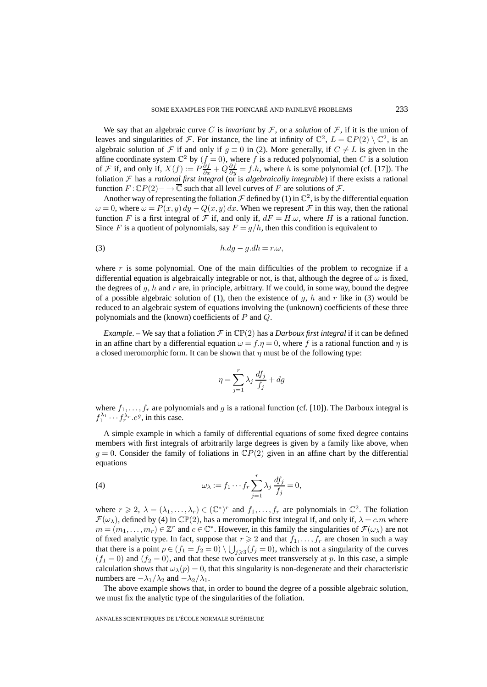We say that an algebraic curve C is *invariant* by  $\mathcal F$ , or a *solution* of  $\mathcal F$ , if it is the union of leaves and singularities of F. For instance, the line at infinity of  $\mathbb{C}^2$ ,  $L = \mathbb{C}P(2) \setminus \mathbb{C}^2$ , is an algebraic solution of F if and only if  $g \equiv 0$  in (2). More generally, if  $C \neq L$  is given in the affine coordinate system  $\mathbb{C}^2$  by  $(f = 0)$ , where f is a reduced polynomial, then C is a solution of F if, and only if,  $X(f) := P \frac{\partial f}{\partial x} + Q \frac{\partial f}{\partial y} = f.h$ , where h is some polynomial (cf. [17]). The foliation F has a *rational first integral* (or is *algebraically integrable*) if there exists a rational function  $F: \mathbb{C}P(2) \to \overline{\mathbb{C}}$  such that all level curves of F are solutions of F.

Another way of representing the foliation  $\mathcal F$  defined by (1) in  $\mathbb C^2$ , is by the differential equation  $\omega = 0$ , where  $\omega = P(x, y) dy - Q(x, y) dx$ . When we represent F in this way, then the rational function F is a first integral of F if, and only if,  $dF = H.\omega$ , where H is a rational function. Since F is a quotient of polynomials, say  $F = g/h$ , then this condition is equivalent to

$$
(3) \t\t\t\t h.dg-g.dh=r.\omega,
$$

where  $r$  is some polynomial. One of the main difficulties of the problem to recognize if a differential equation is algebraically integrable or not, is that, although the degree of  $\omega$  is fixed, the degrees of  $q$ ,  $h$  and  $r$  are, in principle, arbitrary. If we could, in some way, bound the degree of a possible algebraic solution of (1), then the existence of g, h and r like in (3) would be reduced to an algebraic system of equations involving the (unknown) coefficients of these three polynomials and the (known) coefficients of P and Q.

*Example*. – We say that a foliation  $\mathcal F$  in  $\mathbb{CP}(2)$  has a *Darboux first integral* if it can be defined in an affine chart by a differential equation  $\omega = f \eta = 0$ , where f is a rational function and  $\eta$  is a closed meromorphic form. It can be shown that  $\eta$  must be of the following type:

$$
\eta = \sum_{j=1}^{r} \lambda_j \frac{df_j}{f_j} + dg
$$

where  $f_1, \ldots, f_r$  are polynomials and g is a rational function (cf. [10]). The Darboux integral is  $f_1^{\lambda_1} \cdots f_r^{\lambda_r}$ .  $e^g$ , in this case.

A simple example in which a family of differential equations of some fixed degree contains members with first integrals of arbitrarily large degrees is given by a family like above, when  $g = 0$ . Consider the family of foliations in  $\mathbb{C}P(2)$  given in an affine chart by the differential equations

(4) 
$$
\omega_{\lambda} := f_1 \cdots f_r \sum_{j=1}^r \lambda_j \frac{df_j}{f_j} = 0,
$$

where  $r \geq 2$ ,  $\lambda = (\lambda_1, \ldots, \lambda_r) \in (\mathbb{C}^*)^r$  and  $f_1, \ldots, f_r$  are polynomials in  $\mathbb{C}^2$ . The foliation  $\mathcal{F}(\omega_{\lambda})$ , defined by (4) in  $\mathbb{CP}(2)$ , has a meromorphic first integral if, and only if,  $\lambda = c.m$  where  $m = (m_1,\ldots,m_r) \in \mathbb{Z}^r$  and  $c \in \mathbb{C}^*$ . However, in this family the singularities of  $\mathcal{F}(\omega_\lambda)$  are not of fixed analytic type. In fact, suppose that  $r \geq 2$  and that  $f_1, \ldots, f_r$  are chosen in such a way that there is a point  $p \in (f_1 = f_2 = 0) \setminus \bigcup_{j \geq 3} (f_j = 0)$ , which is not a singularity of the curves  $(f_1 = 0)$  and  $(f_2 = 0)$ , and that these two curves meet transversely at p. In this case, a simple calculation shows that  $\omega_{\lambda}(p)=0$ , that this singularity is non-degenerate and their characteristic numbers are  $-\lambda_1/\lambda_2$  and  $-\lambda_2/\lambda_1$ .

The above example shows that, in order to bound the degree of a possible algebraic solution, we must fix the analytic type of the singularities of the foliation.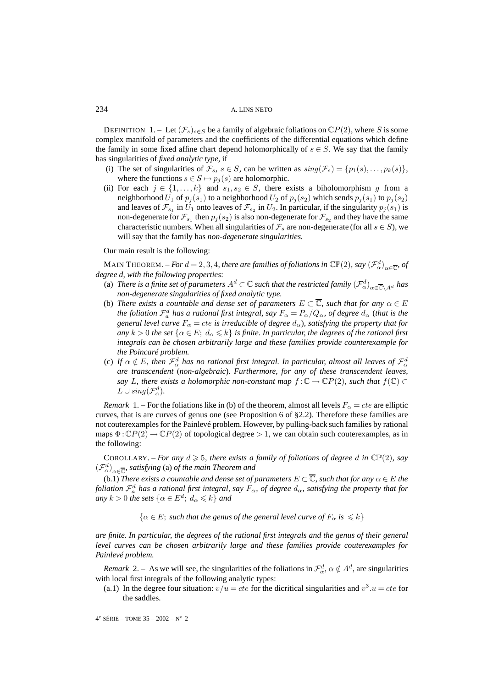DEFINITION 1. – Let  $(\mathcal{F}_s)_{s \in S}$  be a family of algebraic foliations on  $\mathbb{C}P(2)$ , where S is some complex manifold of parameters and the coefficients of the differential equations which define the family in some fixed affine chart depend holomorphically of  $s \in S$ . We say that the family has singularities of *fixed analytic type,* if

- (i) The set of singularities of  $\mathcal{F}_s$ ,  $s \in S$ , can be written as  $sing(\mathcal{F}_s) = \{p_1(s), \ldots, p_k(s)\}\,$ where the functions  $s \in S \mapsto p_j(s)$  are holomorphic.
- (ii) For each  $j \in \{1, ..., k\}$  and  $s_1, s_2 \in S$ , there exists a biholomorphism g from a neighborhood  $U_1$  of  $p_j(s_1)$  to a neighborhood  $U_2$  of  $p_j(s_2)$  which sends  $p_j(s_1)$  to  $p_j(s_2)$ and leaves of  $\mathcal{F}_{s_1}$  in  $U_1$  onto leaves of  $\mathcal{F}_{s_2}$  in  $U_2$ . In particular, if the singularity  $p_j(s_1)$  is non-degenerate for  $\mathcal{F}_{s_1}$  then  $p_j(s_2)$  is also non-degenerate for  $\mathcal{F}_{s_2}$  and they have the same characteristic numbers. When all singularities of  $\mathcal{F}_s$  are non-degenerate (for all  $s \in S$ ), we will say that the family has *non-degenerate singularities.*

Our main result is the following:

MAIN THEOREM. – *For*  $d = 2, 3, 4$ *, there are families of foliations in*  $\mathbb{CP}(2)$ *, say*  $\left(\mathcal{F}_{\alpha}^{d}\right)_{\alpha \in \overline{\mathbb{C}}}$ *, of degree d, with the following properties*:

- (a) *There is a finite set of parameters*  $A^d\subset\overline{\mathbb{C}}$  *such that the restricted family*  $(\mathcal{F}_{\alpha}^d)_{\alpha\in\overline{\mathbb{C}}\setminus A^d}$  *has non-degenerate singularities of fixed analytic type.*
- (b) *There exists a countable and dense set of parameters*  $E \subset \overline{\mathbb{C}}$ *, such that for any*  $\alpha \in E$ the foliation  $\mathcal{F}_a^d$  has a rational first integral, say  $F_\alpha=P_\alpha/Q_\alpha$ , of degree  $d_\alpha$  (that is the *general level curve*  $F_{\alpha} = cte$  *is irreducible of degree*  $d_{\alpha}$ *), satisfying the property that for any*  $k > 0$  *the set*  $\{\alpha \in E; d_\alpha \leq k\}$  *is finite. In particular, the degrees of the rational first integrals can be chosen arbitrarily large and these families provide counterexample for the Poincaré problem.*
- (c) If  $\alpha \notin E$ , then  $\mathcal{F}_\alpha^d$  has no rational first integral. In particular, almost all leaves of  $\mathcal{F}_\alpha^d$ *are transcendent* (*non-algebraic*)*. Furthermore, for any of these transcendent leaves, say* L, there exists a holomorphic non-constant map  $f: \mathbb{C} \to \mathbb{C}P(2)$ , such that  $f(\mathbb{C}) \subset$  $L \cup sing(\mathcal{F}_{\alpha}^d)$ .

*Remark* 1. – For the foliations like in (b) of the theorem, almost all levels  $F_\alpha = cte$  are elliptic curves, that is are curves of genus one (see Proposition 6 of §2.2). Therefore these families are not couterexamples for the Painlevé problem. However, by pulling-back such families by rational maps  $\Phi : \mathbb{C}P(2) \to \mathbb{C}P(2)$  of topological degree  $> 1$ , we can obtain such couterexamples, as in the following:

COROLLARY. – *For any*  $d \ge 5$ , there exists a family of foliations of degree d in  $\mathbb{CP}(2)$ , say  $(\mathcal{F}_{\alpha}^{d})_{\alpha \in \overline{\mathbb{C}}}$ , satisfying (a) of the main Theorem and

(b.1) *There exists a countable and dense set of parameters*  $E \subset \overline{\mathbb{C}}$ *, such that for any*  $\alpha \in E$  *the foliation*  $\mathcal{F}_a^d$  *has a rational first integral, say*  $F_\alpha$ *, of degree*  $d_\alpha$ *, satisfying the property that for any*  $k > 0$  *the sets*  $\{\alpha \in E^d; d_\alpha \leq k\}$  *and* 

 $\{\alpha \in E$ ; *such that the genus of the general level curve of*  $F_{\alpha}$  *is*  $\leq k\}$ 

*are finite. In particular, the degrees of the rational first integrals and the genus of their general level curves can be chosen arbitrarily large and these families provide couterexamples for Painlevé problem.*

*Remark* 2. – As we will see, the singularities of the foliations in  $\mathcal{F}_{\alpha}^d$ ,  $\alpha \notin A^d$ , are singularities with local first integrals of the following analytic types:

(a.1) In the degree four situation:  $v/u = cte$  for the dicritical singularities and  $v^3.u = cte$  for the saddles.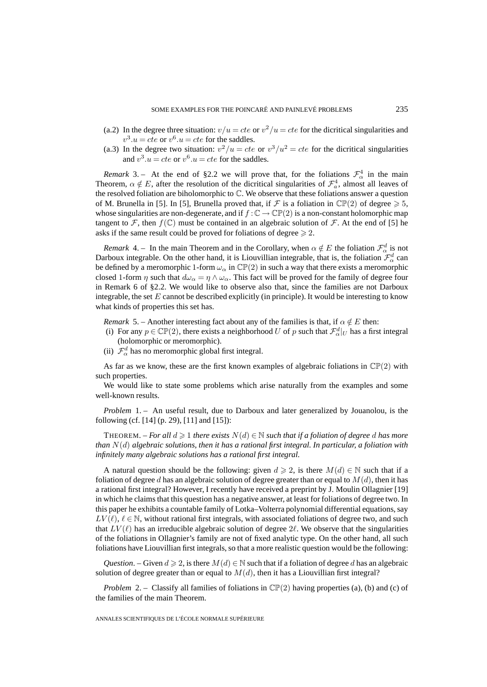- (a.2) In the degree three situation:  $v/u = cte$  or  $v^2/u = cte$  for the dicritical singularities and  $v^3.u = cte$  or  $v^6.u = cte$  for the saddles.
- (a.3) In the degree two situation:  $v^2/u = cte$  or  $v^3/u^2 = cte$  for the dicritical singularities and  $v^3.u = cte$  or  $v^6.u = cte$  for the saddles.

*Remark* 3. – At the end of §2.2 we will prove that, for the foliations  $\mathcal{F}_{\alpha}^4$  in the main Theorem,  $\alpha \notin E$ , after the resolution of the dicritical singularities of  $\mathcal{F}_a^4$ , almost all leaves of the resolved foliation are biholomorphic to C. We observe that these foliations answer a question of M. Brunella in [5]. In [5], Brunella proved that, if  $\mathcal F$  is a foliation in  $\mathbb{CP}(2)$  of degree  $\geq 5$ , whose singularities are non-degenerate, and if  $f : \mathbb{C} \to \mathbb{CP}(2)$  is a non-constant holomorphic map tangent to F, then  $f(\mathbb{C})$  must be contained in an algebraic solution of F. At the end of [5] he asks if the same result could be proved for foliations of degree  $\geq 2$ .

*Remark* 4. – In the main Theorem and in the Corollary, when  $\alpha \notin E$  the foliation  $\mathcal{F}_\alpha^d$  is not Darboux integrable. On the other hand, it is Liouvillian integrable, that is, the foliation  $\mathcal{F}^d_\alpha$  can be defined by a meromorphic 1-form  $\omega_{\alpha}$  in  $\mathbb{CP}(2)$  in such a way that there exists a meromorphic closed 1-form  $\eta$  such that  $d\omega_{\alpha} = \eta \wedge \omega_{\alpha}$ . This fact will be proved for the family of degree four in Remark 6 of §2.2. We would like to observe also that, since the families are not Darboux integrable, the set  $E$  cannot be described explicitly (in principle). It would be interesting to know what kinds of properties this set has.

*Remark* 5. – Another interesting fact about any of the families is that, if  $\alpha \notin E$  then:

- (i) For any  $p \in \mathbb{CP}(2)$ , there exists a neighborhood U of p such that  $\mathcal{F}_{\alpha}^d|_U$  has a first integral (holomorphic or meromorphic).
- (ii)  $\mathcal{F}_{\alpha}^{d}$  has no meromorphic global first integral.

As far as we know, these are the first known examples of algebraic foliations in  $\mathbb{CP}(2)$  with such properties.

We would like to state some problems which arise naturally from the examples and some well-known results.

*Problem* 1. – An useful result, due to Darboux and later generalized by Jouanolou, is the following (cf. [14] (p. 29), [11] and [15]):

THEOREM. – *For all*  $d \geqslant 1$  *there exists*  $N(d) \in \mathbb{N}$  *such that if a foliation of degree d has more than* N(d) *algebraic solutions, then it has a rational first integral. In particular, a foliation with infinitely many algebraic solutions has a rational first integral.*

A natural question should be the following: given  $d \geq 2$ , is there  $M(d) \in \mathbb{N}$  such that if a foliation of degree d has an algebraic solution of degree greater than or equal to  $M(d)$ , then it has a rational first integral? However, I recently have received a preprint by J. Moulin Ollagnier [19] in which he claims that this question has a negative answer, at least for foliations of degree two. In this paper he exhibits a countable family of Lotka–Volterra polynomial differential equations, say  $LV(\ell), \ell \in \mathbb{N}$ , without rational first integrals, with associated foliations of degree two, and such that  $LV(\ell)$  has an irreducible algebraic solution of degree 2 $\ell$ . We observe that the singularities of the foliations in Ollagnier's family are not of fixed analytic type. On the other hand, all such foliations have Liouvillian first integrals, so that a more realistic question would be the following:

*Question*. – Given  $d \ge 2$ , is there  $M(d) \in \mathbb{N}$  such that if a foliation of degree d has an algebraic solution of degree greater than or equal to  $M(d)$ , then it has a Liouvillian first integral?

*Problem* 2. – Classify all families of foliations in  $\mathbb{CP}(2)$  having properties (a), (b) and (c) of the families of the main Theorem.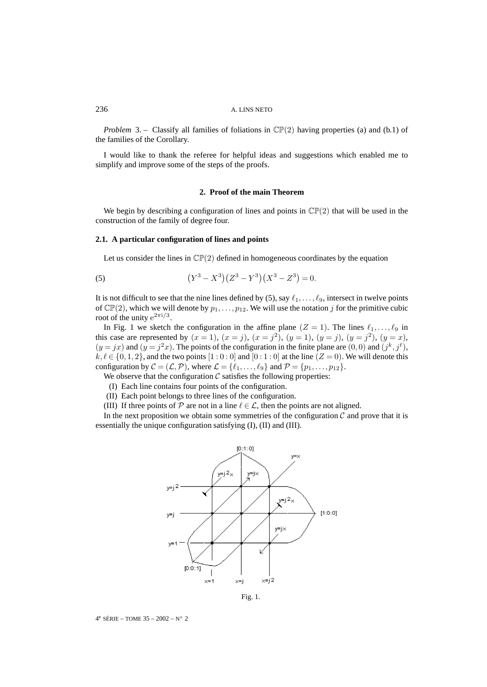*Problem* 3. – Classify all families of foliations in  $\mathbb{CP}(2)$  having properties (a) and (b.1) of the families of the Corollary.

I would like to thank the referee for helpful ideas and suggestions which enabled me to simplify and improve some of the steps of the proofs.

## **2. Proof of the main Theorem**

We begin by describing a configuration of lines and points in  $\mathbb{CP}(2)$  that will be used in the construction of the family of degree four.

# **2.1. A particular configuration of lines and points**

Let us consider the lines in  $\mathbb{CP}(2)$  defined in homogeneous coordinates by the equation

(5) 
$$
(Y^3 - X^3)(Z^3 - Y^3)(X^3 - Z^3) = 0.
$$

It is not difficult to see that the nine lines defined by (5), say  $\ell_1, \ldots, \ell_9$ , intersect in twelve points of  $\mathbb{CP}(2)$ , which we will denote by  $p_1, \ldots, p_{12}$ . We will use the notation j for the primitive cubic root of the unity  $e^{2\pi i/3}$ .

In Fig. 1 we sketch the configuration in the affine plane  $(Z = 1)$ . The lines  $\ell_1, \ldots, \ell_9$  in this case are represented by  $(x = 1)$ ,  $(x = j)$ ,  $(x = j^2)$ ,  $(y = 1)$ ,  $(y = j)$ ,  $(y = j^2)$ ,  $(y = x)$ ,  $(y = jx)$  and  $(y = j<sup>2</sup>x)$ . The points of the configuration in the finite plane are  $(0, 0)$  and  $(j<sup>k</sup>, j<sup>l</sup>)$ ,  $k, \ell \in \{0, 1, 2\}$ , and the two points  $[1:0:0]$  and  $[0:1:0]$  at the line  $(Z=0)$ . We will denote this configuration by  $C = (\mathcal{L}, \mathcal{P})$ , where  $\mathcal{L} = \{\ell_1, \ldots, \ell_9\}$  and  $\mathcal{P} = \{p_1, \ldots, p_{12}\}.$ 

We observe that the configuration  $\mathcal C$  satisfies the following properties:

- (I) Each line contains four points of the configuration.
- (II) Each point belongs to three lines of the configuration.
- (III) If three points of P are not in a line  $\ell \in \mathcal{L}$ , then the points are not aligned.

In the next proposition we obtain some symmetries of the configuration  $\mathcal C$  and prove that it is essentially the unique configuration satisfying (I), (II) and (III).



Fig. 1.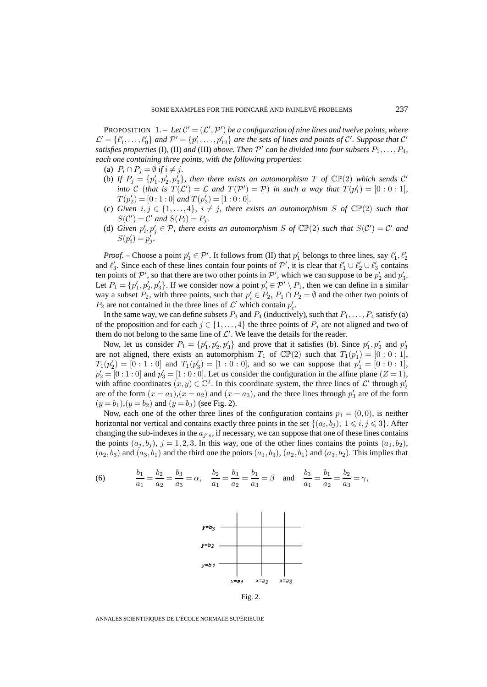PROPOSITION  $1 - Let C' = (L', P')$  be a configuration of nine lines and twelve points, where  $\mathcal{L}' = \{\ell'_1, \ldots, \ell'_9\}$  and  $\mathcal{P}' = \{p'_1, \ldots, p'_{12}\}$  are the sets of lines and points of  $\mathcal{C}'$ . Suppose that  $\mathcal{C}'$ *satisfies properties* (I), (II) *and* (III) *above. Then*  $\mathcal{P}'$  *can be divided into four subsets*  $P_1, \ldots, P_4$ *, each one containing three points, with the following properties*:

- (a)  $P_i \cap P_j = \emptyset$  *if*  $i \neq j$ .
- (b) If  $P_j = \{p'_1, p'_2, p'_3\}$ , then there exists an automorphism  $T$  of  $\mathbb{CP}(2)$  which sends  $\mathcal{C}'$ *into* C (*that is*  $T(\mathcal{L}') = \mathcal{L}$  *and*  $T(\mathcal{P}') = \mathcal{P}$ ) *in such a way that*  $T(p'_1) = [0:0:1]$ *,*  $T(p'_2) = [0:1:0]$  and  $T(p'_3) = [1:0:0]$ .
- (c) *Given*  $i, j \in \{1, ..., 4\}$ ,  $i \neq j$ , there exists an automorphism *S* of  $\mathbb{CP}(2)$  *such that*  $S(C') = C'$  and  $S(P_i) = P_j$ .
- (d) *Given*  $p'_i, p'_j \in \mathcal{P}$ , there exists an automorphism S of  $\mathbb{CP}(2)$  such that  $S(\mathcal{C}') = \mathcal{C}'$  and  $S(p'_i) = p'_j.$

*Proof.* – Choose a point  $p'_1 \in \mathcal{P}'$ . It follows from (II) that  $p'_1$  belongs to three lines, say  $\ell'_1, \ell'_2$ and  $\ell'_3$ . Since each of these lines contain four points of  $\mathcal{P}'$ , it is clear that  $\ell'_1 \cup \ell'_2 \cup \ell'_3$  contains ten points of  $\mathcal{P}'$ , so that there are two other points in  $\mathcal{P}'$ , which we can suppose to be  $p'_2$  and  $p'_3$ . Let  $P_1 = \{p'_1, p'_2, p'_3\}$ . If we consider now a point  $p'_i \in \mathcal{P}' \setminus P_1$ , then we can define in a similar way a subset  $P_2$ , with three points, such that  $p'_i \in P_2$ ,  $P_1 \cap P_2 = \emptyset$  and the other two points of  $P_2$  are not contained in the three lines of  $\mathcal{L}'$  which contain  $p'_i$ .

In the same way, we can define subsets  $P_3$  and  $P_4$  (inductively), such that  $P_1, \ldots, P_4$  satisfy (a) of the proposition and for each  $j \in \{1, \ldots, 4\}$  the three points of  $P_j$  are not aligned and two of them do not belong to the same line of  $\mathcal{L}'$ . We leave the details for the reader.

Now, let us consider  $P_1 = \{p'_1, p'_2, p'_3\}$  and prove that it satisfies (b). Since  $p'_1, p'_2$  and  $p'_3$ are not aligned, there exists an automorphism  $T_1$  of  $\mathbb{CP}(2)$  such that  $T_1(p'_1) = [0:0:1]$ ,  $T_1(p'_2) = [0:1:0]$  and  $T_1(p'_3) = [1:0:0]$ , and so we can suppose that  $p'_1 = [0:0:1]$ ,  $p'_2 = [0:1:0]$  and  $p'_3 = [1:0:0]$ . Let us consider the configuration in the affine plane  $(Z = 1)$ , with affine coordinates  $(x, y) \in \mathbb{C}^2$ . In this coordinate system, the three lines of  $\mathcal{L}'$  through  $p'_2$ are of the form  $(x = a_1)$ ,  $(x = a_2)$  and  $(x = a_3)$ , and the three lines through  $p'_3$  are of the form  $(y = b_1)$ ,  $(y = b_2)$  and  $(y = b_3)$  (see Fig. 2).

Now, each one of the other three lines of the configuration contains  $p_1 = (0, 0)$ , is neither horizontal nor vertical and contains exactly three points in the set  $\{(a_i, b_j); 1 \leq i, j \leq 3\}$ . After changing the sub-indexes in the  $a_{j's}$ , if necessary, we can suppose that one of these lines contains the points  $(a_i, b_i)$ ,  $j = 1, 2, 3$ . In this way, one of the other lines contains the points  $(a_1, b_2)$ ,  $(a_2, b_3)$  and  $(a_3, b_1)$  and the third one the points  $(a_1, b_3)$ ,  $(a_2, b_1)$  and  $(a_3, b_2)$ . This implies that

(6) 
$$
\frac{b_1}{a_1} = \frac{b_2}{a_2} = \frac{b_3}{a_3} = \alpha, \quad \frac{b_2}{a_1} = \frac{b_3}{a_2} = \frac{b_1}{a_3} = \beta \quad \text{and} \quad \frac{b_3}{a_1} = \frac{b_1}{a_2} = \frac{b_2}{a_3} = \gamma,
$$



Fig. 2.

ANNALES SCIENTIFIQUES DE L'ÉCOLE NORMALE SUPÉRIEURE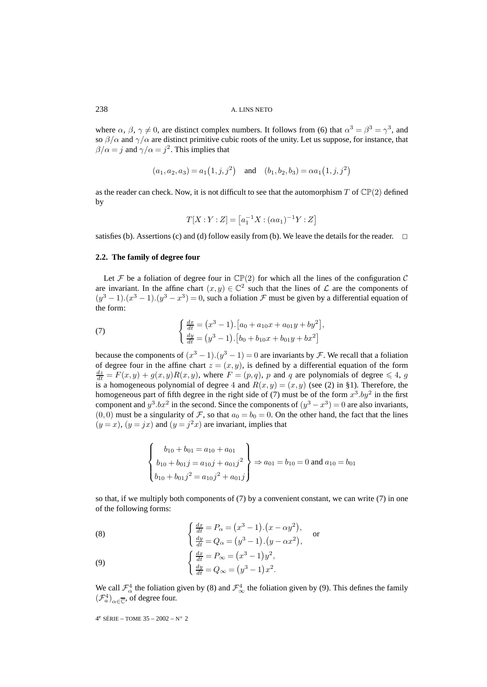where  $\alpha$ ,  $\beta$ ,  $\gamma \neq 0$ , are distinct complex numbers. It follows from (6) that  $\alpha^3 = \beta^3 = \gamma^3$ , and so  $\beta/\alpha$  and  $\gamma/\alpha$  are distinct primitive cubic roots of the unity. Let us suppose, for instance, that  $\beta/\alpha = j$  and  $\gamma/\alpha = j^2$ . This implies that

$$
(a_1, a_2, a_3) = a_1(1, j, j^2)
$$
 and  $(b_1, b_2, b_3) = \alpha a_1(1, j, j^2)$ 

as the reader can check. Now, it is not difficult to see that the automorphism T of  $\mathbb{CP}(2)$  defined by

$$
T[X:Y:Z] = [a_1^{-1}X:(\alpha a_1)^{-1}Y:Z]
$$

satisfies (b). Assertions (c) and (d) follow easily from (b). We leave the details for the reader.  $\Box$ 

#### **2.2. The family of degree four**

Let F be a foliation of degree four in  $\mathbb{CP}(2)$  for which all the lines of the configuration C are invariant. In the affine chart  $(x, y) \in \mathbb{C}^2$  such that the lines of  $\mathcal L$  are the components of  $(y^3 - 1) \cdot (x^3 - 1) \cdot (y^3 - x^3) = 0$ , such a foliation  $\mathcal F$  must be given by a differential equation of the form:

(7) 
$$
\begin{cases} \frac{dx}{dt} = (x^3 - 1) \cdot [a_0 + a_{10}x + a_{01}y + by^2], \\ \frac{dy}{dt} = (y^3 - 1) \cdot [b_0 + b_{10}x + b_{01}y + bx^2] \end{cases}
$$

because the components of  $(x^3 - 1) \cdot (y^3 - 1) = 0$  are invariants by *F*. We recall that a foliation of degree four in the affine chart  $z = (x, y)$ , is defined by a differential equation of the form  $\frac{dz}{dt} = F(x, y) + g(x, y)R(x, y)$ , where  $F = (p, q)$ , p and q are polynomials of degree  $\leq 4$ , g is a homogeneous polynomial of degree 4 and  $R(x, y) = (x, y)$  (see (2) in §1). Therefore, the homogeneous part of fifth degree in the right side of (7) must be of the form  $x^3 \cdot by^2$  in the first component and  $y^3$ .bx<sup>2</sup> in the second. Since the components of  $(y^3 - x^3) = 0$  are also invariants,  $(0, 0)$  must be a singularity of F, so that  $a_0 = b_0 = 0$ . On the other hand, the fact that the lines  $(y = x)$ ,  $(y = jx)$  and  $(y = j<sup>2</sup>x)$  are invariant, implies that

$$
\begin{Bmatrix} b_{10} + b_{01} = a_{10} + a_{01} \\ b_{10} + b_{01}j = a_{10}j + a_{01}j^2 \\ b_{10} + b_{01}j^2 = a_{10}j^2 + a_{01}j \end{Bmatrix} \Rightarrow a_{01} = b_{10} = 0 \text{ and } a_{10} = b_{01}
$$

so that, if we multiply both components of  $(7)$  by a convenient constant, we can write  $(7)$  in one of the following forms:

(8) 
$$
\begin{cases} \frac{dx}{dt} = P_{\alpha} = (x^3 - 1) \cdot (x - \alpha y^2), \\ \frac{dy}{dt} = Q_{\alpha} = (y^3 - 1) \cdot (y - \alpha x^2), \end{cases}
$$
 or

(9) 
$$
\begin{cases} \frac{dx}{dt} = P_{\infty} = (x^3 - 1)y^2, \\ \frac{dy}{dt} = Q_{\infty} = (y^3 - 1)x^2. \end{cases}
$$

We call  $\mathcal{F}^4_\alpha$  the foliation given by (8) and  $\mathcal{F}^4_\infty$  the foliation given by (9). This defines the family  $(\mathcal{F}_a^4)_{\alpha \in \overline{\mathbb{C}}}$ , of degree four.

 $4^e$  SÉRIE – TOME 35 – 2002 – N° 2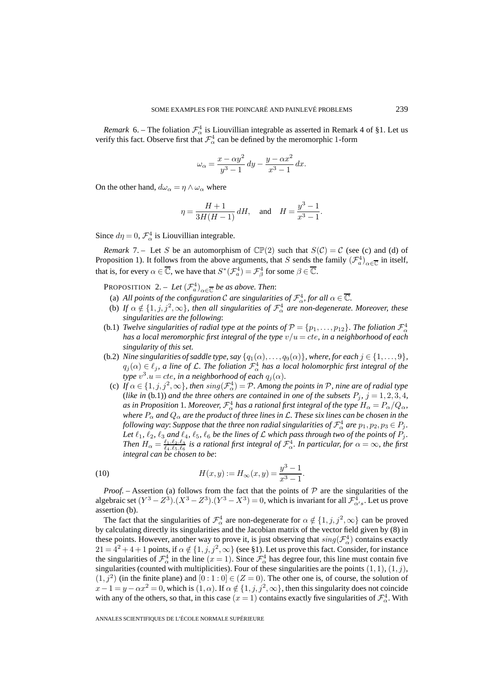*Remark* 6. – The foliation  $\mathcal{F}_{\alpha}^4$  is Liouvillian integrable as asserted in Remark 4 of §1. Let us verify this fact. Observe first that  $\mathcal{F}_{\alpha}^4$  can be defined by the meromorphic 1-form

$$
\omega_{\alpha} = \frac{x - \alpha y^2}{y^3 - 1} dy - \frac{y - \alpha x^2}{x^3 - 1} dx.
$$

On the other hand,  $d\omega_{\alpha} = \eta \wedge \omega_{\alpha}$  where

$$
\eta = \frac{H+1}{3H(H-1)} dH
$$
, and  $H = \frac{y^3 - 1}{x^3 - 1}$ 

.

Since  $d\eta = 0$ ,  $\mathcal{F}_{\alpha}^{4}$  is Liouvillian integrable.

*Remark* 7. – Let S be an automorphism of  $\mathbb{CP}(2)$  such that  $S(\mathcal{C}) = \mathcal{C}$  (see (c) and (d) of Proposition 1). It follows from the above arguments, that S sends the family  $(\mathcal{F}_a^4)_{\alpha \in \overline{\mathbb{C}}}$  in itself, that is, for every  $\alpha \in \overline{\mathbb{C}}$ , we have that  $S^*(\mathcal{F}_a^4) = \mathcal{F}_\beta^4$  for some  $\beta \in \overline{\mathbb{C}}$ .

**PROPOSITION** 2. – Let  $(\mathcal{F}_a^4)_{\alpha \in \overline{\mathbb{C}}}$  be as above. Then:

- (a) All points of the configuration C are singularities of  $\mathcal{F}^4_\alpha$ , for all  $\alpha \in \overline{\mathbb{C}}$ .
- (b) If  $\alpha \notin \{1, j, j^2, \infty\}$ , then all singularities of  $\mathcal{F}_\alpha^4$  are non-degenerate. Moreover, these *singularities are the following*:
- (b.1) *Twelve singularities of radial type at the points of*  $P = \{p_1, \ldots, p_{12}\}$ *. The foliation*  $\mathcal{F}^4_{\alpha}$ *has a local meromorphic first integral of the type* v/u = cte*, in a neighborhood of each singularity of this set.*
- (b.2) *Nine singularities of saddle type, say*  $\{q_1(\alpha),...,q_9(\alpha)\}\$ *, where, for each*  $j \in \{1,...,9\}$ *,*  $q_j(\alpha) \in \ell_j$ , a line of L. The foliation  $\mathcal{F}_\alpha^4$  has a local holomorphic first integral of the *type*  $v^3.u = cte$ , *in a neighborhood of each*  $q_j(\alpha)$ *.* 
	- (c) If  $\alpha \in \{1, j, j^2, \infty\}$ , then  $sing(\mathcal{F}_\alpha^4) = \mathcal{P}$ . Among the points in  $\mathcal{P}$ , nine are of radial type (*like in* (b.1)) and the three others are contained in one of the subsets  $P_j$ ,  $j = 1, 2, 3, 4$ , as in Proposition 1. Moreover,  ${\cal F}_\alpha^4$  has a rational first integral of the type  $H_\alpha = P_\alpha/Q_\alpha$ , *where*  $P_{\alpha}$  *and*  $Q_{\alpha}$  *are the product of three lines in*  $\mathcal{L}$ *. These six lines can be chosen in the* following way: Suppose that the three non radial singularities of  ${\cal F}^4_\alpha$  are  $p_1,p_2,p_3$   $\in$   $P_j$ . *Let*  $\ell_1$ ,  $\ell_2$ ,  $\ell_3$  *and*  $\ell_4$ ,  $\ell_5$ ,  $\ell_6$  *be the lines of*  $\mathcal{L}$  *which pass through two of the points of*  $P_j$ *. Then*  $H_\alpha = \frac{\ell_1.\ell_2.\ell_3}{\ell_4.\ell_5.\ell_6}$  is a rational first integral of  $\mathcal{F}_\alpha^4$ . In particular, for  $\alpha = \infty$ , the first *integral can be chosen to be*:

(10) 
$$
H(x,y) := H_{\infty}(x,y) = \frac{y^3 - 1}{x^3 - 1}.
$$

*Proof.* – Assertion (a) follows from the fact that the points of  $P$  are the singularities of the algebraic set  $(Y^3 - Z^3) \cdot (X^3 - Z^3) \cdot (Y^3 - X^3) = 0$ , which is invariant for all  $\mathcal{F}^4_{\alpha's}$ . Let us prove assertion (b).

The fact that the singularities of  $\mathcal{F}_{\alpha}^4$  are non-degenerate for  $\alpha \notin \{1, j, j^2, \infty\}$  can be proved by calculating directly its singularities and the Jacobian matrix of the vector field given by (8) in these points. However, another way to prove it, is just observing that  $sing(\mathcal{F}_{\alpha}^4)$  contains exactly  $21 = 4^2 + 4 + 1$  points, if  $\alpha \notin \{1, j, j^2, \infty\}$  (see §1). Let us prove this fact. Consider, for instance the singularities of  $\mathcal{F}_\alpha^4$  in the line  $(x=1)$ . Since  $\mathcal{F}_\alpha^4$  has degree four, this line must contain five singularities (counted with multiplicities). Four of these singularities are the points  $(1, 1), (1, j)$ ,  $(1, j^2)$  (in the finite plane) and  $[0: 1: 0] \in (Z = 0)$ . The other one is, of course, the solution of  $x-1 = y - \alpha x^2 = 0$ , which is  $(1, \alpha)$ . If  $\alpha \notin \{1, j, j^2, \infty\}$ , then this singularity does not coincide with any of the others, so that, in this case  $(x = 1)$  contains exactly five singularities of  $\mathcal{F}^4_\alpha$ . With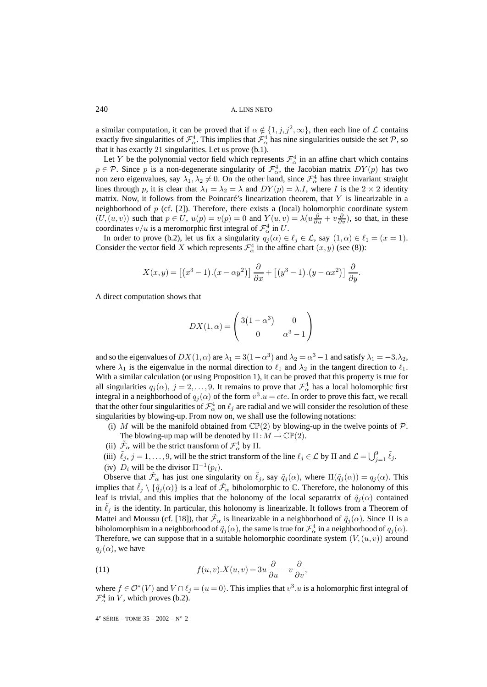a similar computation, it can be proved that if  $\alpha \notin \{1, j, j^2, \infty\}$ , then each line of  $\mathcal L$  contains exactly five singularities of  $\mathcal{F}^4_\alpha$ . This implies that  $\mathcal{F}^4_\alpha$  has nine singularities outside the set  $\mathcal{P}$ , so that it has exactly 21 singularities. Let us prove (b.1).

Let Y be the polynomial vector field which represents  $\mathcal{F}_{\alpha}^{4}$  in an affine chart which contains  $p \in \mathcal{P}$ . Since p is a non-degenerate singularity of  $\mathcal{F}^4_{\alpha}$ , the Jacobian matrix  $DY(p)$  has two non zero eigenvalues, say  $\lambda_1, \lambda_2 \neq 0$ . On the other hand, since  $\mathcal{F}^4_\alpha$  has three invariant straight lines through p, it is clear that  $\lambda_1 = \lambda_2 = \lambda$  and  $DY(p) = \lambda.I$ , where I is the  $2 \times 2$  identity matrix. Now, it follows from the Poincaré's linearization theorem, that  $Y$  is linearizable in a neighborhood of  $p$  (cf. [2]). Therefore, there exists a (local) holomorphic coordinate system  $(U,(u,v))$  such that  $p \in U$ ,  $u(p) = v(p) = 0$  and  $Y(u,v) = \lambda(u\frac{\partial}{\partial u} + v\frac{\partial}{\partial v})$ , so that, in these coordinates  $v/u$  is a meromorphic first integral of  $\mathcal{F}_{\alpha}^{4}$  in U.

In order to prove (b.2), let us fix a singularity  $q_j(\alpha) \in \ell_j \in \mathcal{L}$ , say  $(1, \alpha) \in \ell_1 = (x = 1)$ . Consider the vector field X which represents  $\mathcal{F}_{\alpha}^4$  in the affine chart  $(x, y)$  (see (8)):

$$
X(x,y) = [(x^3 - 1) \cdot (x - \alpha y^2)] \frac{\partial}{\partial x} + [(y^3 - 1) \cdot (y - \alpha x^2)] \frac{\partial}{\partial y}.
$$

A direct computation shows that

$$
DX(1,\alpha) = \begin{pmatrix} 3(1-\alpha^3) & 0\\ 0 & \alpha^3 - 1 \end{pmatrix}
$$

and so the eigenvalues of  $DX(1, \alpha)$  are  $\lambda_1 = 3(1 - \alpha^3)$  and  $\lambda_2 = \alpha^3 - 1$  and satisfy  $\lambda_1 = -3.\lambda_2$ , where  $\lambda_1$  is the eigenvalue in the normal direction to  $\ell_1$  and  $\lambda_2$  in the tangent direction to  $\ell_1$ . With a similar calculation (or using Proposition 1), it can be proved that this property is true for all singularities  $q_j(\alpha)$ ,  $j = 2, \ldots, 9$ . It remains to prove that  $\mathcal{F}_\alpha^4$  has a local holomorphic first integral in a neighborhood of  $q_j(\alpha)$  of the form  $v^3.u = cte$ . In order to prove this fact, we recall that the other four singularities of  $\mathcal{F}_\alpha^4$  on  $\ell_j$  are radial and we will consider the resolution of these singularities by blowing-up. From now on, we shall use the following notations:

- (i) M will be the manifold obtained from  $\mathbb{CP}(2)$  by blowing-up in the twelve points of P. The blowing-up map will be denoted by  $\Pi : M \to \mathbb{CP}(2)$ .
- (ii)  $\tilde{\mathcal{F}}_{\alpha}$  will be the strict transform of  $\mathcal{F}_{\alpha}^4$  by  $\Pi$ .
- (iii)  $\tilde{\ell}_j$ ,  $j = 1, \ldots, 9$ , will be the strict transform of the line  $\ell_j \in \mathcal{L}$  by  $\Pi$  and  $\mathcal{L} = \bigcup_{j=1}^9 \tilde{\ell}_j$ .
- (iv)  $D_i$  will be the divisor  $\Pi^{-1}(p_i)$ .

Observe that  $\tilde{\mathcal{F}}_{\alpha}$  has just one singularity on  $\tilde{\ell}_j$ , say  $\tilde{q}_j(\alpha)$ , where  $\Pi(\tilde{q}_j(\alpha)) = q_j(\alpha)$ . This implies that  $\ell_i \setminus \{\tilde{q}_i(\alpha)\}\$  is a leaf of  $\tilde{\mathcal{F}}_\alpha$  biholomorphic to  $\mathbb C$ . Therefore, the holonomy of this leaf is trivial, and this implies that the holonomy of the local separatrix of  $\tilde{q}_i(\alpha)$  contained in  $\ell_j$  is the identity. In particular, this holonomy is linearizable. It follows from a Theorem of Mattei and Moussu (cf. [18]), that  $\tilde{\mathcal{F}}_{\alpha}$  is linearizable in a neighborhood of  $\tilde{q}_i(\alpha)$ . Since  $\Pi$  is a biholomorphism in a neighborhood of  $\tilde q_j(\alpha)$ , the same is true for  ${\cal F}_\alpha^4$  in a neighborhood of  $q_j(\alpha).$ Therefore, we can suppose that in a suitable holomorphic coordinate system  $(V,(u, v))$  around  $q_j(\alpha)$ , we have

(11) 
$$
f(u,v).X(u,v) = 3u \frac{\partial}{\partial u} - v \frac{\partial}{\partial v},
$$

where  $f \in \mathcal{O}^*(V)$  and  $V \cap \ell_i = (u = 0)$ . This implies that  $v^3 \cdot u$  is a holomorphic first integral of  $\mathcal{F}_{\alpha}^{4}$  in V, which proves (b.2).

 $4^e$  SÉRIE – TOME  $35 - 2002 - N° 2$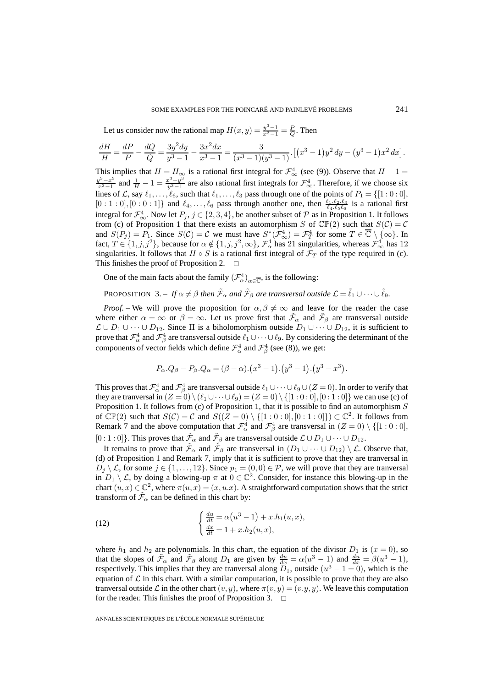Let us consider now the rational map  $H(x, y) = \frac{y^3 - 1}{x^3 - 1} = \frac{P}{Q}$ . Then

$$
\frac{dH}{H} = \frac{dP}{P} - \frac{dQ}{Q} = \frac{3y^2dy}{y^3 - 1} - \frac{3x^2dx}{x^3 - 1} = \frac{3}{(x^3 - 1)(y^3 - 1)} \cdot \left[ (x^3 - 1)y^2 dy - (y^3 - 1)x^2 dx \right].
$$

This implies that  $H = H_{\infty}$  is a rational first integral for  $\mathcal{F}_{\infty}^{4}$  (see (9)). Observe that  $H - 1 =$  $\frac{y^3 - x^3}{x^3 - 1}$  and  $\frac{1}{H} - 1 = \frac{x^3 - y^3}{y^3 - 1}$  are also rational first integrals for  $\mathcal{F}^4_{\infty}$ . Therefore, if we choose six lines of L, say  $\ell_1,\ldots,\ell_6$ , such that  $\ell_1,\ldots,\ell_3$  pass through one of the points of  $P_1 = \{[1:0:0],$  $[0:1:0], [0:0:1]$  and  $\ell_4, \ldots, \ell_6$  pass through another one, then  $\frac{\ell_1, \ell_2, \ell_3}{\ell_4, \ell_5 \ell_6}$  is a rational first integral for  $\mathcal{F}_{\infty}^4$ . Now let  $P_j$ ,  $j \in \{2,3,4\}$ , be another subset of  $\mathcal P$  as in Proposition 1. It follows from (c) of Proposition 1 that there exists an automorphism S of  $\mathbb{CP}(2)$  such that  $S(\mathcal{C}) = \mathcal{C}$ and  $S(P_j) = P_1$ . Since  $S(\mathcal{C}) = \mathcal{C}$  we must have  $S^*(\mathcal{F}_{\infty}^4) = \mathcal{F}_T^4$  for some  $T \in \overline{\mathbb{C}} \setminus {\infty}$ . In fact,  $T \in \{1, j, j^2\}$ , because for  $\alpha \notin \{1, j, j^2, \infty\}$ ,  $\mathcal{F}^4_\alpha$  has 21 singularities, whereas  $\mathcal{F}^4_\infty$  has 12 singularities. It follows that  $H \circ S$  is a rational first integral of  $\mathcal{F}_T$  of the type required in (c). This finishes the proof of Proposition 2.  $\Box$ 

One of the main facts about the family  $(\mathcal{F}_{\alpha}^4)_{\alpha \in \overline{\mathbb{C}}}$ , is the following:

PROPOSITION 3. – *If*  $\alpha \neq \beta$  *then*  $\tilde{\mathcal{F}}_{\alpha}$  *and*  $\tilde{\mathcal{F}}_{\beta}$  *are transversal outside*  $\mathcal{L} = \tilde{\ell}_1 \cup \cdots \cup \tilde{\ell}_9$ *.* 

*Proof.* – We will prove the proposition for  $\alpha, \beta \neq \infty$  and leave for the reader the case where either  $\alpha = \infty$  or  $\beta = \infty$ . Let us prove first that  $\mathcal{F}_{\alpha}$  and  $\mathcal{F}_{\beta}$  are transversal outside  $\mathcal{L} \cup D_1 \cup \cdots \cup D_{12}$ . Since  $\Pi$  is a biholomorphism outside  $D_1 \cup \cdots \cup D_{12}$ , it is sufficient to prove that  $\mathcal{F}^4_\alpha$  and  $\mathcal{F}^4_\beta$  are transversal outside  $\ell_1\cup\cdots\cup\ell_9$ . By considering the determinant of the components of vector fields which define  $\mathcal{F}^4_\alpha$  and  $\mathcal{F}^4_\beta$  (see (8)), we get:

$$
P_{\alpha}.Q_{\beta} - P_{\beta}.Q_{\alpha} = (\beta - \alpha).(x^{3} - 1).(y^{3} - 1).(y^{3} - x^{3}).
$$

This proves that  $\mathcal F_\alpha^4$  and  $\mathcal F_\beta^4$  are transversal outside  $\ell_1\cup\cdots\cup\ell_9\cup (Z=0).$  In order to verify that they are tranversal in  $(Z = 0) \setminus (\ell_1 \cup \cdots \cup \ell_p) = (Z = 0) \setminus \{[1 : 0 : 0], [0 : 1 : 0]\}$  we can use (c) of Proposition 1. It follows from (c) of Proposition 1, that it is possible to find an automorphism S of  $\mathbb{CP}(2)$  such that  $S(\mathcal{C}) = \mathcal{C}$  and  $S((Z = 0) \setminus \{[1 : 0 : 0], [0 : 1 : 0]\}) \subset \mathbb{C}^2$ . It follows from Remark 7 and the above computation that  $\mathcal{F}^4_\alpha$  and  $\mathcal{F}^4_\beta$  are transversal in  $(Z = 0) \setminus \{[1:0:0],$ [0 : 1 : 0]}. This proves that  $\tilde{\mathcal{F}}_{\alpha}$  and  $\tilde{\mathcal{F}}_{\beta}$  are transversal outside  $\mathcal{L} \cup D_1 \cup \cdots \cup D_{12}$ .

It remains to prove that  $\tilde{\mathcal{F}}_{\alpha}$  and  $\tilde{\mathcal{F}}_{\beta}$  are transversal in  $(D_1 \cup \cdots \cup D_{12}) \setminus \mathcal{L}$ . Observe that, (d) of Proposition 1 and Remark 7, imply that it is sufficient to prove that they are tranversal in  $D_i \setminus \mathcal{L}$ , for some  $j \in \{1,\ldots,12\}$ . Since  $p_1 = (0,0) \in \mathcal{P}$ , we will prove that they are tranversal in  $D_1 \setminus \mathcal{L}$ , by doing a blowing-up  $\pi$  at  $0 \in \mathbb{C}^2$ . Consider, for instance this blowing-up in the chart  $(u, x) \in \mathbb{C}^2$ , where  $\pi(u, x) = (x, u.x)$ . A straightforward computation shows that the strict transform of  $\tilde{\mathcal{F}}_{\alpha}$  can be defined in this chart by:

(12) 
$$
\begin{cases} \frac{du}{dt} = \alpha (u^3 - 1) + x.h_1(u, x), \\ \frac{dx}{dt} = 1 + x.h_2(u, x), \end{cases}
$$

where  $h_1$  and  $h_2$  are polynomials. In this chart, the equation of the divisor  $D_1$  is  $(x = 0)$ , so that the slopes of  $\tilde{\mathcal{F}}_{\alpha}$  and  $\tilde{\mathcal{F}}_{\beta}$  along  $D_1$  are given by  $\frac{du}{dx} = \alpha(u^3 - 1)$  and  $\frac{du}{dx} = \beta(u^3 - 1)$ , respectively. This implies that they are tranversal along  $\overline{D}_1$ , outside  $(u^3 - 1 = 0)$ , which is the equation of  $\mathcal L$  in this chart. With a similar computation, it is possible to prove that they are also tranversal outside L in the other chart  $(v, y)$ , where  $\pi(v, y)=(v, y, y)$ . We leave this computation for the reader. This finishes the proof of Proposition 3.  $\Box$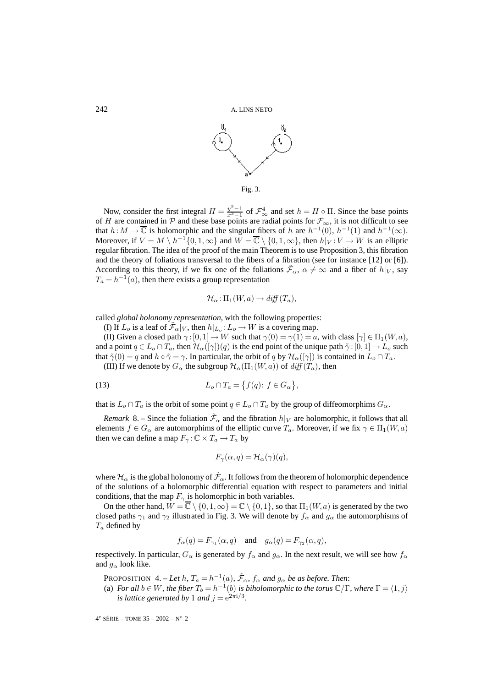



Now, consider the first integral  $H = \frac{y^3-1}{x^3-1}$  of  $\mathcal{F}_{\infty}^4$  and set  $h = H \circ \Pi$ . Since the base points of H are contained in P and these base points are radial points for  $\mathcal{F}_{\infty}$ , it is not difficult to see that  $h : M \to \overline{\mathbb{C}}$  is holomorphic and the singular fibers of h are  $h^{-1}(0)$ ,  $h^{-1}(1)$  and  $h^{-1}(\infty)$ . Moreover, if  $V = M \setminus h^{-1}\{0, 1, \infty\}$  and  $W = \overline{\mathbb{C}} \setminus \{0, 1, \infty\}$ , then  $h|_V : V \to W$  is an elliptic regular fibration. The idea of the proof of the main Theorem is to use Proposition 3, this fibration and the theory of foliations transversal to the fibers of a fibration (see for instance [12] or [6]). According to this theory, if we fix one of the foliations  $\mathcal{F}_{\alpha}$ ,  $\alpha \neq \infty$  and a fiber of  $h|_V$ , say  $T_a = h^{-1}(a)$ , then there exists a group representation

$$
\mathcal{H}_{\alpha}:\Pi_1(W,a)\to \text{diff}(T_a),
$$

called *global holonomy representation*, with the following properties:

(I) If  $L_o$  is a leaf of  $\tilde{\mathcal{F}}_{\alpha}|_V$ , then  $h|_{L_o}: L_o \to W$  is a covering map.

(II) Given a closed path  $\gamma$ : [0, 1]  $\rightarrow$  W such that  $\gamma$ (0) =  $\gamma$ (1) = a, with class  $[\gamma] \in \Pi_1(W, a)$ , and a point  $q \in L_0 \cap T_a$ , then  $\mathcal{H}_{\alpha}([\gamma])(q)$  is the end point of the unique path  $\tilde{\gamma}:[0,1] \to L_0$  such that  $\tilde{\gamma}(0) = q$  and  $h \circ \tilde{\gamma} = \gamma$ . In particular, the orbit of q by  $\mathcal{H}_{\alpha}([\gamma])$  is contained in  $L_o \cap T_a$ .

(III) If we denote by  $G_{\alpha}$  the subgroup  $\mathcal{H}_{\alpha}(\Pi_1(W, a))$  of  $\text{diff}(T_a)$ , then

$$
(13) \tL_o \cap T_a = \{ f(q): f \in G_\alpha \},
$$

that is  $L_o \cap T_a$  is the orbit of some point  $q \in L_o \cap T_a$  by the group of diffeomorphims  $G_\alpha$ .

*Remark* 8. – Since the foliation  $\tilde{\mathcal{F}}_{\alpha}$  and the fibration  $h|_V$  are holomorphic, it follows that all elements  $f \in G_\alpha$  are automorphims of the elliptic curve  $T_a$ . Moreover, if we fix  $\gamma \in \Pi_1(W, a)$ then we can define a map  $F_{\gamma}$ : $\mathbb{C} \times T_a \rightarrow T_a$  by

$$
F_{\gamma}(\alpha, q) = \mathcal{H}_{\alpha}(\gamma)(q),
$$

where  $\mathcal{H}_\alpha$  is the global holonomy of  $\tilde{\mathcal{F}}_\alpha$ . It follows from the theorem of holomorphic dependence of the solutions of a holomorphic differential equation with respect to parameters and initial conditions, that the map  $F_{\gamma}$  is holomorphic in both variables.

On the other hand,  $W = \overline{\mathbb{C}} \setminus \{0, 1, \infty\} = \mathbb{C} \setminus \{0, 1\}$ , so that  $\Pi_1(W, a)$  is generated by the two closed paths  $\gamma_1$  and  $\gamma_2$  illustrated in Fig. 3. We will denote by  $f_\alpha$  and  $g_\alpha$  the automorphisms of  $T_a$  defined by

$$
f_{\alpha}(q) = F_{\gamma_1}(\alpha, q)
$$
 and  $g_{\alpha}(q) = F_{\gamma_2}(\alpha, q)$ ,

respectively. In particular,  $G_{\alpha}$  is generated by  $f_{\alpha}$  and  $g_{\alpha}$ . In the next result, we will see how  $f_{\alpha}$ and  $g_{\alpha}$  look like.

PROPOSITION 4. – Let h,  $T_a = h^{-1}(a)$ ,  $\mathcal{F}_{\alpha}$ ,  $f_{\alpha}$  and  $g_{\alpha}$  be as before. Then:

(a) *For all*  $b \in W$ *, the fiber*  $T_b = h^{-1}(b)$  *is biholomorphic to the torus*  $\mathbb{C}/\Gamma$ *, where*  $\Gamma = \langle 1, j \rangle$ *is lattice generated by* 1 *and*  $j = e^{2\pi i/3}$ .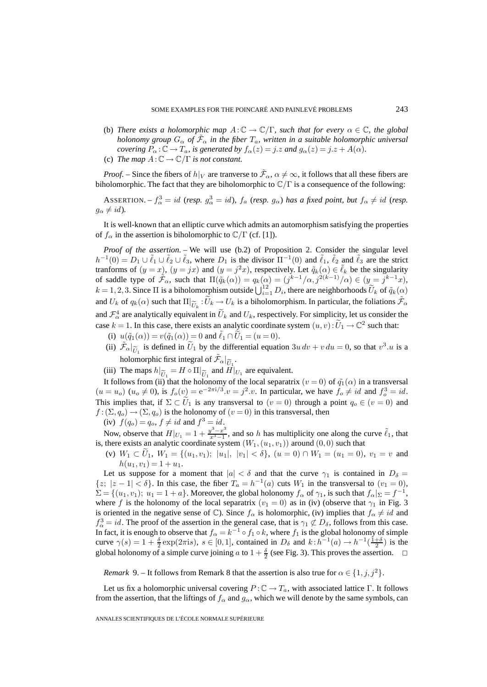(b) *There exists a holomorphic map*  $A: \mathbb{C} \to \mathbb{C}/\Gamma$ *, such that for every*  $\alpha \in \mathbb{C}$ *, the global holonomy group*  $G_{\alpha}$  *of*  $\mathcal{F}_{\alpha}$  *in the fiber*  $T_a$ *, written in a suitable holomorphic universal covering*  $P_{\alpha}$ : $\mathbb{C} \rightarrow T_a$ *, is generated by*  $f_{\alpha}(z) = j.z$  *and*  $g_{\alpha}(z) = j.z + A(\alpha)$ *.* (c) *The map*  $A: \mathbb{C} \to \mathbb{C}/\Gamma$  *is not constant.* 

*Proof.* – Since the fibers of  $h|_V$  are tranverse to  $\tilde{\mathcal{F}}_\alpha$ ,  $\alpha \neq \infty$ , it follows that all these fibers are biholomorphic. The fact that they are biholomorphic to  $\mathbb{C}/\Gamma$  is a consequence of the following:

ASSERTION. –  $f^3_\alpha = id$  (*resp.*  $g^3_\alpha = id$ ),  $f_a$  (*resp.*  $g_\alpha$ ) has a fixed point, but  $f_\alpha \neq id$  (*resp.*  $g_{\alpha} \neq id$ ).

It is well-known that an elliptic curve which admits an automorphism satisfying the properties of  $f_\alpha$  in the assertion is biholomorphic to  $\mathbb{C}/\Gamma$  (cf. [1]).

*Proof of the assertion.* – We will use (b.2) of Proposition 2. Consider the singular level  $h^{-1}(0) = D_1 \cup \tilde{\ell}_1 \cup \tilde{\ell}_2 \cup \tilde{\ell}_3$ , where  $D_1$  is the divisor  $\Pi^{-1}(0)$  and  $\tilde{\ell}_1$ ,  $\tilde{\ell}_2$  and  $\tilde{\ell}_3$  are the strict tranforms of  $(y = x)$ ,  $(y = jx)$  and  $(y = j^2x)$ , respectively. Let  $\tilde{q}_k(\alpha) \in \tilde{\ell}_k$  be the singularity of saddle type of  $\mathcal{F}_{\alpha}$ , such that  $\Pi(\tilde{q}_k(\alpha)) = q_k(\alpha) = (j^{k-1}/\alpha, j^{2(k-1)}/\alpha) \in (y = j^{k-1}x)$ ,  $k = 1, 2, 3$ . Since  $\Pi$  is a biholomorphism outside  $\bigcup_{i=1}^{12} D_i$ , there are neighborhoods  $\widetilde{U}_k$  of  $\widetilde{q}_k(\alpha)$ and  $U_k$  of  $q_k(\alpha)$  such that  $\Pi|_{\widetilde{U}_k} : \widetilde{U}_k \to U_k$  is a biholomorphism. In particular, the foliations  $\widetilde{\mathcal{F}}_{\alpha}$ and  $\mathcal{F}_{\alpha}^4$  are analytically equivalent in  $\widetilde{U}_k$  and  $U_k$ , respectively. For simplicity, let us consider the case  $k = 1$ . In this case, there exists an analytic coordinate system  $(u, v) : U_1 \to \mathbb{C}^2$  such that:

- (i)  $u(\tilde{q}_1(\alpha)) = v(\tilde{q}_1(\alpha)) = 0$  and  $\tilde{\ell}_1 \cap \tilde{U}_1 = (u = 0)$ .
- (ii)  $\tilde{\mathcal{F}}_{\alpha}|_{\tilde{U}_1}$  is defined in  $\tilde{U}_1$  by the differential equation  $3u dv + v du = 0$ , so that  $v^3.u$  is a  $\mathcal{L}_{\alpha|_{U_1}}$  is defined in  $\mathcal{L}_1$  by the dirtum-
- (iii) The maps  $h|_{\widetilde{U}_1} = H \circ \Pi|_{\widetilde{U}_1}$  and  $H|_{U_1}$  are equivalent.

It follows from (ii) that the holonomy of the local separatrix  $(v = 0)$  of  $\tilde{q}_1(\alpha)$  in a transversal  $(u = u_o)$   $(u_o \neq 0)$ , is  $f_o(v) = e^{-2\pi i/3}$ .  $v = j^2$ . In particular, we have  $f_o \neq id$  and  $f_o^3 = id$ . This implies that, if  $\Sigma \subset \tilde{U}_1$  is any transversal to  $(v = 0)$  through a point  $q_o \in (v = 0)$  and  $f: (\Sigma, q_0) \to (\Sigma, q_0)$  is the holonomy of  $(v = 0)$  in this transversal, then

(iv)  $f(q_o) = q_o$ ,  $f \neq id$  and  $f^3 = id$ .

Now, observe that  $H|_{U_1} = 1 + \frac{y^3 - x^3}{x^3 - 1}$ , and so h has multiplicity one along the curve  $\tilde{\ell}_1$ , that is, there exists an analytic coordinate system  $(W_1,(u_1,v_1))$  around  $(0,0)$  such that

(v)  $W_1 \subset U_1$ ,  $W_1 = \{(u_1, v_1); |u_1|, |v_1| < \delta\}$ ,  $(u = 0) \cap W_1 = (u_1 = 0)$ ,  $v_1 = v$  and  $h(u_1, v_1)=1+ u_1.$ 

Let us suppose for a moment that  $|a| < \delta$  and that the curve  $\gamma_1$  is contained in  $D_\delta =$  $\{z; |z-1| < \delta\}$ . In this case, the fiber  $T_a = h^{-1}(a)$  cuts  $W_1$  in the transversal to  $(v_1 = 0)$ ,  $\Sigma = \{(u_1, v_1); u_1 = 1 + a\}$ . Moreover, the global holonomy  $f_\alpha$  of  $\gamma_1$ , is such that  $f_\alpha|_{\Sigma} = f^{-1}$ , where f is the holonomy of the local separatrix  $(v_1 = 0)$  as in (iv) (observe that  $\gamma_1$  in Fig. 3 is oriented in the negative sense of  $\mathbb{C}$ ). Since  $f_{\alpha}$  is holomorphic, (iv) implies that  $f_{\alpha} \neq id$  and  $f_{\alpha}^3 = id$ . The proof of the assertion in the general case, that is  $\gamma_1 \not\subset D_\delta$ , follows from this case. In fact, it is enough to observe that  $f_{\alpha} = k^{-1} \circ f_1 \circ k$ , where  $f_1$  is the global holonomy of simple curve  $\gamma(s) = 1 + \frac{\delta}{2} \exp(2\pi i s), s \in [0, 1]$ , contained in  $D_{\delta}$  and  $k : h^{-1}(a) \to h^{-1}(\frac{1+\delta}{2})$  is the global holonomy of a simple curve joining a to  $1 + \frac{\delta}{2}$  (see Fig. 3). This proves the assertion.  $\Box$ 

*Remark* 9. – It follows from Remark 8 that the assertion is also true for  $\alpha \in \{1, j, j^2\}$ .

Let us fix a holomorphic universal covering  $P : \mathbb{C} \to T_a$ , with associated lattice Γ. It follows from the assertion, that the liftings of  $f_\alpha$  and  $g_\alpha$ , which we will denote by the same symbols, can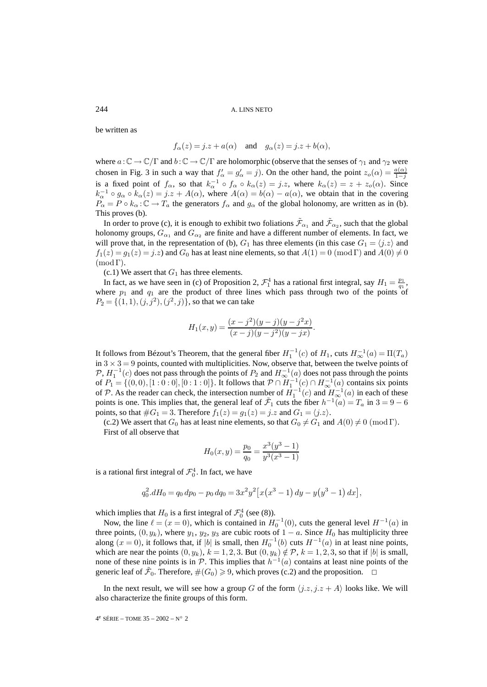be written as

$$
f_{\alpha}(z) = j.z + a(\alpha)
$$
 and  $g_{\alpha}(z) = j.z + b(\alpha)$ ,

where  $a : \mathbb{C} \to \mathbb{C}/\Gamma$  and  $b : \mathbb{C} \to \mathbb{C}/\Gamma$  are holomorphic (observe that the senses of  $\gamma_1$  and  $\gamma_2$  were chosen in Fig. 3 in such a way that  $f'_{\alpha} = g'_{\alpha} = j$ . On the other hand, the point  $z_o(\alpha) = \frac{a(\alpha)}{1-j}$ is a fixed point of  $f_{\alpha}$ , so that  $k_{\alpha}^{-1} \circ f_{\alpha} \circ k_{\alpha}(z) = j.z$ , where  $k_{\alpha}(z) = z + z_{o}(\alpha)$ . Since  $k_{\alpha}^{-1} \circ g_{\alpha} \circ k_{\alpha}(z) = j.z + A(\alpha)$ , where  $A(\alpha) = b(\alpha) - a(\alpha)$ , we obtain that in the covering  $P_{\alpha} = P \circ k_{\alpha} : \mathbb{C} \to T_a$  the generators  $f_{\alpha}$  and  $g_{\alpha}$  of the global holonomy, are written as in (b). This proves (b).

In order to prove (c), it is enough to exhibit two foliations  $\tilde{\mathcal{F}}_{\alpha_1}$  and  $\tilde{\mathcal{F}}_{\alpha_2}$ , such that the global holonomy groups,  $G_{\alpha_1}$  and  $G_{\alpha_2}$  are finite and have a different number of elements. In fact, we will prove that, in the representation of (b),  $G_1$  has three elements (in this case  $G_1 = \langle j.z \rangle$  and  $f_1(z) = g_1(z) = j.z$  and  $G_0$  has at least nine elements, so that  $A(1) = 0 \pmod{\Gamma}$  and  $A(0) \neq 0$  $(mod \Gamma).$ 

 $(c.1)$  We assert that  $G_1$  has three elements.

In fact, as we have seen in (c) of Proposition 2,  $\mathcal{F}_1^4$  has a rational first integral, say  $H_1 = \frac{p_1}{q_1}$ , where  $p_1$  and  $q_1$  are the product of three lines which pass through two of the points of  $P_2 = \{(1, 1), (j, j^2), (j^2, j)\}\)$ , so that we can take

$$
H_1(x,y) = \frac{(x-j^2)(y-j)(y-j^2x)}{(x-j)(y-j^2)(y-jx)}.
$$

It follows from Bézout's Theorem, that the general fiber  $H_1^{-1}(c)$  of  $H_1$ , cuts  $H_{\infty}^{-1}(a) = \Pi(T_a)$ in  $3 \times 3 = 9$  points, counted with multiplicities. Now, observe that, between the twelve points of  $\mathcal{P}, H_1^{-1}(c)$  does not pass through the points of  $P_2$  and  $H_{\infty}^{-1}(a)$  does not pass through the points of  $P_1 = \{(0,0), [1:0:0], [0:1:0]\}$ . It follows that  $P \cap H_1^{-1}(c) \cap H_\infty^{-1}(a)$  contains six points of P. As the reader can check, the intersection number of  $H_1^{-1}(c)$  and  $H_{\infty}^{-1}(a)$  in each of these points is one. This implies that, the general leaf of  $\mathcal{F}_1$  cuts the fiber  $h^{-1}(a) = T_a$  in 3 = 9 − 6 points, so that  $\#G_1 = 3$ . Therefore  $f_1(z) = g_1(z) = j.z$  and  $G_1 = \langle j.z \rangle$ .

(c.2) We assert that  $G_0$  has at least nine elements, so that  $G_0 \neq G_1$  and  $A(0) \neq 0 \pmod{\Gamma}$ . First of all observe that

$$
H_0(x, y) = \frac{p_0}{q_0} = \frac{x^3(y^3 - 1)}{y^3(x^3 - 1)}
$$

is a rational first integral of  $\mathcal{F}_0^4$ . In fact, we have

$$
q_0^2. dH_0 = q_0 dp_0 - p_0 dq_0 = 3x^2 y^2 [x(x^3 - 1) dy - y(y^3 - 1) dx],
$$

which implies that  $H_0$  is a first integral of  $\mathcal{F}_0^4$  (see (8)).

Now, the line  $\ell = (x = 0)$ , which is contained in  $H_0^{-1}(0)$ , cuts the general level  $H^{-1}(a)$  in three points,  $(0, y_k)$ , where  $y_1, y_2, y_3$  are cubic roots of  $1 - a$ . Since  $H_0$  has multiplicity three along  $(x = 0)$ , it follows that, if |b| is small, then  $H_0^{-1}(b)$  cuts  $H^{-1}(a)$  in at least nine points, which are near the points  $(0, y_k)$ ,  $k = 1, 2, 3$ . But  $(0, y_k) \notin \mathcal{P}$ ,  $k = 1, 2, 3$ , so that if  $|b|$  is small, none of these nine points is in  $\mathcal P$ . This implies that  $h^{-1}(a)$  contains at least nine points of the generic leaf of  $\tilde{\mathcal{F}}_0$ . Therefore,  $\#(G_0) \geq 9$ , which proves (c.2) and the proposition.  $\Box$ 

In the next result, we will see how a group G of the form  $\langle j.z, j.z + A \rangle$  looks like. We will also characterize the finite groups of this form.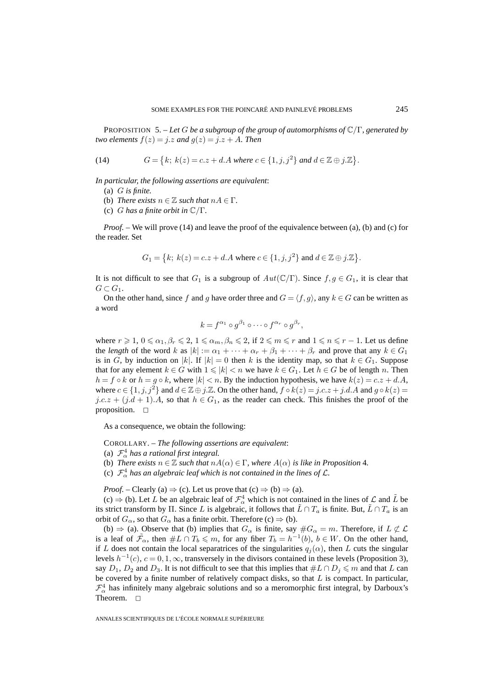PROPOSITION 5. – *Let* G *be a subgroup of the group of automorphisms of* C/Γ*, generated by two elements*  $f(z) = j.z$  *and*  $g(z) = j.z + A$ *. Then* 

(14) 
$$
G = \{k; \ k(z) = c.z + d.A \ where \ c \in \{1, j, j^2\} \ and \ d \in \mathbb{Z} \oplus j.\mathbb{Z}\}.
$$

*In particular, the following assertions are equivalent*:

- (a) G *is finite.*
- (b) *There exists*  $n \in \mathbb{Z}$  *such that*  $nA \in \Gamma$ *.*
- (c) G *has a finite orbit in* C/Γ*.*

*Proof.* – We will prove (14) and leave the proof of the equivalence between (a), (b) and (c) for the reader. Set

$$
G_1 = \left\{ k; \ k(z) = c.z + d.A \text{ where } c \in \{1, j, j^2\} \text{ and } d \in \mathbb{Z} \oplus j.\mathbb{Z} \right\}.
$$

It is not difficult to see that  $G_1$  is a subgroup of  $Aut(\mathbb{C}/\Gamma)$ . Since  $f, g \in G_1$ , it is clear that  $G\subset G_1$ .

On the other hand, since f and g have order three and  $G = \langle f, g \rangle$ , any  $k \in G$  can be written as a word

$$
k = f^{\alpha_1} \circ g^{\beta_1} \circ \cdots \circ f^{\alpha_r} \circ g^{\beta_r},
$$

where  $r \geq 1$ ,  $0 \leq \alpha_1, \beta_r \leq 2$ ,  $1 \leq \alpha_m, \beta_n \leq 2$ , if  $2 \leq m \leq r$  and  $1 \leq n \leq r - 1$ . Let us define the *length* of the word k as  $|k| := \alpha_1 + \cdots + \alpha_r + \beta_1 + \cdots + \beta_r$  and prove that any  $k \in G_1$ is in G, by induction on |k|. If  $|k| = 0$  then k is the identity map, so that  $k \in G_1$ . Suppose that for any element  $k \in G$  with  $1 \leq k \leq n$  we have  $k \in G_1$ . Let  $h \in G$  be of length n. Then  $h = f \circ k$  or  $h = g \circ k$ , where  $|k| < n$ . By the induction hypothesis, we have  $k(z) = c \cdot z + d \cdot A$ , where  $c \in \{1, j, j^2\}$  and  $d \in \mathbb{Z} \oplus j \mathbb{Z}$ . On the other hand,  $f \circ k(z) = j.c.z + j.d.A$  and  $g \circ k(z) = j.c.z + j.d.A$  $j.c.z + (j.d + 1)A$ , so that  $h \in G_1$ , as the reader can check. This finishes the proof of the proposition.  $\square$ 

As a consequence, we obtain the following:

COROLLARY. – *The following assertions are equivalent*:

- (a)  $\mathcal{F}_{\alpha}^{4}$  has a rational first integral.
- (b) *There exists*  $n \in \mathbb{Z}$  *such that*  $nA(\alpha) \in \Gamma$ *, where*  $A(\alpha)$  *is like in Proposition* 4*.*
- (c)  $\mathcal{F}_{\alpha}^{4}$  has an algebraic leaf which is not contained in the lines of  $\mathcal{L}$ .

*Proof.* – Clearly (a)  $\Rightarrow$  (c). Let us prove that (c)  $\Rightarrow$  (b)  $\Rightarrow$  (a).

(c)  $\Rightarrow$  (b). Let L be an algebraic leaf of  $\mathcal{F}^4_\alpha$  which is not contained in the lines of L and L be its strict transform by Π. Since L is algebraic, it follows that  $L \cap T_a$  is finite. But,  $L \cap T_a$  is an orbit of  $G_{\alpha}$ , so that  $G_{\alpha}$  has a finite orbit. Therefore (c)  $\Rightarrow$  (b).

(b)  $\Rightarrow$  (a). Observe that (b) implies that  $G_{\alpha}$  is finite, say  $\#G_{\alpha} = m$ . Therefore, if  $L \not\subset \mathcal{L}$ is a leaf of  $\tilde{\mathcal{F}}_{\alpha}$ , then  $\#L \cap T_b \leqslant m$ , for any fiber  $T_b = h^{-1}(b)$ ,  $b \in W$ . On the other hand, if L does not contain the local separatrices of the singularities  $q_i(\alpha)$ , then L cuts the singular levels  $h^{-1}(c)$ ,  $c = 0, 1, \infty$ , transversely in the divisors contained in these levels (Proposition 3), say  $D_1$ ,  $D_2$  and  $D_3$ . It is not difficult to see that this implies that  $#L \cap D_j \leq m$  and that L can be covered by a finite number of relatively compact disks, so that  $L$  is compact. In particular,  $\mathcal{F}_{\alpha}^{4}$  has infinitely many algebraic solutions and so a meromorphic first integral, by Darboux's Theorem.  $\square$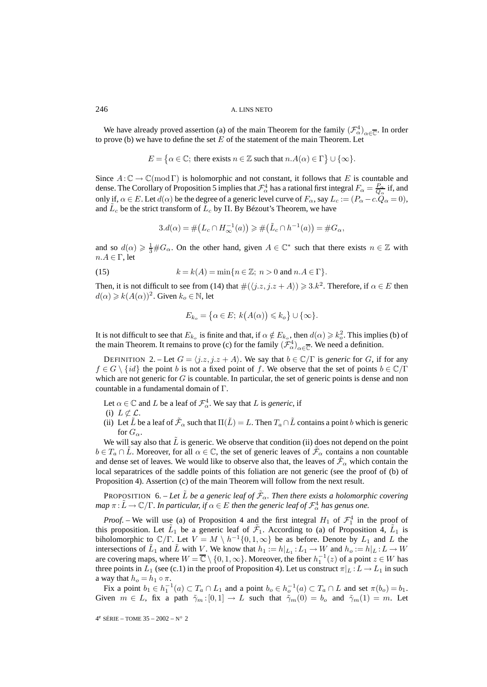We have already proved assertion (a) of the main Theorem for the family  $(\mathcal{F}^4_\alpha)_{\alpha\in\overline{\mathbb{C}}}$ . In order to prove (b) we have to define the set  $E$  of the statement of the main Theorem. Let

$$
E = \{ \alpha \in \mathbb{C}; \text{ there exists } n \in \mathbb{Z} \text{ such that } n.A(\alpha) \in \Gamma \} \cup \{ \infty \}.
$$

Since  $A:\mathbb{C}\to\mathbb{C}(\text{mod }\Gamma)$  is holomorphic and not constant, it follows that E is countable and dense. The Corollary of Proposition 5 implies that  $\mathcal{F}^4_\alpha$  has a rational first integral  $F_\alpha = \frac{P_\alpha}{Q_\alpha}$  if, and only if,  $\alpha \in E$ . Let  $d(\alpha)$  be the degree of a generic level curve of  $F_{\alpha}$ , say  $L_c := (P_{\alpha} - c \cdot Q_{\alpha} = 0)$ , and  $L_c$  be the strict transform of  $L_c$  by  $\Pi$ . By Bézout's Theorem, we have

$$
3. d(\alpha) = \# \big( L_c \cap H_{\infty}^{-1}(a) \big) \ge \# \big( \tilde{L}_c \cap h^{-1}(a) \big) = \# G_{\alpha},
$$

and so  $d(\alpha) \geq \frac{1}{3} \# G_{\alpha}$ . On the other hand, given  $A \in \mathbb{C}^*$  such that there exists  $n \in \mathbb{Z}$  with  $n.A \in \Gamma$ , let

(15) 
$$
k = k(A) = \min\{n \in \mathbb{Z}; n > 0 \text{ and } n.A \in \Gamma\}.
$$

Then, it is not difficult to see from (14) that  $\#(\langle j.z, j.z + A \rangle) \geq 3.k^2$ . Therefore, if  $\alpha \in E$  then  $d(\alpha) \geq k(A(\alpha))^2$ . Given  $k_o \in \mathbb{N}$ , let

$$
E_{k_o} = \{ \alpha \in E; \ k\big(A(\alpha)\big) \leq k_o \} \cup \{\infty\}.
$$

It is not difficult to see that  $E_{k_o}$  is finite and that, if  $\alpha \notin E_{k_o}$ , then  $d(\alpha) \geq k_o^2$ . This implies (b) of the main Theorem. It remains to prove (c) for the family  $(\mathcal{F}^4_\alpha)_{\alpha \in \overline{\mathbb{C}}}$ . We need a definition.

DEFINITION 2. – Let  $G = \langle j.z, j.z + A \rangle$ . We say that  $b \in \mathbb{C}/\Gamma$  is *generic* for G, if for any  $f \in G \setminus \{id\}$  the point b is not a fixed point of f. We observe that the set of points  $b \in \mathbb{C}/\Gamma$ which are not generic for  $G$  is countable. In particular, the set of generic points is dense and non countable in a fundamental domain of Γ.

Let  $\alpha \in \mathbb{C}$  and L be a leaf of  $\mathcal{F}^4_{\alpha}$ . We say that L is *generic*, if

- (i)  $L \not\subset \mathcal{L}$ .
- (ii) Let  $\tilde{L}$  be a leaf of  $\tilde{\mathcal{F}}_{\alpha}$  such that  $\Pi(\tilde{L}) = L$ . Then  $T_a \cap \tilde{L}$  contains a point b which is generic for  $G_{\alpha}$ .

We will say also that  $\tilde{L}$  is generic. We observe that condition (ii) does not depend on the point  $b \in T_a \cap L$ . Moreover, for all  $\alpha \in \mathbb{C}$ , the set of generic leaves of  $\mathcal{F}_{\alpha}$  contains a non countable and dense set of leaves. We would like to observe also that, the leaves of  $\mathcal{F}_{\alpha}$  which contain the local separatrices of the saddle points of this foliation are not generic (see the proof of (b) of Proposition 4). Assertion (c) of the main Theorem will follow from the next result.

PROPOSITION 6. – Let  $\tilde{L}$  be a generic leaf of  $\tilde{\mathcal{F}}_{\alpha}$ . Then there exists a holomorphic covering  $map \; \pi\!:\!\tilde{L}\!\to\!\mathbb{C}/\Gamma.$  In particular, if  $\alpha\!\in\!E$  then the generic leaf of  $\mathcal{F}^4_\alpha$  has genus one.

*Proof.* – We will use (a) of Proposition 4 and the first integral  $H_1$  of  $\mathcal{F}_1^4$  in the proof of this proposition. Let  $\tilde{L}_1$  be a generic leaf of  $\tilde{\mathcal{F}}_1$ . According to (a) of Proposition 4,  $\tilde{L}_1$  is biholomorphic to  $\mathbb{C}/\Gamma$ . Let  $V = M \setminus h^{-1}\{0, 1, \infty\}$  be as before. Denote by  $L_1$  and L the intersections of  $\tilde{L}_1$  and  $\tilde{L}$  with V. We know that  $h_1 := h|_{L_1} : L_1 \to W$  and  $h_0 := h|_L : L \to W$ are covering maps, where  $W = \overline{\mathbb{C}} \setminus \{0, 1, \infty\}$ . Moreover, the fiber  $h_1^{-1}(z)$  of a point  $z \in W$  has three points in  $L_1$  (see (c.1) in the proof of Proposition 4). Let us construct  $\pi|_L : L \to L_1$  in such a way that  $h_o = h_1 \circ \pi$ .

Fix a point  $b_1 \in h_1^{-1}(a) \subset T_a \cap L_1$  and a point  $b_0 \in h_0^{-1}(a) \subset T_a \cap L$  and set  $\pi(b_0) = b_1$ . Given  $m \in L$ , fix a path  $\tilde{\gamma}_m:[0,1] \to L$  such that  $\tilde{\gamma}_m(0) = b_o$  and  $\tilde{\gamma}_m(1) = m$ . Let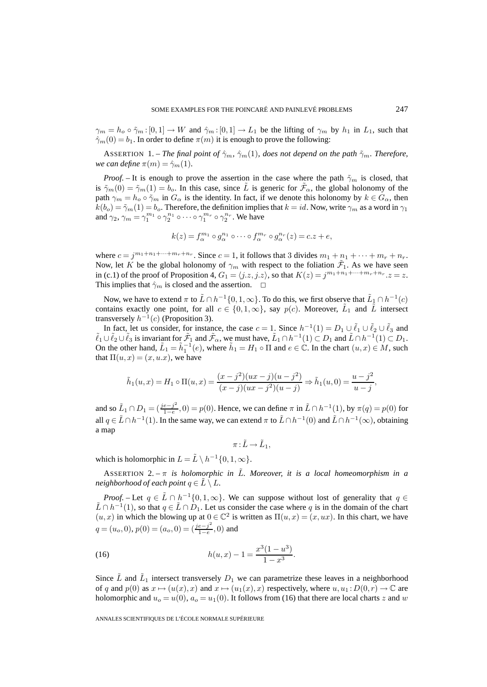$\gamma_m = h_o \circ \tilde{\gamma}_m : [0,1] \to W$  and  $\hat{\gamma}_m : [0,1] \to L_1$  be the lifting of  $\gamma_m$  by  $h_1$  in  $L_1$ , such that  $\hat{\gamma}_m(0) = b_1$ . In order to define  $\pi(m)$  it is enough to prove the following:

ASSERTION 1. – *The final point of*  $\hat{\gamma}_m$ ,  $\hat{\gamma}_m(1)$ *, does not depend on the path*  $\tilde{\gamma}_m$ *. Therefore, we can define*  $\pi(m) = \hat{\gamma}_m(1)$ *.* 

*Proof.* – It is enough to prove the assertion in the case where the path  $\tilde{\gamma}_m$  is closed, that is  $\tilde{\gamma}_m(0) = \tilde{\gamma}_m(1) = b_o$ . In this case, since  $\tilde{L}$  is generic for  $\tilde{\mathcal{F}}_{\alpha}$ , the global holonomy of the path  $\gamma_m = h_o \circ \tilde{\gamma}_m$  in  $G_\alpha$  is the identity. In fact, if we denote this holonomy by  $k \in G_\alpha$ , then  $k(b<sub>o</sub>) = \tilde{\gamma}_m(1) = b<sub>o</sub>$ . Therefore, the definition implies that  $k = id$ . Now, write  $\gamma_m$  as a word in  $\gamma_1$ and  $\gamma_2$ ,  $\gamma_m = \gamma_1^{m_1} \circ \gamma_2^{n_1} \circ \cdots \circ \gamma_1^{m_r} \circ \gamma_2^{n_r}$ . We have

$$
k(z) = f_{\alpha}^{m_1} \circ g_{\alpha}^{n_1} \circ \cdots \circ f_{\alpha}^{m_r} \circ g_{\alpha}^{n_r}(z) = c.z + e,
$$

where  $c = j^{m_1 + n_1 + \dots + m_r + n_r}$ . Since  $c = 1$ , it follows that 3 divides  $m_1 + n_1 + \dots + m_r + n_r$ . Now, let K be the global holonomy of  $\gamma_m$  with respect to the foliation  $\tilde{\mathcal{F}}_1$ . As we have seen in (c.1) of the proof of Proposition 4,  $G_1 = \langle j.z, j.z \rangle$ , so that  $K(z) = j^{m_1+n_1+\cdots+m_r+n_r}$ .  $z = z$ . This implies that  $\hat{\gamma}_m$  is closed and the assertion.  $\Box$ 

Now, we have to extend  $\pi$  to  $\tilde{L} \cap h^{-1}\{0, 1, \infty\}$ . To do this, we first observe that  $\tilde{L}_1 \cap h^{-1}(c)$ contains exactly one point, for all  $c \in \{0, 1, \infty\}$ , say  $p(c)$ . Moreover,  $\tilde{L}_1$  and  $\tilde{L}$  intersect transversely  $h^{-1}(c)$  (Proposition 3).

In fact, let us consider, for instance, the case  $c = 1$ . Since  $h^{-1}(1) = D_1 \cup \tilde{\ell}_1 \cup \tilde{\ell}_2 \cup \tilde{\ell}_3$  and  $\tilde{\ell}_1 \cup \tilde{\ell}_2 \cup \tilde{\ell}_3$  is invariant for  $\tilde{\mathcal{F}}_1$  and  $\tilde{\mathcal{F}}_{\alpha}$ , we must have,  $\tilde{L}_1 \cap h^{-1}(1) \subset D_$ On the other hand,  $\tilde{L}_1 = \tilde{h}_1^{-1}(e)$ , where  $\tilde{h}_1 = H_1 \circ \Pi$  and  $e \in \mathbb{C}$ . In the chart  $(u, x) \in M$ , such that  $\Pi(u, x) = (x, u.x)$ , we have

$$
\tilde{h}_1(u,x) = H_1 \circ \Pi(u,x) = \frac{(x-j^2)(ux-j)(u-j^2)}{(x-j)(ux-j^2)(u-j)} \Rightarrow \tilde{h}_1(u,0) = \frac{u-j^2}{u-j},
$$

and so  $\tilde{L}_1 \cap D_1 = (\frac{j e - j^2}{1 - e}, 0) = p(0)$ . Hence, we can define  $\pi$  in  $\tilde{L} \cap h^{-1}(1)$ , by  $\pi(q) = p(0)$  for all  $q \in \tilde{L} \cap h^{-1}(1)$ . In the same way, we can extend  $\pi$  to  $\tilde{L} \cap h^{-1}(0)$  and  $\tilde{L} \cap h^{-1}(\infty)$ , obtaining a map

 $\pi: \tilde{L} \to \tilde{L}_1$ .

which is holomorphic in  $L = \tilde{L} \setminus h^{-1}\{0, 1, \infty\}.$ 

ASSERTION 2. – π *is holomorphic in* L. Moreover, it is a local homeomorphism in a *neighborhood of each point*  $q \in L \setminus L$ .

*Proof.* – Let  $q \in \tilde{L} \cap h^{-1}\{0, 1, \infty\}$ . We can suppose without lost of generality that  $q \in$  $\tilde{L} \cap h^{-1}(1)$ , so that  $q \in \tilde{L} \cap D_1$ . Let us consider the case where q is in the domain of the chart  $(u, x)$  in which the blowing up at  $0 \in \mathbb{C}^2$  is written as  $\Pi(u, x) = (x, ux)$ . In this chart, we have  $q = (u_o, 0), p(0) = (a_o, 0) = (\frac{je - j^2}{1 - e}, 0)$  and

(16) 
$$
h(u,x)-1=\frac{x^3(1-u^3)}{1-x^3}.
$$

Since  $\tilde{L}$  and  $\tilde{L}_1$  intersect transversely  $D_1$  we can parametrize these leaves in a neighborhood of q and  $p(0)$  as  $x \mapsto (u(x), x)$  and  $x \mapsto (u_1(x), x)$  respectively, where  $u, u_1 : D(0,r) \to \mathbb{C}$  are holomorphic and  $u_o = u(0)$ ,  $a_o = u_1(0)$ . It follows from (16) that there are local charts z and w

ANNALES SCIENTIFIQUES DE L'ÉCOLE NORMALE SUPÉRIEURE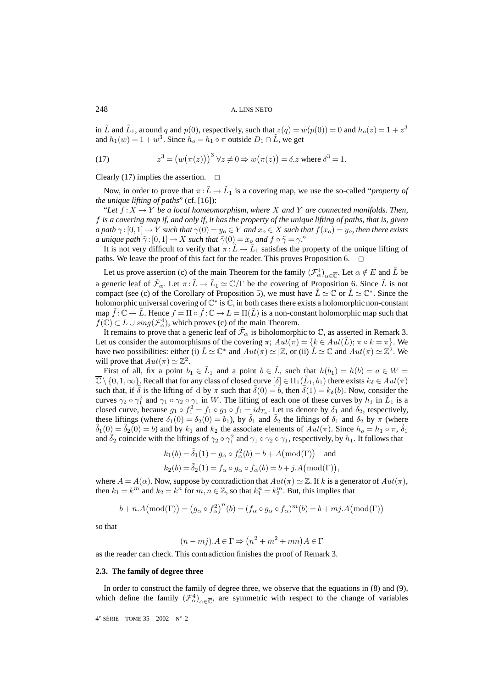in  $\tilde{L}$  and  $\tilde{L}_1$ , around q and  $p(0)$ , respectively, such that  $z(q) = w(p(0)) = 0$  and  $h_o(z) = 1 + z^3$ and  $h_1(w)=1+w^3$ . Since  $h_o = h_1 \circ \pi$  outside  $D_1 \cap \tilde{L}$ , we get

(17) 
$$
z^3 = (w(\pi(z)))^3 \,\forall z \neq 0 \Rightarrow w(\pi(z)) = \delta.z \text{ where } \delta^3 = 1.
$$

Clearly (17) implies the assertion.  $\Box$ 

Now, in order to prove that  $\pi : L \to L_1$  is a covering map, we use the so-called "*property of the unique lifting of paths*" (cf. [16]):

"Let  $f: X \to Y$  be a local homeomorphism, where X and Y are connected manifolds. Then, f *is a covering map if, and only if, it has the property of the unique lifting of paths, that is, given a path*  $\gamma$  :  $[0,1] \to Y$  *such that*  $\gamma(0) = y_o \in Y$  *and*  $x_o \in X$  *such that*  $f(x_o) = y_o$ *, then there exists a unique path*  $\tilde{\gamma}$  :  $[0, 1] \rightarrow X$  *such that*  $\tilde{\gamma}(0) = x_o$  *and*  $f \circ \tilde{\gamma} = \gamma$ ."

It is not very difficult to verify that  $\pi : L \to L_1$  satisfies the property of the unique lifting of paths. We leave the proof of this fact for the reader. This proves Proposition 6.

Let us prove assertion (c) of the main Theorem for the family  $(\mathcal{F}^4_\alpha)_{\alpha \in \overline{\mathbb{C}}}$ . Let  $\alpha \notin E$  and  $\tilde{L}$  be a generic leaf of  $\mathcal{F}_{\alpha}$ . Let  $\pi : L \to L_1 \simeq \mathbb{C}/\Gamma$  be the covering of Proposition 6. Since  $\tilde{L}$  is not compact (see (c) of the Corollary of Proposition 5), we must have  $\tilde{L} \simeq \mathbb{C}$  or  $\tilde{L} \simeq \mathbb{C}^*$ . Since the holomorphic universal covering of  $\mathbb{C}^*$  is  $\mathbb{C}$ , in both cases there exists a holomorphic non-constant map  $\tilde{f}: \mathbb{C} \to \tilde{L}$ . Hence  $f = \Pi \circ \tilde{f}: \mathbb{C} \to L = \Pi(\tilde{L})$  is a non-constant holomorphic map such that  $f(\mathbb{C}) \subset L \cup \text{sing}(\mathcal{F}_{\alpha}^4)$ , which proves (c) of the main Theorem.

It remains to prove that a generic leaf of  $\tilde{\mathcal{F}}_{\alpha}$  is biholomorphic to  $\mathbb{C}$ , as asserted in Remark 3. Let us consider the automorphisms of the covering  $\pi$ ;  $Aut(\pi) = \{k \in Aut(\tilde{L})\colon \pi \circ k = \pi\}$ . We have two possibilities: either (i)  $\tilde{L} \simeq \mathbb{C}^*$  and  $Aut(\pi) \simeq \mathbb{Z}$ , or (ii)  $\tilde{L} \simeq \mathbb{C}$  and  $Aut(\pi) \simeq \mathbb{Z}^2$ . We will prove that  $Aut(\pi) \simeq \mathbb{Z}^2$ .

First of all, fix a point  $b_1 \in \tilde{L}_1$  and a point  $b \in \tilde{L}$ , such that  $h(b_1) = h(b) = a \in W$  $\overline{\mathbb{C}} \setminus \{0, 1, \infty\}$ . Recall that for any class of closed curve  $[\delta] \in \Pi_1(\tilde{L}_1, b_1)$  there exists  $k_{\delta} \in Aut(\pi)$ such that, if  $\delta$  is the lifting of d by  $\pi$  such that  $\delta(0) = b$ , then  $\delta(1) = k_{\delta}(b)$ . Now, consider the curves  $\gamma_2 \circ \gamma_1^2$  and  $\gamma_1 \circ \gamma_2 \circ \gamma_1$  in W. The lifting of each one of these curves by  $h_1$  in  $\tilde{L}_1$  is a closed curve, because  $g_1 \circ f_1^2 = f_1 \circ g_1 \circ f_1 = id_{T_a}$ . Let us denote by  $\delta_1$  and  $\delta_2$ , respectively, these liftings (where  $\delta_1(0) = \delta_2(0) = b_1$ ), by  $\tilde{\delta}_1$  and  $\tilde{\delta}_2$  the liftings of  $\delta_1$  and  $\delta_2$  by  $\pi$  (where  $\tilde{\delta}_1(0) = \tilde{\delta}_2(0) = b$ ) and by  $k_1$  and  $k_2$  the associate elements of  $Aut(\pi)$ . Since  $h_o = h_1 \circ$ and  $\tilde{\delta}_2$  coincide with the liftings of  $\gamma_2 \circ \gamma_1^2$  and  $\gamma_1 \circ \gamma_2 \circ \gamma_1$ , respectively, by  $h_1$ . It follows that

$$
k_1(b) = \tilde{\delta}_1(1) = g_\alpha \circ f_\alpha^2(b) = b + A(\text{mod}(\Gamma)) \text{ and}
$$
  
\n
$$
k_2(b) = \tilde{\delta}_2(1) = f_\alpha \circ g_\alpha \circ f_\alpha(b) = b + j \cdot A(\text{mod}(\Gamma)),
$$

where  $A = A(\alpha)$ . Now, suppose by contradiction that  $Aut(\pi) \simeq \mathbb{Z}$ . If k is a generator of  $Aut(\pi)$ , then  $k_1 = k^m$  and  $k_2 = k^n$  for  $m, n \in \mathbb{Z}$ , so that  $k_1^m = k_2^m$ . But, this implies that

$$
b + n.A \big( \text{mod}(\Gamma) \big) = \big( g_{\alpha} \circ f_{\alpha}^{2} \big)^{n}(b) = (f_{\alpha} \circ g_{\alpha} \circ f_{\alpha})^{m}(b) = b + mj.A \big( \text{mod}(\Gamma) \big)
$$

so that

$$
(n-mj) \cdot A \in \Gamma \Rightarrow (n^2 + m^2 + mn) \cdot A \in \Gamma
$$

as the reader can check. This contradiction finishes the proof of Remark 3.

#### **2.3. The family of degree three**

In order to construct the family of degree three, we observe that the equations in (8) and (9), which define the family  $(\mathcal{F}^4_\alpha)_{\alpha \in \overline{\mathbb{C}}}$ , are symmetric with respect to the change of variables

4e SÉRIE – TOME 35 – 2002 – N◦ 2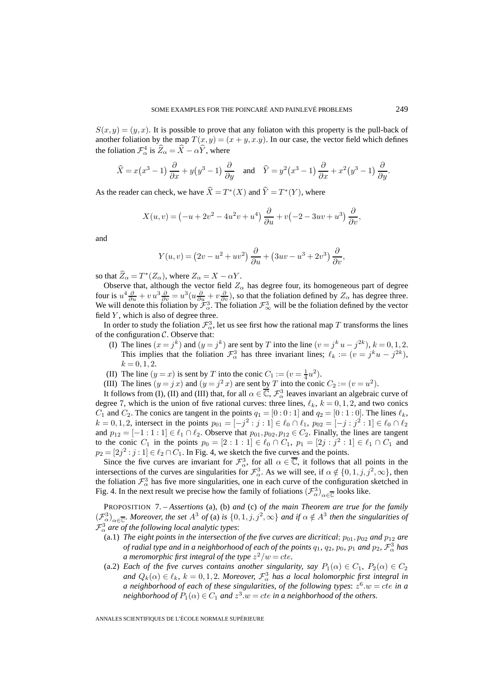$S(x, y) = (y, x)$ . It is possible to prove that any foliaton with this property is the pull-back of another foliation by the map  $T(x, y) = (x + y, x, y)$ . In our case, the vector field which defines the foliation  $\mathcal{F}_{\alpha}^4$  is  $\hat{Z}_{\alpha} = \hat{X} - \alpha \hat{Y}$ , where

$$
\widehat{X} = x(x^3 - 1)\frac{\partial}{\partial x} + y(y^3 - 1)\frac{\partial}{\partial y} \quad \text{and} \quad \widehat{Y} = y^2(x^3 - 1)\frac{\partial}{\partial x} + x^2(y^3 - 1)\frac{\partial}{\partial y}.
$$

As the reader can check, we have  $\hat{X} = T^*(X)$  and  $\hat{Y} = T^*(Y)$ , where

$$
X(u,v) = \left(-u + 2v^2 - 4u^2v + u^4\right)\frac{\partial}{\partial u} + v\left(-2 - 3uv + u^3\right)\frac{\partial}{\partial v},
$$

and

$$
Y(u,v) = (2v - u^2 + uv^2)\frac{\partial}{\partial u} + (3uv - u^3 + 2v^3)\frac{\partial}{\partial v},
$$

so that  $\widehat{Z}_{\alpha} = T^*(Z_{\alpha})$ , where  $Z_{\alpha} = X - \alpha Y$ .

Observe that, although the vector field  $Z_{\alpha}$  has degree four, its homogeneous part of degree four is  $u^4 \frac{\partial}{\partial u} + v u^3 \frac{\partial}{\partial v} = u^3 (u \frac{\partial}{\partial u} + v \frac{\partial}{\partial v})$ , so that the foliation defined by  $Z_\alpha$  has degree three. We will denote this foliation by  $\mathcal{F}_{\alpha}^3$ . The foliation  $\mathcal{F}_{\infty}^3$  will be the foliation defined by the vector field  $Y$ , which is also of degree three.

In order to study the foliation  $\mathcal{F}^3_\alpha$ , let us see first how the rational map T transforms the lines of the configuration  $C$ . Observe that:

- (I) The lines  $(x = j^k)$  and  $(y = j^k)$  are sent by T into the line  $(v = j^k u j^{2k})$ ,  $k = 0, 1, 2$ . This implies that the foliation  $\mathcal{F}_{\alpha}^3$  has three invariant lines;  $\ell_k := (v = j^k u - j^{2k})$ ,  $k = 0, 1, 2.$
- (II) The line  $(y = x)$  is sent by T into the conic  $C_1 := (v = \frac{1}{4}u^2)$ .
- (III) The lines  $(y = jx)$  and  $(y = j^2x)$  are sent by T into the conic  $C_2 := (v = u^2)$ .

It follows from (I), (II) and (III) that, for all  $\alpha \in \overline{\mathbb{C}}$ ,  $\mathcal{F}^3_\alpha$  leaves invariant an algebraic curve of degree 7, which is the union of five rational curves: three lines,  $\ell_k$ ,  $k = 0, 1, 2$ , and two conics  $C_1$  and  $C_2$ . The conics are tangent in the points  $q_1 = [0:0:1]$  and  $q_2 = [0:1:0]$ . The lines  $\ell_k$ ,  $k = 0, 1, 2$ , intersect in the points  $p_{01} = [-j^2 : j : 1] \in \ell_0 \cap \ell_1$ ,  $p_{02} = [-j : j^2 : 1] \in \ell_0 \cap \ell_2$ and  $p_{12} = [-1:1:1] \in \ell_1 \cap \ell_2$ . Observe that  $p_{01}, p_{02}, p_{12} \in C_2$ . Finally, the lines are tangent to the conic  $C_1$  in the points  $p_0 = [2 : 1 : 1] \in \ell_0 \cap C_1$ ,  $p_1 = [2j : j^2 : 1] \in \ell_1 \cap C_1$  and  $p_2 = [2j^2 : j : 1] \in \ell_2 \cap C_1$ . In Fig. 4, we sketch the five curves and the points.

Since the five curves are invariant for  $\mathcal{F}^3_\alpha$ , for all  $\alpha \in \overline{\mathbb{C}}$ , it follows that all points in the intersections of the curves are singularities for  $\mathcal{F}_{\alpha}^3$ . As we will see, if  $\alpha \notin \{0, 1, j, j^2, \infty\}$ , then the foliation  $\mathcal{F}^3_\alpha$  has five more singularities, one in each curve of the configuration sketched in Fig. 4. In the next result we precise how the family of foliations  $(\mathcal{F}_{\alpha}^3)_{\alpha \in \overline{\mathbb{C}}}$  looks like.

PROPOSITION 7. – *Assertions* (a)*,* (b) *and* (c) *of the main Theorem are true for the family*  $(\mathcal{F}_{\alpha}^{3})_{\alpha \in \overline{\mathbb{C}}}$ *. Moreover, the set*  $A^{3}$  *of* (a) *is*  $\{0,1,j,j^{2},\infty\}$  *and if*  $\alpha \notin A^{3}$  *then the singularities of*  $\mathcal{F}^3_\alpha$  are of the following local analytic types:

- (a.1) *The eight points in the intersection of the five curves are dicritical*;  $p_{01}$ ,  $p_{02}$  *and*  $p_{12}$  *are of radial type and in a neighborhood of each of the points*  $q_1, q_2, p_0, p_1$  *and*  $p_2, \mathcal{F}_\alpha^3$  *has a* meromorphic first integral of the type  $z^2/w = cte$ .
- (a.2) *Each of the five curves contains another singularity, say*  $P_1(\alpha) \in C_1$ ,  $P_2(\alpha) \in C_2$ and  $Q_k(\alpha) \in \ell_k$ ,  $k = 0, 1, 2$ . Moreover,  $\mathcal{F}^3_\alpha$  has a local holomorphic first integral in *a neighborhood of each of these singularities, of the following types:*  $z^6 w = cte$  *in a neighborhood of*  $P_1(\alpha) \in C_1$  *and*  $z^3 \omega = cte$  *in a neighborhood of the others.*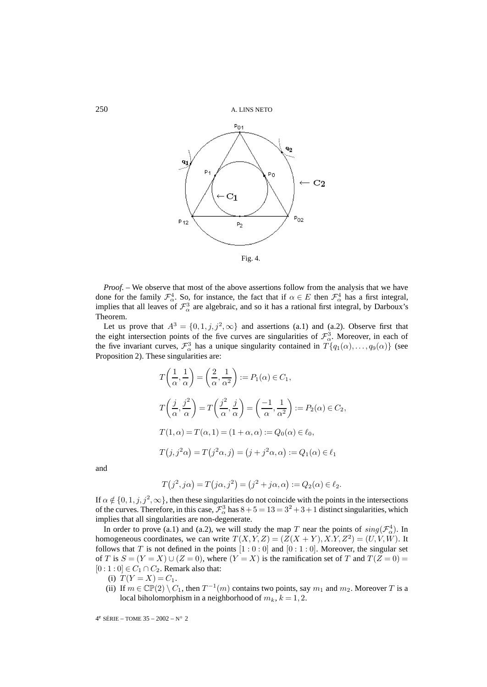

*Proof.* – We observe that most of the above assertions follow from the analysis that we have done for the family  $\mathcal{F}^4_\alpha$ . So, for instance, the fact that if  $\alpha \in E$  then  $\mathcal{F}^4_\alpha$  has a first integral, implies that all leaves of  $\mathcal{F}^3_\alpha$  are algebraic, and so it has a rational first integral, by Darboux's Theorem.

Let us prove that  $A^3 = \{0, 1, j, j^2, \infty\}$  and assertions (a.1) and (a.2). Observe first that the eight intersection points of the five curves are singularities of  $\mathcal{F}^3_\alpha$ . Moreover, in each of the five invariant curves,  $\mathcal{F}_{\alpha}^3$  has a unique singularity contained in  $T\{q_1(\alpha),...,q_9(\alpha)\}\$  (see Proposition 2). These singularities are:

$$
T\left(\frac{1}{\alpha}, \frac{1}{\alpha}\right) = \left(\frac{2}{\alpha}, \frac{1}{\alpha^2}\right) := P_1(\alpha) \in C_1,
$$
  
\n
$$
T\left(\frac{j}{\alpha}, \frac{j^2}{\alpha}\right) = T\left(\frac{j^2}{\alpha}, \frac{j}{\alpha}\right) = \left(\frac{-1}{\alpha}, \frac{1}{\alpha^2}\right) := P_2(\alpha) \in C_2,
$$
  
\n
$$
T(1, \alpha) = T(\alpha, 1) = (1 + \alpha, \alpha) := Q_0(\alpha) \in \ell_0,
$$
  
\n
$$
T(j, j^2 \alpha) = T(j^2 \alpha, j) = (j + j^2 \alpha, \alpha) := Q_1(\alpha) \in \ell_1
$$

and

$$
T(j^2, j\alpha) = T(j\alpha, j^2) = (j^2 + j\alpha, \alpha) := Q_2(\alpha) \in \ell_2.
$$

If  $\alpha \notin \{0, 1, j, j^2, \infty\}$ , then these singularities do not coincide with the points in the intersections of the curves. Therefore, in this case,  $\mathcal{F}_{\alpha}^3$  has  $8+5=13=3^2+3+1$  distinct singularities, which implies that all singularities are non-degenerate.

In order to prove (a.1) and (a.2), we will study the map T near the points of  $sing(\mathcal{F}_{\alpha}^4)$ . In homogeneous coordinates, we can write  $T(X, Y, Z)=(Z(X + Y), X, Y, Z^2)=(U, V, W)$ . It follows that T is not defined in the points  $[1:0:0]$  and  $[0:1:0]$ . Moreover, the singular set of T is  $S = (Y = X) \cup (Z = 0)$ , where  $(Y = X)$  is the ramification set of T and  $T(Z = 0)$  $[0:1:0] \in C_1 \cap C_2$ . Remark also that:

- (i)  $T(Y = X) = C_1$ .
- (ii) If  $m \in \mathbb{CP}(2) \setminus C_1$ , then  $T^{-1}(m)$  contains two points, say  $m_1$  and  $m_2$ . Moreover T is a local biholomorphism in a neighborhood of  $m_k$ ,  $k = 1, 2$ .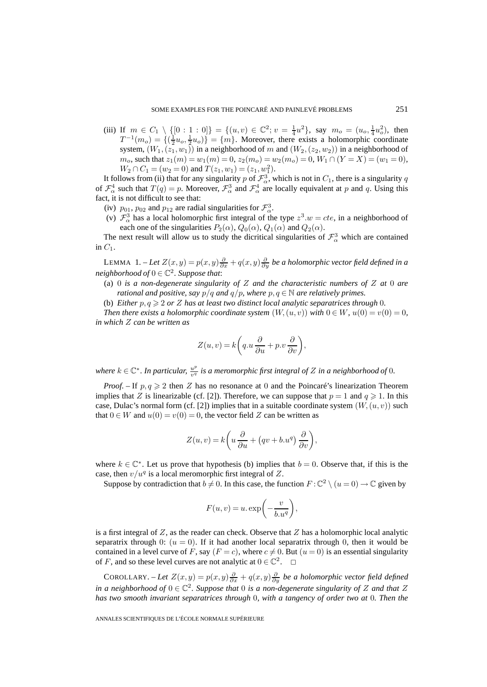(iii) If  $m \in C_1 \setminus \{ [0:1:0] \} = \{ (u,v) \in \mathbb{C}^2 \mid v = \frac{1}{4}u^2 \}$ , say  $m_o = (u_o, \frac{1}{4}u_o^2)$ , then  $T^{-1}(m_o) = \{(\frac{1}{2}u_o, \frac{1}{2}u_o)\} = \{m\}$ . Moreover, there exists a holomorphic coordinate system,  $(W_1,(z_1,w_1))$  in a neighborhood of m and  $(W_2,(z_2,w_2))$  in a neighborhood of  $m_o$ , such that  $z_1(m) = w_1(m) = 0$ ,  $z_2(m_o) = w_2(m_o) = 0$ ,  $W_1 \cap (Y = X) = (w_1 = 0)$ ,  $W_2 \cap C_1 = (w_2 = 0)$  and  $T(z_1, w_1) = (z_1, w_1^2)$ .

It follows from (ii) that for any singularity p of  $\mathcal{F}^3_\alpha$ , which is not in  $C_1$ , there is a singularity q of  $\mathcal{F}^4_\alpha$  such that  $T(q) = p$ . Moreover,  $\mathcal{F}^3_\alpha$  and  $\mathcal{F}^4_\alpha$  are locally equivalent at p and q. Using this fact, it is not difficult to see that:

- (iv)  $p_{01}$ ,  $p_{02}$  and  $p_{12}$  are radial singularities for  $\mathcal{F}_{\alpha}^3$ .
- (v)  $\mathcal{F}_{\alpha}^{3}$  has a local holomorphic first integral of the type  $z^{3}.w = cte$ , in a neighborhood of each one of the singularities  $P_2(\alpha)$ ,  $Q_0(\alpha)$ ,  $Q_1(\alpha)$  and  $Q_2(\alpha)$ .

The next result will allow us to study the dicritical singularities of  $\mathcal{F}^3_\alpha$  which are contained in  $C_1$ .

LEMMA  $1.$ *-Let*  $Z(x,y) = p(x,y)\frac{\partial}{\partial x} + q(x,y)\frac{\partial}{\partial y}$  *be a holomorphic vector field defined in a neighborhood of*  $0 \in \mathbb{C}^2$ . Suppose that:

- (a) 0 *is a non-degenerate singularity of* Z *and the characteristic numbers of* Z *at* 0 *are rational and positive, say*  $p/q$  *and*  $q/p$ *, where*  $p, q \in \mathbb{N}$  *are relatively primes.*
- (b) *Either*  $p, q \geqslant 2$  *or Z has at least two distinct local analytic separatrices through* 0*.*

*Then there exists a holomorphic coordinate system*  $(W, (u, v))$  *with*  $0 \in W$ *,*  $u(0) = v(0) = 0$ *, in which* Z *can be written as*

$$
Z(u, v) = k \left( q. u \frac{\partial}{\partial u} + p. v \frac{\partial}{\partial v} \right),
$$

where  $k \in \mathbb{C}^*$ . In particular,  $\frac{u^p}{v^q}$  is a meromorphic first integral of Z in a neighborhood of 0.

*Proof.* – If  $p, q \ge 2$  then Z has no resonance at 0 and the Poincaré's linearization Theorem implies that Z is linearizable (cf. [2]). Therefore, we can suppose that  $p = 1$  and  $q \ge 1$ . In this case, Dulac's normal form (cf. [2]) implies that in a suitable coordinate system  $(W,(u, v))$  such that  $0 \in W$  and  $u(0) = v(0) = 0$ , the vector field Z can be written as

$$
Z(u, v) = k \left( u \frac{\partial}{\partial u} + (qv + b.u^{q}) \frac{\partial}{\partial v} \right),
$$

where  $k \in \mathbb{C}^*$ . Let us prove that hypothesis (b) implies that  $b = 0$ . Observe that, if this is the case, then  $v/u^q$  is a local meromorphic first integral of Z.

Suppose by contradiction that  $b \neq 0$ . In this case, the function  $F : \mathbb{C}^2 \setminus (u = 0) \to \mathbb{C}$  given by

$$
F(u, v) = u \cdot \exp\left(-\frac{v}{b \cdot u^q}\right),\,
$$

is a first integral of  $Z$ , as the reader can check. Observe that  $Z$  has a holomorphic local analytic separatrix through 0:  $(u = 0)$ . If it had another local separatrix through 0, then it would be contained in a level curve of F, say  $(F = c)$ , where  $c \neq 0$ . But  $(u = 0)$  is an essential singularity of F, and so these level curves are not analytic at  $0 \in \mathbb{C}^2$ .  $\Box$ 

COROLLARY. – Let  $Z(x,y) = p(x,y)\frac{\partial}{\partial x} + q(x,y)\frac{\partial}{\partial y}$  be a holomorphic vector field defined *in a neighborhood of*  $0 \in \mathbb{C}^2$ . Suppose that 0 *is a non-degenerate singularity of* Z and that Z *has two smooth invariant separatrices through* 0*, with a tangency of order two at* 0*. Then the*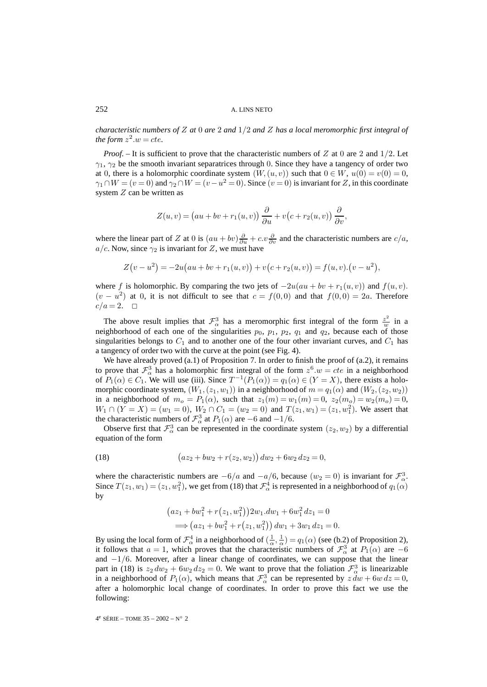*characteristic numbers of* Z *at* 0 *are* 2 *and* 1/2 *and* Z *has a local meromorphic first integral of the form*  $z^2 \tcdot w = cte$ .

*Proof.* – It is sufficient to prove that the characteristic numbers of Z at 0 are 2 and 1/2. Let  $\gamma_1$ ,  $\gamma_2$  be the smooth invariant separatrices through 0. Since they have a tangency of order two at 0, there is a holomorphic coordinate system  $(W, (u, v))$  such that  $0 \in W$ ,  $u(0) = v(0) = 0$ ,  $\gamma_1 \cap W = (v = 0)$  and  $\gamma_2 \cap W = (v - u^2 = 0)$ . Since  $(v = 0)$  is invariant for Z, in this coordinate system Z can be written as

$$
Z(u, v) = (au + bv + r1(u, v)) \frac{\partial}{\partial u} + v(c + r2(u, v)) \frac{\partial}{\partial v},
$$

where the linear part of Z at 0 is  $(au + bv)\frac{\partial}{\partial u} + c.v \frac{\partial}{\partial v}$  and the characteristic numbers are  $c/a$ ,  $a/c$ . Now, since  $\gamma_2$  is invariant for Z, we must have

$$
Z(v - u2) = -2u(au + bv + r1(u, v)) + v(c + r2(u, v)) = f(u, v) \cdot (v - u2),
$$

where f is holomorphic. By comparing the two jets of  $-2u(au + bv + r_1(u, v))$  and  $f(u, v)$ .  $(v - u^2)$  at 0, it is not difficult to see that  $c = f(0, 0)$  and that  $f(0, 0) = 2a$ . Therefore  $c/a = 2. \quad \Box$ 

The above result implies that  $\mathcal{F}_{\alpha}^3$  has a meromorphic first integral of the form  $\frac{z^2}{w}$  in a neighborhood of each one of the singularities  $p_0$ ,  $p_1$ ,  $p_2$ ,  $q_1$  and  $q_2$ , because each of those singularities belongs to  $C_1$  and to another one of the four other invariant curves, and  $C_1$  has a tangency of order two with the curve at the point (see Fig. 4).

We have already proved  $(a.1)$  of Proposition 7. In order to finish the proof of  $(a.2)$ , it remains to prove that  $\mathcal{F}_{\alpha}^3$  has a holomorphic first integral of the form  $z^6 w = cte$  in a neighborhood of  $P_1(\alpha) \in C_1$ . We will use (iii). Since  $T^{-1}(P_1(\alpha)) = q_1(\alpha) \in (Y = X)$ , there exists a holomorphic coordinate system,  $(W_1,(z_1,w_1))$  in a neighborhood of  $m = q_1(\alpha)$  and  $(W_2,(z_2,w_2))$ in a neighborhood of  $m_o = P_1(\alpha)$ , such that  $z_1(m) = w_1(m) = 0$ ,  $z_2(m_o) = w_2(m_o) = 0$ ,  $W_1 \cap (Y = X) = (w_1 = 0), W_2 \cap C_1 = (w_2 = 0)$  and  $T(z_1, w_1) = (z_1, w_1^2)$ . We assert that the characteristic numbers of  $\mathcal{F}_{\alpha}^3$  at  $P_1(\alpha)$  are  $-6$  and  $-1/6$ .

Observe first that  $\mathcal{F}^3_\alpha$  can be represented in the coordinate system  $(z_2, w_2)$  by a differential equation of the form

(18) 
$$
(az_2 + bw_2 + r(z_2, w_2)) dw_2 + 6w_2 dz_2 = 0,
$$

where the characteristic numbers are  $-6/a$  and  $-a/6$ , because  $(w_2 = 0)$  is invariant for  $\mathcal{F}_{\alpha}^3$ . Since  $T(z_1, w_1) = (z_1, w_1^2)$ , we get from (18) that  $\mathcal{F}_\alpha^4$  is represented in a neighborhood of  $q_1(\alpha)$ by

$$
(az_1 + bw_1^2 + r(z_1, w_1^2))2w_1 dw_1 + 6w_1^2 dz_1 = 0
$$
  
\n
$$
\implies (az_1 + bw_1^2 + r(z_1, w_1^2)) dw_1 + 3w_1 dz_1 = 0.
$$

By using the local form of  $\mathcal{F}_{\alpha}^4$  in a neighborhood of  $(\frac{1}{\alpha}, \frac{1}{\alpha}) = q_1(\alpha)$  (see (b.2) of Proposition 2), it follows that  $a = 1$ , which proves that the characteristic numbers of  $\mathcal{F}_{\alpha}^{3}$  at  $P_1(\alpha)$  are  $-6$ and  $-1/6$ . Moreover, after a linear change of coordinates, we can suppose that the linear part in (18) is  $z_2 dw_2 + 6w_2 dz_2 = 0$ . We want to prove that the foliation  $\mathcal{F}^3_\alpha$  is linearizable in a neighborhood of  $P_1(\alpha)$ , which means that  $\mathcal{F}^3_\alpha$  can be represented by  $z dw + 6w dz = 0$ , after a holomorphic local change of coordinates. In order to prove this fact we use the following:

4e SÉRIE – TOME 35 – 2002 – N◦ 2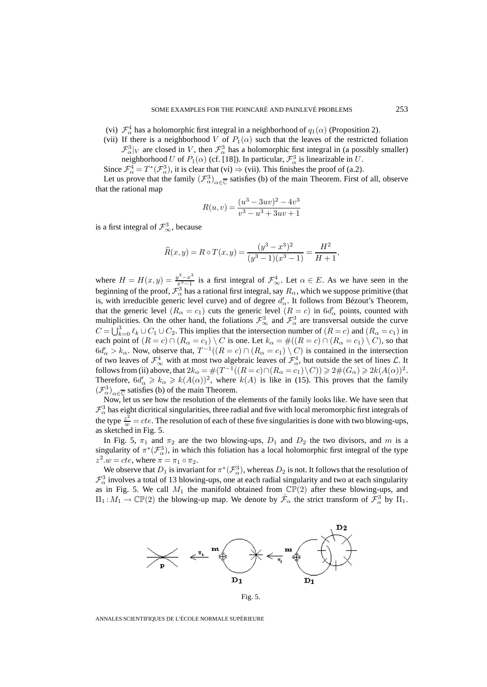- (vi)  $\mathcal{F}_{\alpha}^4$  has a holomorphic first integral in a neighborhood of  $q_1(\alpha)$  (Proposition 2).
- (vii) If there is a neighborhood V of  $P_1(\alpha)$  such that the leaves of the restricted foliation  $\mathcal{F}_{\alpha}^{3}|_V$  are closed in V, then  $\mathcal{F}_{\alpha}^{3}$  has a holomorphic first integral in (a possibly smaller) neighborhood U of  $P_1(\alpha)$  (cf. [18]). In particular,  $\mathcal{F}^3_\alpha$  is linearizable in U.
- Since  $\mathcal{F}_{\alpha}^4 = T^*(\mathcal{F}_{\alpha}^3)$ , it is clear that (vi)  $\Rightarrow$  (vii). This finishes the proof of (a.2).

Let us prove that the family  $(\mathcal{F}^3_\alpha)_{\alpha \in \overline{\mathbb{C}}}$  satisfies (b) of the main Theorem. First of all, observe that the rational map

$$
R(u, v) = \frac{(u^3 - 3uv)^2 - 4v^3}{v^3 - u^3 + 3uv + 1}
$$

is a first integral of  $\mathcal{F}^3_\infty$ , because

$$
\widehat{R}(x,y) = R \circ T(x,y) = \frac{(y^3 - x^3)^2}{(y^3 - 1)(x^3 - 1)} = \frac{H^2}{H + 1},
$$

where  $H = H(x, y) = \frac{y^3 - x^3}{x^3 - 1}$  is a first integral of  $\mathcal{F}_{\infty}^4$ . Let  $\alpha \in E$ . As we have seen in the beginning of the proof,  $\mathcal{F}^3_\alpha$  has a rational first integral, say  $R_\alpha$ , which we suppose primitive (that is, with irreducible generic level curve) and of degree  $d'_{\alpha}$ . It follows from Bézout's Theorem, that the generic level  $(R_{\alpha} = c_1)$  cuts the generic level  $(R = c)$  in  $6d_{\alpha}'$  points, counted with multiplicities. On the other hand, the foliations  $\mathcal{F}^3_\infty$  and  $\mathcal{F}^3_\alpha$  are transversal outside the curve  $C = \bigcup_{k=0}^{3} \ell_k \cup C_1 \cup C_2$ . This implies that the intersection number of  $(R = c)$  and  $(R_\alpha = c_1)$  in each point of  $(R = c) \cap (R_\alpha = c_1) \setminus C$  is one. Let  $k_\alpha = \#((R = c) \cap (R_\alpha = c_1) \setminus C)$ , so that  $6d'_{\alpha} > k_{\alpha}$ . Now, observe that,  $T^{-1}((R = c) \cap (R_{\alpha} = c_1) \setminus C)$  is contained in the intersection of two leaves of  $\mathcal{F}^4_\infty$  with at most two algebraic leaves of  $\mathcal{F}^4_\alpha$ , but outside the set of lines  $\mathcal{L}$ . It follows from (ii) above, that  $2k_{\alpha} = \#(T^{-1}((R = c) \cap (R_{\alpha} = c_1) \setminus C)) \geq 2\#(G_{\alpha}) \geq 2k(A(\alpha))^2$ . Therefore,  $6d'_{\alpha} \geq k_{\alpha} \geq k(A(\alpha))^2$ , where  $k(A)$  is like in (15). This proves that the family  $(\mathcal{F}_{\alpha}^{3})_{\alpha \in \overline{\mathbb{C}}}$  satisfies (b) of the main Theorem.

Now, let us see how the resolution of the elements of the family looks like. We have seen that  $\mathcal{F}_{\alpha}^{3}$  has eight dicritical singularities, three radial and five with local meromorphic first integrals of the type  $\frac{z^2}{w} = cte$ . The resolution of each of these five singularities is done with two blowing-ups, as sketched in Fig. 5.

In Fig. 5,  $\pi_1$  and  $\pi_2$  are the two blowing-ups,  $D_1$  and  $D_2$  the two divisors, and m is a singularity of  $\pi^*(\mathcal{F}_{\alpha}^3)$ , in which this foliation has a local holomorphic first integral of the type  $z^2.w = cte$ , where  $\pi = \pi_1 \circ \pi_2$ .

We observe that  $D_1$  is invariant for  $\pi^*(\mathcal{F}^3_\alpha)$ , whereas  $D_2$  is not. It follows that the resolution of  $\mathcal{F}_{\alpha}^{3}$  involves a total of 13 blowing-ups, one at each radial singularity and two at each singularity as in Fig. 5. We call  $M_1$  the manifold obtained from  $\mathbb{CP}(2)$  after these blowing-ups, and  $\Pi_1: M_1 \to \mathbb{CP}(2)$  the blowing-up map. We denote by  $\hat{\mathcal{F}}_{\alpha}$  the strict transform of  $\mathcal{F}_{\alpha}^3$  by  $\Pi_1$ .



Fig. 5.

ANNALES SCIENTIFIQUES DE L'ÉCOLE NORMALE SUPÉRIEURE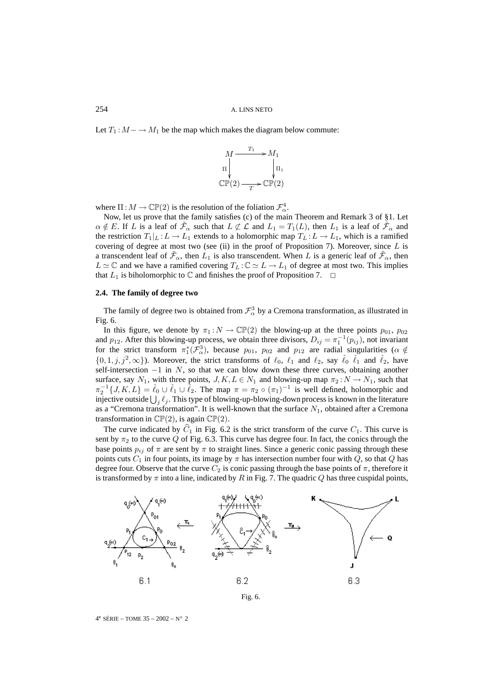Let  $T_1$ :  $M - \rightarrow M_1$  be the map which makes the diagram below commute:



where  $\Pi : M \to \mathbb{CP}(2)$  is the resolution of the foliation  $\mathcal{F}_{\alpha}^4$ .

Now, let us prove that the family satisfies (c) of the main Theorem and Remark 3 of §1. Let  $\alpha \notin E$ . If L is a leaf of  $\mathcal{F}_{\alpha}$  such that  $L \not\subset \mathcal{L}$  and  $L_1 = T_1(L)$ , then  $L_1$  is a leaf of  $\mathcal{F}_{\alpha}$  and the restriction  $T_1|_L : L \to L_1$  extends to a holomorphic map  $T_L : L \to L_1$ , which is a ramified covering of degree at most two (see (ii) in the proof of Proposition 7). Moreover, since  $L$  is a transcendent leaf of  $\tilde{\mathcal{F}}_{\alpha}$ , then  $L_1$  is also transcendent. When L is a generic leaf of  $\tilde{\mathcal{F}}_{\alpha}$ , then  $L \simeq \mathbb{C}$  and we have a ramified covering  $T_L : \mathbb{C} \simeq L \to L_1$  of degree at most two. This implies that  $L_1$  is biholomorphic to  $\mathbb C$  and finishes the proof of Proposition 7.  $\Box$ 

# **2.4. The family of degree two**

The family of degree two is obtained from  $\mathcal{F}^3_\alpha$  by a Cremona transformation, as illustrated in Fig. 6.

In this figure, we denote by  $\pi_1 : N \to \mathbb{CP}(2)$  the blowing-up at the three points  $p_{01}$ ,  $p_{02}$ and  $p_{12}$ . After this blowing-up process, we obtain three divisors,  $D_{ij} = \pi_1^{-1}(p_{ij})$ , not invariant for the strict transform  $\pi_1^*(\mathcal{F}_{\alpha}^3)$ , because  $p_{01}$ ,  $p_{02}$  and  $p_{12}$  are radial singularities ( $\alpha \notin$  $\{0, 1, j, j^2, \infty\}$ ). Moreover, the strict transforms of  $\ell_0$ ,  $\ell_1$  and  $\ell_2$ , say  $\hat{\ell}_0$   $\hat{\ell}_1$  and  $\hat{\ell}_2$ , have self-intersection  $-1$  in N, so that we can blow down these three curves, obtaining another surface, say  $N_1$ , with three points,  $J, K, L \in N_1$  and blowing-up map  $\pi_2 : N \to N_1$ , such that  $\pi_2^{-1}{J,K,L} = \hat{\ell}_0 \cup \hat{\ell}_1 \cup \hat{\ell}_2$ . The map  $\pi = \pi_2 \circ (\pi_1)^{-1}$  is well defined, holomorphic and injective outside  $\bigcup_j \ell_j.$  This type of blowing-up-blowing-down process is known in the literature as a "Cremona transformation". It is well-known that the surface  $N_1$ , obtained after a Cremona transformation in  $\mathbb{CP}(2)$ , is again  $\mathbb{CP}(2)$ .

The curve indicated by  $C_1$  in Fig. 6.2 is the strict transform of the curve  $C_1$ . This curve is sent by  $\pi_2$  to the curve Q of Fig. 6.3. This curve has degree four. In fact, the conics through the base points  $p_{ij}$  of  $\pi$  are sent by  $\pi$  to straight lines. Since a generic conic passing through these points cuts  $C_1$  in four points, its image by  $\pi$  has intersection number four with Q, so that Q has degree four. Observe that the curve  $C_2$  is conic passing through the base points of  $\pi$ , therefore it is transformed by  $\pi$  into a line, indicated by R in Fig. 7. The quadric Q has three cuspidal points,



Fig. 6.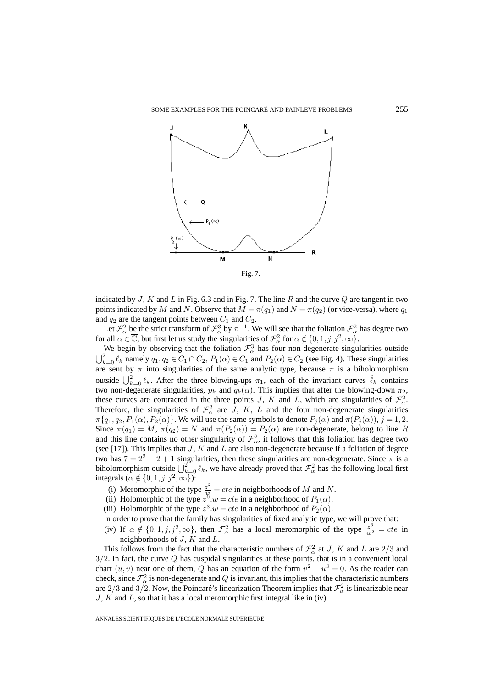

indicated by J, K and L in Fig. 6.3 and in Fig. 7. The line R and the curve Q are tangent in two points indicated by M and N. Observe that  $M = \pi(q_1)$  and  $N = \pi(q_2)$  (or vice-versa), where  $q_1$ and  $q_2$  are the tangent points between  $C_1$  and  $C_2$ .

Let  $\mathcal{F}_{\alpha}^2$  be the strict transform of  $\mathcal{F}_{\alpha}^3$  by  $\pi^{-1}$ . We will see that the foliation  $\mathcal{F}_{\alpha}^2$  has degree two for all  $\alpha \in \overline{\mathbb{C}}$ , but first let us study the singularities of  $\mathcal{F}_\alpha^2$  for  $\alpha \notin \{0, 1, j, j^2, \infty\}$ .

We begin by observing that the foliation  $\mathcal{F}^3_\alpha$  has four non-degenerate singularities outside  $\bigcup_{k=0}^{2} \ell_k$  namely  $q_1, q_2 \in C_1 \cap C_2$ ,  $P_1(\alpha) \in C_1$  and  $P_2(\alpha) \in C_2$  (see Fig. 4). These singularities are sent by  $\pi$  into singularities of the same analytic type, because  $\pi$  is a biholomorphism outside  $\bigcup_{k=0}^{2} \ell_k$ . After the three blowing-ups  $\pi_1$ , each of the invariant curves  $\hat{\ell}_k$  contains two non-degenerate singularities,  $p_k$  and  $q_k(\alpha)$ . This implies that after the blowing-down  $\pi_2$ , these curves are contracted in the three points J, K and L, which are singularities of  $\mathcal{F}_{\alpha}^2$ . Therefore, the singularities of  $\mathcal{F}_{\alpha}^2$  are J, K, L and the four non-degenerate singularities  $\pi\{q_1, q_2, P_1(\alpha), P_2(\alpha)\}\.$  We will use the same symbols to denote  $P_j(\alpha)$  and  $\pi(P_j(\alpha)), j = 1, 2$ . Since  $\pi(q_1) = M$ ,  $\pi(q_2) = N$  and  $\pi(P_2(\alpha)) = P_2(\alpha)$  are non-degenerate, belong to line R and this line contains no other singularity of  $\mathcal{F}_{\alpha}^2$ , it follows that this foliation has degree two (see [17]). This implies that  $J$ ,  $K$  and  $L$  are also non-degenerate because if a foliation of degree two has  $7=2^2+2+1$  singularities, then these singularities are non-degenerate. Since  $\pi$  is a biholomorphism outside  $\bigcup_{k=0}^{\infty} \ell_k$ , we have already proved that  $\mathcal{F}_{\alpha}^2$  has the following local first integrals ( $\alpha \notin \{0, 1, j, j^2, \infty\}$ ):

- (i) Meromorphic of the type  $\frac{z^2}{w} = cte$  in neighborhoods of M and N.
- (ii) Holomorphic of the type  $z^{\tilde{6}}.w = cte$  in a neighborhood of  $P_1(\alpha)$ .
- (iii) Holomorphic of the type  $z^3 \text{·} w = cte$  in a neighborhood of  $P_2(\alpha)$ .
- In order to prove that the family has singularities of fixed analytic type, we will prove that:
- (iv) If  $\alpha \notin \{0, 1, j, j^2, \infty\}$ , then  $\mathcal{F}_\alpha^2$  has a local meromorphic of the type  $\frac{z^3}{w^2} = cte$  in neighborhoods of  $J$ ,  $K$  and  $L$ .

This follows from the fact that the characteristic numbers of  $\mathcal{F}_{\alpha}^2$  at J, K and L are 2/3 and  $3/2$ . In fact, the curve  $Q$  has cuspidal singularities at these points, that is in a convenient local chart  $(u, v)$  near one of them, Q has an equation of the form  $v^2 - u^3 = 0$ . As the reader can check, since  $\mathcal{F}_{\alpha}^2$  is non-degenerate and  $Q$  is invariant, this implies that the characteristic numbers are  $2/3$  and  $3/2$ . Now, the Poincaré's linearization Theorem implies that  $\mathcal{F}^2_{\alpha}$  is linearizable near  $J, K$  and  $L$ , so that it has a local meromorphic first integral like in (iv).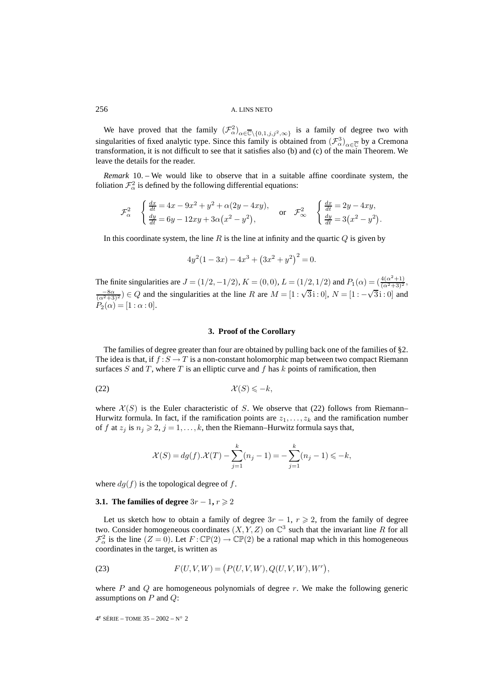We have proved that the family  $(\mathcal{F}^2_\alpha)_{\alpha \in \overline{\mathbb{C}} \setminus \{0,1,j,j^2,\infty\}}$  is a family of degree two with singularities of fixed analytic type. Since this family is obtained from  $(\mathcal{F}_{\alpha}^3)_{\alpha \in \overline{\mathbb{C}}}$  by a Cremona transformation, it is not difficult to see that it satisfies also (b) and (c) of the main Theorem. We leave the details for the reader.

*Remark* 10. – We would like to observe that in a suitable affine coordinate system, the foliation  $\mathcal{F}_{\alpha}^2$  is defined by the following differential equations:

$$
\mathcal{F}_{\alpha}^{2} \quad \begin{cases} \frac{dx}{dt} = 4x - 9x^{2} + y^{2} + \alpha(2y - 4xy), \\ \frac{dy}{dt} = 6y - 12xy + 3\alpha(x^{2} - y^{2}), \end{cases} \quad \text{or} \quad \mathcal{F}_{\infty}^{2} \quad \begin{cases} \frac{dx}{dt} = 2y - 4xy, \\ \frac{dy}{dt} = 3(x^{2} - y^{2}). \end{cases}
$$

In this coordinate system, the line  $R$  is the line at infinity and the quartic  $Q$  is given by

$$
4y^2(1-3x) - 4x^3 + (3x^2 + y^2)^2 = 0.
$$

The finite singularities are  $J = (1/2, -1/2)$ ,  $K = (0, 0)$ ,  $L = (1/2, 1/2)$  and  $P_1(\alpha) = (\frac{4(\alpha^2+1)}{(\alpha^2+3)^2})$ ,  $\frac{-8\alpha}{(\alpha^2+3)^2}$  ∈ Q and the singularities at the line R are  $M = [1:\sqrt{3}:0]$ ,  $N = [1:-\sqrt{3}:0]$  and  $\frac{8\alpha}{(\alpha^2+3)^2}$  $P_2(\alpha) = [1 : \alpha : 0].$ 

## **3. Proof of the Corollary**

The families of degree greater than four are obtained by pulling back one of the families of §2. The idea is that, if  $f : S \to T$  is a non-constant holomorphic map between two compact Riemann surfaces S and T, where T is an elliptic curve and f has k points of ramification, then

$$
\mathcal{X}(S) \leqslant -k,
$$

where  $\mathcal{X}(S)$  is the Euler characteristic of S. We observe that (22) follows from Riemann– Hurwitz formula. In fact, if the ramification points are  $z_1, \ldots, z_k$  and the ramification number of f at  $z_j$  is  $n_j \geq 2$ ,  $j = 1, \ldots, k$ , then the Riemann–Hurwitz formula says that,

$$
\mathcal{X}(S)=dg(f).\mathcal{X}(T)-\sum_{j=1}^k(n_j-1)=-\sum_{j=1}^k(n_j-1)\leqslant -k,
$$

where  $dg(f)$  is the topological degree of f.

# **3.1.** The families of degree  $3r - 1$ ,  $r \ge 2$

Let us sketch how to obtain a family of degree  $3r - 1$ ,  $r \ge 2$ , from the family of degree two. Consider homogeneous coordinates  $(X, Y, Z)$  on  $\mathbb{C}^3$  such that the invariant line R for all  $\mathcal{F}_{\alpha}^2$  is the line  $(Z = 0)$ . Let  $F: \mathbb{CP}(2) \to \mathbb{CP}(2)$  be a rational map which in this homogeneous coordinates in the target, is written as

(23) 
$$
F(U, V, W) = (P(U, V, W), Q(U, V, W), W^r),
$$

where  $P$  and  $Q$  are homogeneous polynomials of degree  $r$ . We make the following generic assumptions on  $P$  and  $Q$ :

4<sup>e</sup> SÉRIE – TOME 35 – 2002 – N° 2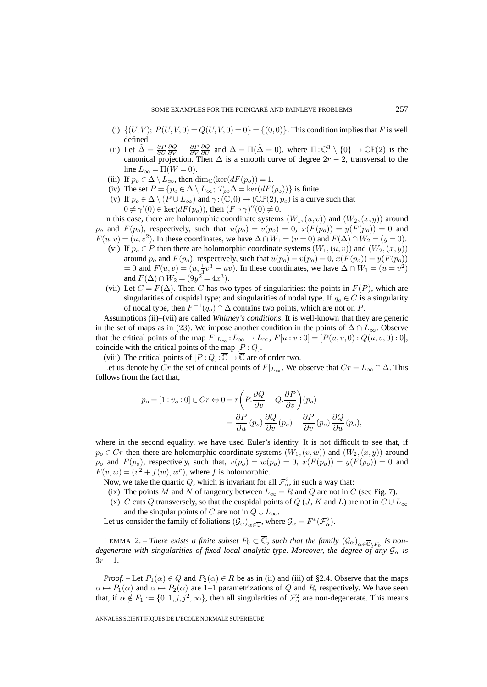- (i)  $\{(U, V); P(U, V, 0) = Q(U, V, 0) = 0\} = \{(0, 0)\}\$ . This condition implies that F is well defined.
- (ii) Let  $\tilde{\Delta} = \frac{\partial P}{\partial U} \frac{\partial Q}{\partial V} \frac{\partial P}{\partial U} \frac{\partial Q}{\partial U}$  and  $\Delta = \Pi(\tilde{\Delta} = 0)$ , where  $\Pi$ :  $\mathbb{C}^3 \setminus \{0\} \to \mathbb{CP}(2)$  is the canonical projection. Then  $\Delta$  is a smooth curve of degree  $2r - 2$ , transversal to the line  $L_{\infty} = \Pi(W = 0)$ .
- (iii) If  $p_o \in \Delta \setminus L_\infty$ , then  $\dim_{\mathbb{C}}(\ker(dF(p_o)) = 1$ .
- (iv) The set  $P = \{p_o \in \Delta \setminus L_\infty; T_{po}\Delta = \ker(dF(p_o))\}$  is finite.
- (v) If  $p_o \in \Delta \setminus (P \cup L_{\infty})$  and  $\gamma : (\mathbb{C}, 0) \to (\mathbb{CP}(2), p_o)$  is a curve such that  $0 \neq \gamma'(0) \in \ker(dF(p_o))$ , then  $(F \circ \gamma)''(0) \neq 0$ .

In this case, there are holomorphic coordinate systems  $(W_1,(u, v))$  and  $(W_2,(x, y))$  around  $p_o$  and  $F(p_o)$ , respectively, such that  $u(p_o) = v(p_o) = 0$ ,  $x(F(p_o)) = y(F(p_o)) = 0$  and  $F(u, v)=(u, v^2)$ . In these coordinates, we have  $\Delta \cap W_1=(v=0)$  and  $F(\Delta) \cap W_2=(y=0)$ .

- (vi) If  $p_0 \in P$  then there are holomorphic coordinate systems  $(W_1,(u, v))$  and  $(W_2,(x, y))$ around  $p_o$  and  $F(p_o)$ , respectively, such that  $u(p_o) = v(p_o) = 0$ ,  $x(F(p_o)) = y(F(p_o))$ = 0 and  $F(u, v) = (u, \frac{1}{3}v^3 - uv)$ . In these coordinates, we have  $\Delta \cap W_1 = (u = v^2)$ and  $F(\Delta) \cap W_2 = (9y^2 = 4x^3)$ .
- (vii) Let  $C = F(\Delta)$ . Then C has two types of singularities: the points in  $F(P)$ , which are singularities of cuspidal type; and singularities of nodal type. If  $q_o \in C$  is a singularity of nodal type, then  $F^{-1}(q_o) \cap \Delta$  contains two points, which are not on P.

Assumptions (ii)–(vii) are called *Whitney's conditions*. It is well-known that they are generic in the set of maps as in (23). We impose another condition in the points of  $\Delta \cap L_{\infty}$ . Observe that the critical points of the map  $F|_{L_{\infty}}:L_{\infty}\to L_{\infty}$ ,  $F[u:v:0]=[P(u,v,0):Q(u,v,0):0]$ , coincide with the critical points of the map  $[P:Q]$ .

(viii) The critical points of  $[P:Q]:\overline{\mathbb{C}} \to \overline{\mathbb{C}}$  are of order two.

Let us denote by Cr the set of critical points of  $F|_{L_{\infty}}$ . We observe that  $Cr = L_{\infty} \cap \Delta$ . This follows from the fact that,

$$
p_o = [1 : v_o : 0] \in Cr \Leftrightarrow 0 = r \left( P \cdot \frac{\partial Q}{\partial v} - Q \cdot \frac{\partial P}{\partial v} \right) (p_o)
$$
  
=  $\frac{\partial P}{\partial u} (p_o) \frac{\partial Q}{\partial v} (p_o) - \frac{\partial P}{\partial v} (p_o) \frac{\partial Q}{\partial u} (p_o),$ 

where in the second equality, we have used Euler's identity. It is not difficult to see that, if  $p_o \in Cr$  then there are holomorphic coordinate systems  $(W_1,(v,w))$  and  $(W_2,(x,y))$  around  $p_o$  and  $F(p_o)$ , respectively, such that,  $v(p_o) = w(p_o) = 0$ ,  $x(F(p_o)) = y(F(p_o)) = 0$  and  $F(v, w) = (v^2 + f(w), w^r)$ , where f is holomorphic.

- Now, we take the quartic Q, which is invariant for all  $\mathcal{F}_{\alpha}^2$ , in such a way that:
- (ix) The points M and N of tangency between  $L_{\infty} = R$  and Q are not in C (see Fig. 7).
- (x) C cuts Q transversely, so that the cuspidal points of Q (J, K and L) are not in  $C \cup L_{\infty}$ and the singular points of C are not in  $Q \cup L_{\infty}$ .

Let us consider the family of foliations  $(\mathcal{G}_\alpha)_{\alpha \in \overline{\mathbb{C}}}$ , where  $\mathcal{G}_\alpha = F^*(\mathcal{F}_\alpha^2)$ .

LEMMA 2. – *There exists a finite subset*  $F_0 \subset \overline{\mathbb{C}}$ , such that the family  $(\mathcal{G}_{\alpha})_{\alpha \in \overline{\mathbb{C}} \setminus F_0}$  is non*degenerate with singularities of fixed local analytic type. Moreover, the degree of any*  $\mathcal{G}_{\alpha}$  *is* 3r − 1*.*

*Proof.* – Let  $P_1(\alpha) \in Q$  and  $P_2(\alpha) \in R$  be as in (ii) and (iii) of §2.4. Observe that the maps  $\alpha \mapsto P_1(\alpha)$  and  $\alpha \mapsto P_2(\alpha)$  are 1–1 parametrizations of Q and R, respectively. We have seen that, if  $\alpha \notin F_1 := \{0, 1, j, j^2, \infty\}$ , then all singularities of  $\mathcal{F}_\alpha^2$  are non-degenerate. This means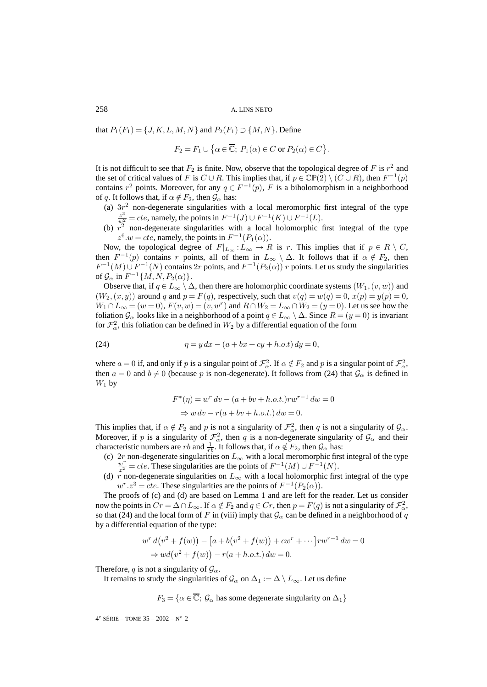that  $P_1(F_1) = \{J, K, L, M, N\}$  and  $P_2(F_1) \supset \{M, N\}$ . Define

$$
F_2 = F_1 \cup \big\{\alpha \in \overline{\mathbb{C}}; \ P_1(\alpha) \in C \text{ or } P_2(\alpha) \in C \big\}.
$$

It is not difficult to see that  $F_2$  is finite. Now, observe that the topological degree of F is  $r^2$  and the set of critical values of F is  $C \cup R$ . This implies that, if  $p \in \mathbb{CP}(2) \setminus (C \cup R)$ , then  $F^{-1}(p)$ contains  $r^2$  points. Moreover, for any  $q \in F^{-1}(p)$ , F is a biholomorphism in a neighborhood of q. It follows that, if  $\alpha \notin F_2$ , then  $\mathcal{G}_{\alpha}$  has:

- (a)  $3r^2$  non-degenerate singularities with a local meromorphic first integral of the type  $\frac{z^3}{w_1^2} = cte$ , namely, the points in  $F^{-1}(J) \cup F^{-1}(K) \cup F^{-1}(L)$ .
- (b)  $r^2$  non-degenerate singularities with a local holomorphic first integral of the type  $z^6.w = cte$ , namely, the points in  $F^{-1}(P_1(\alpha))$ .

Now, the topological degree of  $F|_{L_{\infty}}:L_{\infty}\to R$  is r. This implies that if  $p\in R\setminus C$ , then  $F^{-1}(p)$  contains r points, all of them in  $L_{\infty} \setminus \Delta$ . It follows that if  $\alpha \notin F_2$ , then  $F^{-1}(M) \cup F^{-1}(N)$  contains 2r points, and  $F^{-1}(P_2(\alpha))$  r points. Let us study the singularities of  $\mathcal{G}_{\alpha}$  in  $F^{-1}{M, N, P_2(\alpha)}$ .

Observe that, if  $q \in L_\infty \setminus \Delta$ , then there are holomorphic coordinate systems  $(W_1,(v,w))$  and  $(W_2,(x,y))$  around q and  $p = F(q)$ , respectively, such that  $v(q) = w(q) = 0$ ,  $x(p) = y(p) = 0$ ,  $W_1 \cap L_{\infty} = (w = 0), F(v, w) = (v, w^r)$  and  $R \cap W_2 = L_{\infty} \cap W_2 = (y = 0)$ . Let us see how the foliation  $\mathcal{G}_{\alpha}$  looks like in a neighborhood of a point  $q \in L_{\infty} \setminus \Delta$ . Since  $R = (y = 0)$  is invariant for  $\mathcal{F}_{\alpha}^2$ , this foliation can be defined in  $W_2$  by a differential equation of the form

(24) 
$$
\eta = y \, dx - (a + bx + cy + h.o.t) \, dy = 0,
$$

where  $a = 0$  if, and only if p is a singular point of  $\mathcal{F}_{\alpha}^2$ . If  $\alpha \notin F_2$  and p is a singular point of  $\mathcal{F}_{\alpha}^2$ , then  $a = 0$  and  $b \neq 0$  (because p is non-degenerate). It follows from (24) that  $\mathcal{G}_{\alpha}$  is defined in  $W_1$  by

$$
F^*(\eta) = w^r dv - (a + bv + h.o.t.)rw^{r-1} dw = 0
$$
  
\n
$$
\Rightarrow w dv - r(a + bv + h.o.t.) dw = 0.
$$

This implies that, if  $\alpha \notin F_2$  and p is not a singularity of  $\mathcal{F}_\alpha^2$ , then q is not a singularity of  $\mathcal{G}_\alpha$ . Moreover, if p is a singularity of  $\mathcal{F}_{\alpha}^2$ , then q is a non-degenerate singularity of  $\mathcal{G}_{\alpha}$  and their characteristic numbers are rb and  $\frac{1}{rb}$ . It follows that, if  $\alpha \notin F_2$ , then  $\mathcal{G}_{\alpha}$  has:

- (c) 2r non-degenerate singularities on  $L_{\infty}$  with a local meromorphic first integral of the type  $\frac{w^r}{r^2} = cte$ . These singularities are the points of  $F^{-1}(M) \cup F^{-1}(N)$ .
- (d)  $\tilde{r}$  non-degenerate singularities on  $L_{\infty}$  with a local holomorphic first integral of the type  $w^r \cdot z^3 = cte$ . These singularities are the points of  $F^{-1}(P_2(\alpha))$ .

The proofs of (c) and (d) are based on Lemma 1 and are left for the reader. Let us consider now the points in  $Cr = \Delta \cap L_{\infty}$ . If  $\alpha \notin F_2$  and  $q \in Cr$ , then  $p = F(q)$  is not a singularity of  $\mathcal{F}_\alpha^2$ , so that (24) and the local form of F in (viii) imply that  $\mathcal{G}_\alpha$  can be defined in a neighborhood of q by a differential equation of the type:

$$
w^{r} d(v^{2} + f(w)) - [a + b(v^{2} + f(w)) + cw^{r} + \cdots]rw^{r-1} dw = 0
$$
  
\n
$$
\Rightarrow wd(v^{2} + f(w)) - r(a + h.o.t.) dw = 0.
$$

Therefore, q is not a singularity of  $\mathcal{G}_{\alpha}$ .

It remains to study the singularities of  $\mathcal{G}_{\alpha}$  on  $\Delta_1 := \Delta \setminus L_{\infty}$ . Let us define

$$
F_3 = \{ \alpha \in \overline{\mathbb{C}}; \, \mathcal{G}_{\alpha} \text{ has some degenerate singularity on } \Delta_1 \}
$$

4<sup>e</sup> SÉRIE – TOME 35 – 2002 – N° 2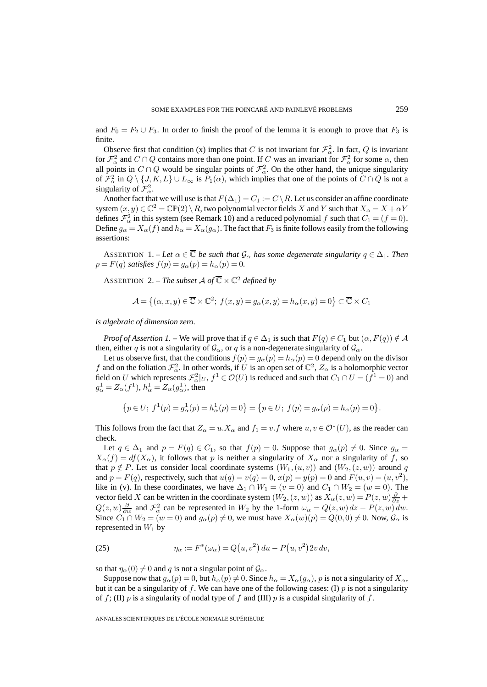and  $F_0 = F_2 \cup F_3$ . In order to finish the proof of the lemma it is enough to prove that  $F_3$  is finite.

Observe first that condition (x) implies that C is not invariant for  $\mathcal{F}_{\alpha}^2$ . In fact, Q is invariant for  $\mathcal{F}_\alpha^2$  and  $C \cap Q$  contains more than one point. If C was an invariant for  $\mathcal{F}_\alpha^2$  for some  $\alpha$ , then all points in  $C \cap Q$  would be singular points of  $\mathcal{F}_{\alpha}^2$ . On the other hand, the unique singularity of  $\mathcal{F}_\alpha^2$  in  $Q \setminus \{J, K, L\} \cup L_\infty$  is  $P_1(\alpha)$ , which implies that one of the points of  $C \cap Q$  is not a singularity of  $\mathcal{F}_{\alpha}^2$ .

Another fact that we will use is that  $F(\Delta_1) = C_1 := C \setminus R$ . Let us consider an affine coordinate system  $(x, y) \in \mathbb{C}^2 = \mathbb{CP}(2) \setminus R$ , two polynomial vector fields X and Y such that  $X_\alpha = X + \alpha Y$ defines  $\mathcal{F}_{\alpha}^2$  in this system (see Remark 10) and a reduced polynomial f such that  $C_1 = (f = 0)$ . Define  $g_{\alpha} = X_{\alpha}(f)$  and  $h_{\alpha} = X_{\alpha}(g_{\alpha})$ . The fact that  $F_3$  is finite follows easily from the following assertions:

ASSERTION 1. – Let  $\alpha \in \overline{\mathbb{C}}$  be such that  $\mathcal{G}_{\alpha}$  has some degenerate singularity  $q \in \Delta_1$ . Then  $p = F(q)$  *satisfies*  $f(p) = g_\alpha(p) = h_\alpha(p) = 0$ .

ASSERTION 2. – *The subset* A of  $\overline{\mathbb{C}} \times \mathbb{C}^2$  defined by

$$
\mathcal{A} = \left\{ (\alpha, x, y) \in \overline{\mathbb{C}} \times \mathbb{C}^2; \ f(x, y) = g_\alpha(x, y) = h_\alpha(x, y) = 0 \right\} \subset \overline{\mathbb{C}} \times C_1
$$

*is algebraic of dimension zero.*

*Proof of Assertion 1.* – We will prove that if  $q \in \Delta_1$  is such that  $F(q) \in C_1$  but  $(\alpha, F(q)) \notin \mathcal{A}$ then, either q is not a singularity of  $\mathcal{G}_{\alpha}$ , or q is a non-degenerate singularity of  $\mathcal{G}_{\alpha}$ .

Let us observe first, that the conditions  $f(p) = g_\alpha(p) = h_\alpha(p) = 0$  depend only on the divisor f and on the foliation  $\mathcal{F}_{\alpha}^2$ . In other words, if U is an open set of  $\mathbb{C}^2$ ,  $Z_{\alpha}$  is a holomorphic vector field on U which represents  $\mathcal{F}_{\alpha}^2|_U$ ,  $f^1 \in \mathcal{O}(U)$  is reduced and such that  $C_1 \cap U = (f^1 = 0)$  and  $g_{\alpha}^1 = Z_{\alpha}(f^1), h_{\alpha}^1 = Z_{\alpha}(g_{\alpha}^1)$ , then

$$
\{p \in U; \ f^1(p) = g^1_\alpha(p) = h^1_\alpha(p) = 0\} = \{p \in U; \ f(p) = g_\alpha(p) = h_\alpha(p) = 0\}.
$$

This follows from the fact that  $Z_{\alpha} = u \cdot X_{\alpha}$  and  $f_1 = v \cdot f$  where  $u, v \in \mathcal{O}^*(U)$ , as the reader can check.

Let  $q \in \Delta_1$  and  $p = F(q) \in C_1$ , so that  $f(p) = 0$ . Suppose that  $g_\alpha(p) \neq 0$ . Since  $g_\alpha =$  $X_{\alpha}(f) = df(X_{\alpha})$ , it follows that p is neither a singularity of  $X_{\alpha}$  nor a singularity of f, so that  $p \notin P$ . Let us consider local coordinate systems  $(W_1,(u, v))$  and  $(W_2,(z, w))$  around q and  $p = F(q)$ , respectively, such that  $u(q) = v(q) = 0$ ,  $x(p) = y(p) = 0$  and  $F(u, v) = (u, v^2)$ , like in (v). In these coordinates, we have  $\Delta_1 \cap W_1 = (v = 0)$  and  $C_1 \cap W_2 = (w = 0)$ . The vector field X can be written in the coordinate system  $(W_2,(z,w))$  as  $X_\alpha(z,w) = P(z,w) \frac{\partial}{\partial z} +$  $Q(z, w) \frac{\partial}{\partial w}$  and  $\mathcal{F}_\alpha^2$  can be represented in  $W_2$  by the 1-form  $\omega_\alpha = Q(z, w) dz - P(z, w) dw$ . Since  $C_1 \cap W_2 = (w = 0)$  and  $g_\alpha(p) \neq 0$ , we must have  $X_\alpha(w)(p) = Q(0, 0) \neq 0$ . Now,  $\mathcal{G}_\alpha$  is represented in  $W_1$  by

(25) 
$$
\eta_{\alpha} := F^*(\omega_{\alpha}) = Q(u, v^2) du - P(u, v^2) 2v dv,
$$

so that  $\eta_{\alpha}(0) \neq 0$  and q is not a singular point of  $\mathcal{G}_{\alpha}$ .

Suppose now that  $g_{\alpha}(p) = 0$ , but  $h_{\alpha}(p) \neq 0$ . Since  $h_{\alpha} = X_{\alpha}(g_{\alpha})$ , p is not a singularity of  $X_{\alpha}$ , but it can be a singularity of f. We can have one of the following cases: (I)  $p$  is not a singularity of f; (II) p is a singularity of nodal type of f and (III) p is a cuspidal singularity of f.

ANNALES SCIENTIFIQUES DE L'ÉCOLE NORMALE SUPÉRIEURE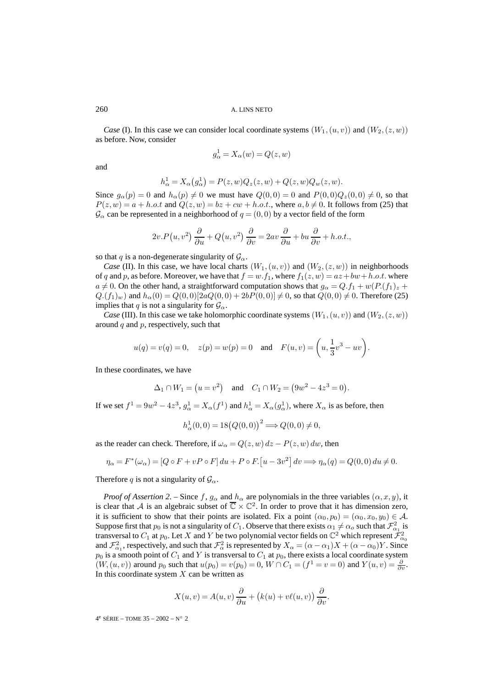*Case* (I). In this case we can consider local coordinate systems  $(W_1,(u, v))$  and  $(W_2,(z, w))$ as before. Now, consider

$$
g_{\alpha}^{1} = X_{\alpha}(w) = Q(z, w)
$$

and

$$
h^1_\alpha=X_\alpha\big(g^1_\alpha\big)=P(z,w)Q_z(z,w)+Q(z,w)Q_w(z,w).
$$

Since  $g_{\alpha}(p) = 0$  and  $h_{\alpha}(p) \neq 0$  we must have  $Q(0, 0) = 0$  and  $P(0, 0)Q_z(0, 0) \neq 0$ , so that  $P(z, w) = a + h.o.t$  and  $Q(z, w) = bz + cw + h.o.t.$ , where  $a, b \neq 0$ . It follows from (25) that  $\mathcal{G}_{\alpha}$  can be represented in a neighborhood of  $q = (0, 0)$  by a vector field of the form

$$
2v.P(u, v^{2}) \frac{\partial}{\partial u} + Q(u, v^{2}) \frac{\partial}{\partial v} = 2av \frac{\partial}{\partial u} + bu \frac{\partial}{\partial v} + h.o.t.,
$$

so that q is a non-degenerate singularity of  $\mathcal{G}_{\alpha}$ .

*Case* (II). In this case, we have local charts  $(W_1,(u, v))$  and  $(W_2,(z, w))$  in neighborhoods of q and p, as before. Moreover, we have that  $f = w.f_1$ , where  $f_1(z,w) = az + bw + h.o.t.$  where  $a \neq 0$ . On the other hand, a straightforward computation shows that  $g_{\alpha} = Q.f_1 + w(P.(f_1)_z +$  $Q.(f_1)_w)$  and  $h_\alpha(0) = Q(0,0)[2aQ(0,0) + 2bP(0,0)] \neq 0$ , so that  $Q(0,0) \neq 0$ . Therefore (25) implies that q is not a singularity for  $\mathcal{G}_{\alpha}$ .

*Case* (III). In this case we take holomorphic coordinate systems  $(W_1,(u, v))$  and  $(W_2,(z, w))$ around  $q$  and  $p$ , respectively, such that

$$
u(q)=v(q)=0,\quad z(p)=w(p)=0\quad \text{and}\quad F(u,v)=\bigg(u,\frac{1}{3}v^3-uv\bigg).
$$

In these coordinates, we have

$$
\Delta_1 \cap W_1 = (u = v^2)
$$
 and  $C_1 \cap W_2 = (9w^2 - 4z^3 = 0)$ .

If we set  $f^1 = 9w^2 - 4z^3$ ,  $g^1_\alpha = X_\alpha(f^1)$  and  $h^1_\alpha = X_\alpha(g^1_\alpha)$ , where  $X_\alpha$  is as before, then

$$
h^1_{\alpha}(0,0) = 18(Q(0,0))^{2} \Longrightarrow Q(0,0) \neq 0,
$$

as the reader can check. Therefore, if  $\omega_{\alpha} = Q(z,w) dz - P(z,w) dw$ , then

$$
\eta_{\alpha} = F^*(\omega_{\alpha}) = [Q \circ F + vP \circ F] du + P \circ F. [u - 3v^2] dv \Longrightarrow \eta_{\alpha}(q) = Q(0, 0) du \neq 0.
$$

Therefore q is not a singularity of  $\mathcal{G}_{\alpha}$ .

*Proof of Assertion 2.* – Since f,  $g_{\alpha}$  and  $h_{\alpha}$  are polynomials in the three variables  $(\alpha, x, y)$ , it is clear that A is an algebraic subset of  $\overline{\mathbb{C}} \times \mathbb{C}^2$ . In order to prove that it has dimension zero, it is sufficient to show that their points are isolated. Fix a point  $(\alpha_0, p_0)=(\alpha_0, x_0, y_0) \in \mathcal{A}$ . Suppose first that  $p_0$  is not a singularity of  $C_1$ . Observe that there exists  $\alpha_1 \neq \alpha_0$  such that  $\mathcal{F}_{\alpha_1}^2$  is transversal to  $C_1$  at  $p_0$ . Let X and Y be two polynomial vector fields on  $\mathbb{C}^2$  which represent  $\mathcal{F}_{\alpha_0}^2$ and  $\mathcal{F}_{\alpha_1}^2$ , respectively, and such that  $\mathcal{F}_{\alpha}^2$  is represented by  $X_\alpha = (\alpha - \alpha_1)X + (\alpha - \alpha_0)Y$ . Since  $p_0$  is a smooth point of  $C_1$  and Y is transversal to  $C_1$  at  $p_0$ , there exists a local coordinate system  $(W, (u, v))$  around  $p_0$  such that  $u(p_0) = v(p_0) = 0$ ,  $W \cap C_1 = (f^1 = v = 0)$  and  $Y(u, v) = \frac{\partial}{\partial v}$ . In this coordinate system  $X$  can be written as

$$
X(u, v) = A(u, v) \frac{\partial}{\partial u} + (k(u) + v\ell(u, v)) \frac{\partial}{\partial v}.
$$

4<sup>e</sup> SÉRIE – TOME 35 – 2002 – N° 2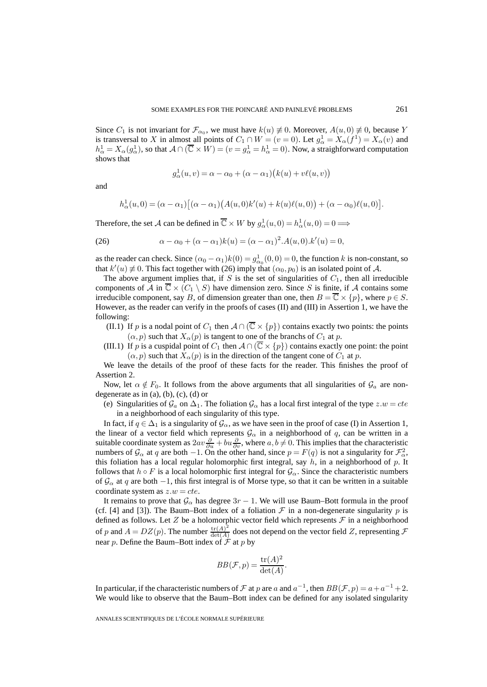Since  $C_1$  is not invariant for  $\mathcal{F}_{\alpha_0}$ , we must have  $k(u) \neq 0$ . Moreover,  $A(u, 0) \neq 0$ , because Y is transversal to X in almost all points of  $C_1 \cap W = (v = 0)$ . Let  $g^1_\alpha = X_\alpha(f^1) = X_\alpha(v)$  and  $h^1_\alpha = X_\alpha(g^1_\alpha)$ , so that  $A \cap (\overline{\mathbb{C}} \times W) = (v = g^1_\alpha = h^1_\alpha = 0)$ . Now, a straighforward computation shows that

$$
g_{\alpha}^{1}(u,v) = \alpha - \alpha_0 + (\alpha - \alpha_1)(k(u) + v\ell(u,v))
$$

and

$$
h^1_{\alpha}(u,0) = (\alpha - \alpha_1) [(\alpha - \alpha_1) (A(u,0)k'(u) + k(u)\ell(u,0)) + (\alpha - \alpha_0) \ell(u,0)].
$$

Therefore, the set A can be defined in  $\overline{\mathbb{C}} \times W$  by  $g^1_\alpha(u,0) = h^1_\alpha(u,0) = 0 \Longrightarrow$ 

(26) 
$$
\alpha - \alpha_0 + (\alpha - \alpha_1)k(u) = (\alpha - \alpha_1)^2.A(u, 0).k'(u) = 0,
$$

as the reader can check. Since  $(\alpha_0 - \alpha_1)k(0) = g^1_{\alpha_0}(0,0) = 0$ , the function k is non-constant, so that  $k'(u) \neq 0$ . This fact together with (26) imply that  $(\alpha_0, p_0)$  is an isolated point of A.

The above argument implies that, if  $S$  is the set of singularities of  $C_1$ , then all irreducible components of A in  $\overline{\mathbb{C}} \times (C_1 \setminus S)$  have dimension zero. Since S is finite, if A contains some irreducible component, say B, of dimension greater than one, then  $B = \overline{\mathbb{C}} \times \{p\}$ , where  $p \in S$ . However, as the reader can verify in the proofs of cases (II) and (III) in Assertion 1, we have the following:

- (II.1) If p is a nodal point of  $C_1$  then  $A \cap (\overline{C} \times \{p\})$  contains exactly two points: the points  $(\alpha, p)$  such that  $X_{\alpha}(p)$  is tangent to one of the branchs of  $C_1$  at p.
- (III.1) If p is a cuspidal point of  $C_1$  then  $A \cap (\overline{C} \times \{p\})$  contains exactly one point: the point  $(\alpha, p)$  such that  $X_{\alpha}(p)$  is in the direction of the tangent cone of  $C_1$  at p.

We leave the details of the proof of these facts for the reader. This finishes the proof of Assertion 2.

Now, let  $\alpha \notin F_0$ . It follows from the above arguments that all singularities of  $\mathcal{G}_a$  are nondegenerate as in  $(a)$ ,  $(b)$ ,  $(c)$ ,  $(d)$  or

(e) Singularities of  $\mathcal{G}_a$  on  $\Delta_1$ . The foliation  $\mathcal{G}_\alpha$  has a local first integral of the type  $z.w = cte$ in a neighborhood of each singularity of this type.

In fact, if  $q \in \Delta_1$  is a singularity of  $\mathcal{G}_{\alpha}$ , as we have seen in the proof of case (I) in Assertion 1, the linear of a vector field which represents  $\mathcal{G}_{\alpha}$  in a neighborhood of q, can be written in a suitable coordinate system as  $2av\frac{\partial}{\partial u} + bu\frac{\partial}{\partial v}$ , where  $a, b \neq 0$ . This implies that the characteristic numbers of  $\mathcal{G}_{\alpha}$  at q are both  $-1$ . On the other hand, since  $p = F(q)$  is not a singularity for  $\mathcal{F}_{\alpha}^2$ , this foliation has a local regular holomorphic first integral, say  $h$ , in a neighborhood of p. It follows that  $h \circ F$  is a local holomorphic first integral for  $\mathcal{G}_{\alpha}$ . Since the characteristic numbers of  $\mathcal{G}_{\alpha}$  at q are both −1, this first integral is of Morse type, so that it can be written in a suitable coordinate system as  $z.w = cte$ .

It remains to prove that  $\mathcal{G}_{\alpha}$  has degree  $3r - 1$ . We will use Baum–Bott formula in the proof (cf. [4] and [3]). The Baum–Bott index of a foliation  $\mathcal F$  in a non-degenerate singularity p is defined as follows. Let  $Z$  be a holomorphic vector field which represents  $\mathcal F$  in a neighborhood of p and  $A = DZ(p)$ . The number  $\frac{\text{tr}(A)^2}{\det(A)}$  does not depend on the vector field Z, representing  $\mathcal F$ near p. Define the Baum–Bott index of  $\mathcal F$  at p by

$$
BB(\mathcal{F}, p) = \frac{\text{tr}(A)^2}{\text{det}(A)}.
$$

In particular, if the characteristic numbers of  $\mathcal F$  at p are a and  $a^{-1}$ , then  $BB(\mathcal F, p) = a + a^{-1} + 2$ . We would like to observe that the Baum–Bott index can be defined for any isolated singularity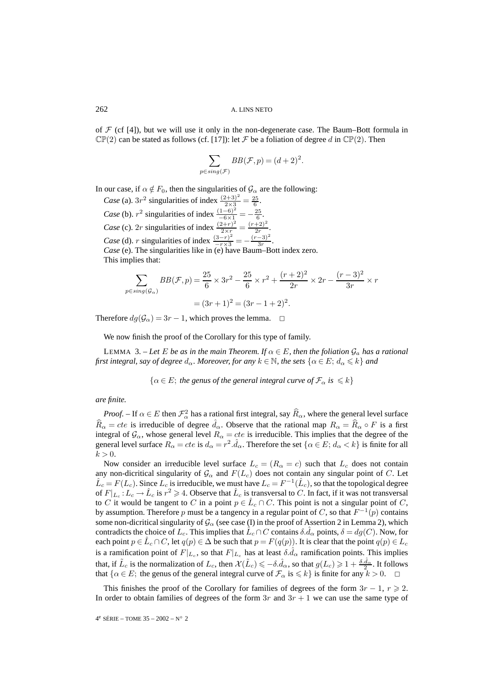of  $\mathcal F$  (cf [4]), but we will use it only in the non-degenerate case. The Baum–Bott formula in  $\mathbb{CP}(2)$  can be stated as follows (cf. [17]): let F be a foliation of degree d in  $\mathbb{CP}(2)$ . Then

$$
\sum_{p \in sing(\mathcal{F})} BB(\mathcal{F}, p) = (d+2)^2.
$$

In our case, if  $\alpha \notin F_0$ , then the singularities of  $\mathcal{G}_{\alpha}$  are the following:

*Case* (a).  $3r^2$  singularities of index  $\frac{(2+3)^2}{2\times 3} = \frac{25}{6}$ . *Case* (b).  $r^2$  singularities of index  $\frac{(1-6)^2}{-6 \times 1} = -\frac{25}{6}$ . *Case* (c). 2*r* singularities of index  $\frac{(2+r)^2}{2 \times r} = \frac{(r+2)^2}{2r}$ . *Case* (d). *r* singularities of index  $\frac{(3-r)^2}{-r \times 3} = -\frac{(r-3)^2}{3r}$ . *Case* (e). The singularities like in (e) have Baum–Bott index zero. This implies that:

$$
\sum_{p \in sing(\mathcal{G}_{\alpha})} BB(\mathcal{F}, p) = \frac{25}{6} \times 3r^2 - \frac{25}{6} \times r^2 + \frac{(r+2)^2}{2r} \times 2r - \frac{(r-3)^2}{3r} \times r
$$

$$
= (3r+1)^2 = (3r-1+2)^2.
$$

Therefore  $dg(\mathcal{G}_\alpha)=3r-1$ , which proves the lemma.  $\Box$ 

We now finish the proof of the Corollary for this type of family.

LEMMA 3. – Let E be as in the main Theorem. If  $\alpha \in E$ , then the foliation  $\mathcal{G}_a$  has a rational *first integral, say of degree*  $d_{\alpha}$ *. Moreover, for any*  $k \in \mathbb{N}$ *, the sets*  $\{\alpha \in E; d_{\alpha} \leq k\}$  *and* 

 $\{\alpha \in E$ ; the genus of the general integral curve of  $\mathcal{F}_{\alpha}$  is  $\leq k\}$ 

# *are finite.*

*Proof.* – If  $\alpha \in E$  then  $\mathcal{F}_\alpha^2$  has a rational first integral, say  $\widehat{R}_\alpha$ , where the general level surface  $\widehat{R}_{\alpha} = cte$  is irreducible of degree  $\widehat{d}_{\alpha}$ . Observe that the rational map  $R_{\alpha} = \widehat{R}_{\alpha} \circ F$  is a first integral of  $\mathcal{G}_{\alpha}$ , whose general level  $R_{\alpha} = cte$  is irreducible. This implies that the degree of the general level surface  $R_{\alpha} = cte$  is  $d_{\alpha} = r^2 \cdot \hat{d}_{\alpha}$ . Therefore the set  $\{\alpha \in E; d_{\alpha} < k\}$  is finite for all  $k > 0$ .

Now consider an irreducible level surface  $L_c = (R_\alpha = c)$  such that  $L_c$  does not contain any non-dicritical singularity of  $\mathcal{G}_{\alpha}$  and  $F(L_c)$  does not contain any singular point of C. Let  $\hat{L}_c = F(L_c)$ . Since  $L_c$  is irreducible, we must have  $L_c = F^{-1}(\hat{L}_c)$ , so that the topological degree of  $F|_{L_c} : L_c \to \hat{L}_c$  is  $r^2 \ge 4$ . Observe that  $\hat{L}_c$  is transversal to C. In fact, if it was not transversal to C it would be tangent to C in a point  $p \in \hat{L}_c \cap C$ . This point is not a singular point of C, by assumption. Therefore p must be a tangency in a regular point of C, so that  $F^{-1}(p)$  contains some non-dicritical singularity of  $\mathcal{G}_{\alpha}$  (see case (I) in the proof of Assertion 2 in Lemma 2), which contradicts the choice of  $L_c$ . This implies that  $\hat{L}_c \cap C$  contains  $\delta \hat{d}_\alpha$  points,  $\delta = dg(C)$ . Now, for each point  $p \in L_c \cap C$ , let  $q(p) \in \Delta$  be such that  $p = F(q(p))$ . It is clear that the point  $q(p) \in L_c$ is a ramification point of  $F|_{L_c}$ , so that  $F|_{L_c}$  has at least  $\delta \hat{d}_{\alpha}$  ramification points. This implies that, if  $\tilde{L}_c$  is the normalization of  $L_c$ , then  $\mathcal{X}(\tilde{L}_c) \leqslant -\delta \hat{d}_\alpha$ , so that  $g(L_c) \geqslant 1 + \frac{\delta \hat{d}_\alpha}{2}$ . It follows that  $\{\alpha \in E$ ; the genus of the general integral curve of  $\mathcal{F}_{\alpha}$  is  $\leq k\}$  is finite for any  $k > 0$ .  $\Box$ 

This finishes the proof of the Corollary for families of degrees of the form  $3r - 1$ ,  $r \ge 2$ . In order to obtain families of degrees of the form  $3r$  and  $3r + 1$  we can use the same type of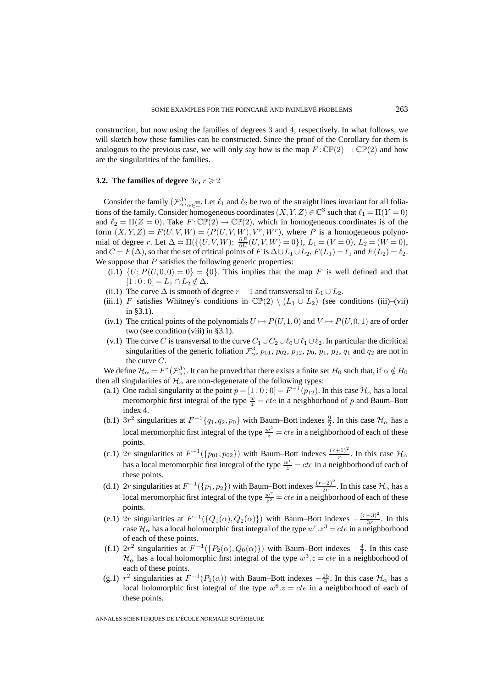construction, but now using the families of degrees 3 and 4, respectively. In what follows, we will sketch how these families can be constructed. Since the proof of the Corollary for them is analogous to the previous case, we will only say how is the map  $F : \mathbb{CP}(2) \to \mathbb{CP}(2)$  and how are the singularities of the families.

# **3.2.** The families of degree  $3r, r \geqslant 2$

Consider the family  $(\mathcal{F}_{\alpha}^3)_{\alpha \in \overline{\mathbb{C}}}$ . Let  $\ell_1$  and  $\ell_2$  be two of the straight lines invariant for all foliations of the family. Consider homogeneous coordinates  $(X, Y, Z) \in \mathbb{C}^3$  such that  $\ell_1 = \Pi(Y = 0)$ and  $\ell_2 = \Pi(Z = 0)$ . Take  $F : \mathbb{CP}(2) \to \mathbb{CP}(2)$ , which in homogeneous coordinates is of the form  $(X, Y, Z) = F(U, V, W) = (P(U, V, W), V^r, W^r)$ , where P is a homogeneous polynomial of degree r. Let  $\Delta = \Pi(\{(U, V, W); \ \frac{\partial P}{\partial U}(U, V, W) = 0\})$ ,  $L_1 = (V = 0)$ ,  $L_2 = (W = 0)$ , and  $C = F(\Delta)$ , so that the set of critical points of F is  $\Delta \cup L_1 \cup L_2$ ,  $F(L_1) = \ell_1$  and  $F(L_2) = \ell_2$ . We suppose that  $P$  satisfies the following generic properties:

- (i.1)  $\{U; P(U, 0, 0) = 0\} = \{0\}$ . This implies that the map F is well defined and that  $[1 : 0 : 0] = L_1 \cap L_2 \notin \Delta.$
- (ii.1) The curve  $\Delta$  is smooth of degree  $r 1$  and transversal to  $L_1 \cup L_2$ .
- (iii.1) F satisfies Whitney's conditions in  $\mathbb{CP}(2) \setminus (L_1 \cup L_2)$  (see conditions (iii)–(vii) in §3.1).
- (iv.1) The critical points of the polynomials  $U \mapsto P(U, 1, 0)$  and  $V \mapsto P(U, 0, 1)$  are of order two (see condition (viii) in §3.1).
- (v.1) The curve C is transversal to the curve  $C_1 \cup C_2 \cup \ell_0 \cup \ell_1 \cup \ell_2$ . In particular the dicritical singularities of the generic foliation  $\mathcal{F}_{\alpha}^3$ ,  $p_{01}$ ,  $p_{02}$ ,  $p_{12}$ ,  $p_0$ ,  $p_1$ ,  $p_2$ ,  $q_1$  and  $q_2$  are not in the curve C.

We define  $\mathcal{H}_\alpha = F^*(\mathcal{F}_\alpha^3)$ . It can be proved that there exists a finite set  $H_0$  such that, if  $\alpha \notin H_0$ then all singularities of  $\mathcal{H}_{\alpha}$  are non-degenerate of the following types:

- (a.1) One radial singularity at the point  $p = [1:0:0] = F^{-1}(p_{12})$ . In this case  $\mathcal{H}_{\alpha}$  has a local meromorphic first integral of the type  $\frac{w}{z} = cte$  in a neighborhood of p and Baum–Bott index 4.
- (b.1)  $3r^2$  singularities at  $F^{-1}{q_1, q_2, p_0}$  with Baum–Bott indexes  $\frac{9}{2}$ . In this case  $\mathcal{H}_{\alpha}$  has a local meromorphic first integral of the type  $\frac{w^2}{z} = cte$  in a neighborhood of each of these points.
- (c.1) 2r singularities at  $F^{-1}(\{p_{01}, p_{02}\})$  with Baum–Bott indexes  $\frac{(r+1)^2}{r}$ . In this case  $\mathcal{H}_{\alpha}$ has a local meromorphic first integral of the type  $\frac{w^r}{z} = cte$  in a neighborhood of each of these points.
- (d.1) 2r singularities at  $F^{-1}(\{p_1, p_2\})$  with Baum–Bott indexes  $\frac{(r+2)^2}{2r}$ . In this case  $\mathcal{H}_{\alpha}$  has a local meromorphic first integral of the type  $\frac{w^r}{z^2} = cte$  in a neighborhood of each of these points.
- (e.1) 2r singularities at  $F^{-1}(\{Q_1(\alpha), Q_2(\alpha)\})$  with Baum–Bott indexes  $-\frac{(r-3)^2}{3r}$ . In this case  $\mathcal{H}_{\alpha}$  has a local holomorphic first integral of the type  $w^r.z^3 = cte$  in a neighborhood of each of these points.
- (f.1)  $2r^2$  singularities at  $F^{-1}(\lbrace P_2(\alpha), Q_0(\alpha) \rbrace)$  with Baum–Bott indexes  $-\frac{4}{3}$ . In this case  $\mathcal{H}_{\alpha}$  has a local holomorphic first integral of the type  $w^{3}.z = cte$  in a neighborhood of each of these points.
- (g.1)  $r^2$  singularities at  $F^{-1}(P_1(\alpha))$  with Baum–Bott indexes  $-\frac{25}{6}$ . In this case  $\mathcal{H}_{\alpha}$  has a local holomorphic first integral of the type  $w^6.z = cte$  in a neighborhood of each of these points.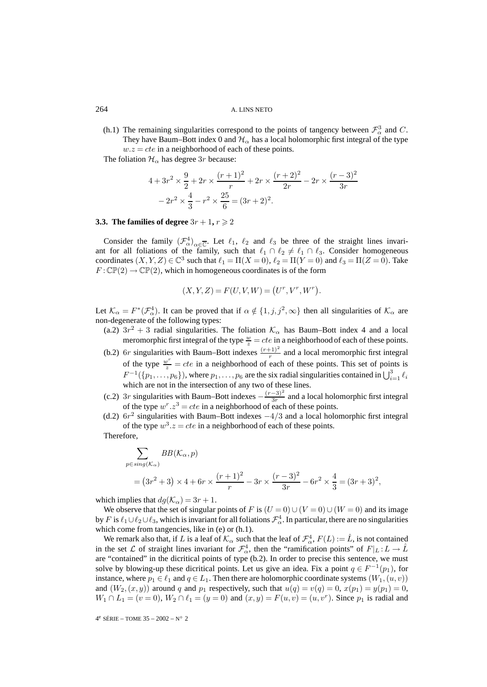(h.1) The remaining singularities correspond to the points of tangency between  $\mathcal{F}^3_\alpha$  and C. They have Baum–Bott index 0 and  $\mathcal{H}_{\alpha}$  has a local holomorphic first integral of the type  $w.z = cte$  in a neighborhood of each of these points.

The foliation  $\mathcal{H}_{\alpha}$  has degree 3r because:

$$
4 + 3r^2 \times \frac{9}{2} + 2r \times \frac{(r+1)^2}{r} + 2r \times \frac{(r+2)^2}{2r} - 2r \times \frac{(r-3)^2}{3r}
$$

$$
-2r^2 \times \frac{4}{3} - r^2 \times \frac{25}{6} = (3r+2)^2.
$$

# **3.3.** The families of degree  $3r + 1$ ,  $r \geqslant 2$

Consider the family  $(\mathcal{F}_{\alpha}^4)_{\alpha \in \overline{\mathbb{C}}}$ . Let  $\ell_1$ ,  $\ell_2$  and  $\ell_3$  be three of the straight lines invariant for all foliations of the family, such that  $\ell_1 \cap \ell_2 \neq \ell_1 \cap \ell_3$ . Consider homogeneous coordinates  $(X, Y, Z) \in \mathbb{C}^3$  such that  $\ell_1 = \Pi(X = 0)$ ,  $\ell_2 = \Pi(Y = 0)$  and  $\ell_3 = \Pi(Z = 0)$ . Take  $F: \mathbb{CP}(2) \to \mathbb{CP}(2)$ , which in homogeneous coordinates is of the form

$$
(X, Y, Z) = F(U, V, W) = (U^r, V^r, W^r).
$$

Let  $\mathcal{K}_{\alpha} = F^*(\mathcal{F}_{\alpha}^4)$ . It can be proved that if  $\alpha \notin \{1, j, j^2, \infty\}$  then all singularities of  $\mathcal{K}_{\alpha}$  are non-degenerate of the following types:

- (a.2)  $3r^2 + 3$  radial singularities. The foliation  $\mathcal{K}_{\alpha}$  has Baum–Bott index 4 and a local meromorphic first integral of the type  $\frac{w}{z} = cte$  in a neighborhood of each of these points.
- (b.2) 6r singularities with Baum–Bott indexes  $\frac{(r+1)^2}{r}$  and a local meromorphic first integral of the type  $\frac{w^r}{z} = cte$  in a neighborhood of each of these points. This set of points is  $F^{-1}(\{p_1,\ldots,p_6\})$ , where  $p_1,\ldots,p_6$  are the six radial singularities contained in  $\bigcup_{i=1}^3 \ell_i$ which are not in the intersection of any two of these lines.
- (c.2) 3r singularities with Baum–Bott indexes  $-\frac{(r-3)^2}{3r}$  and a local holomorphic first integral of the type  $w^r \cdot z^3 = cte$  in a neighborhood of each of these points.
- (d.2)  $6r^2$  singularities with Baum–Bott indexes  $-4/3$  and a local holomorphic first integral of the type  $w^3 \text{.} z = cte$  in a neighborhood of each of these points.

Therefore,

$$
\sum_{p \in sing(K_{\alpha})} BB(K_{\alpha}, p)
$$
  
=  $(3r^2 + 3) \times 4 + 6r \times \frac{(r+1)^2}{r} - 3r \times \frac{(r-3)^2}{3r} - 6r^2 \times \frac{4}{3} = (3r+3)^2$ ,

which implies that  $dg(\mathcal{K}_{\alpha})=3r+1$ .

We observe that the set of singular points of F is  $(U = 0) \cup (V = 0) \cup (W = 0)$  and its image by F is  $\ell_1\cup\ell_2\cup\ell_3$ , which is invariant for all foliations  $\mathcal{F}_\alpha^4$ . In particular, there are no singularities which come from tangencies, like in (e) or (h.1).

We remark also that, if L is a leaf of  $\mathcal{K}_\alpha$  such that the leaf of  $\mathcal{F}_\alpha^4$ ,  $F(L) := \hat{L}$ , is not contained in the set L of straight lines invariant for  $\mathcal{F}_{\alpha}^4$ , then the "ramification points" of  $F|_L : L \to \hat{L}$ are "contained" in the dicritical points of type (b.2). In order to precise this sentence, we must solve by blowing-up these dicritical points. Let us give an idea. Fix a point  $q \in F^{-1}(p_1)$ , for instance, where  $p_1 \in \ell_1$  and  $q \in L_1$ . Then there are holomorphic coordinate systems  $(W_1, (u, v))$ and  $(W_2,(x,y))$  around q and  $p_1$  respectively, such that  $u(q) = v(q) = 0$ ,  $x(p_1) = y(p_1) = 0$ ,  $W_1 \cap L_1 = (v = 0), W_2 \cap L_1 = (y = 0)$  and  $(x, y) = F(u, v) = (u, v^r)$ . Since  $p_1$  is radial and

4e SÉRIE – TOME 35 – 2002 – N◦ 2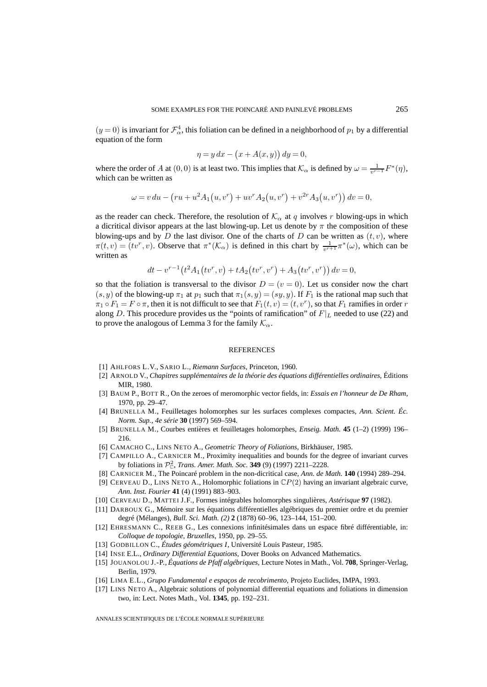$(y=0)$  is invariant for  $\mathcal{F}_{\alpha}^4$ , this foliation can be defined in a neighborhood of  $p_1$  by a differential equation of the form

$$
\eta = y \, dx - \left(x + A(x, y)\right) dy = 0,
$$

where the order of A at  $(0,0)$  is at least two. This implies that  $\mathcal{K}_{\alpha}$  is defined by  $\omega = \frac{1}{v^{r-1}} F^*(\eta)$ , which can be written as

$$
\omega = v du - \left( ru + u^2 A_1(u, v^r) + uv^r A_2(u, v^r) + v^{2r} A_3(u, v^r) \right) dv = 0,
$$

as the reader can check. Therefore, the resolution of  $K_{\alpha}$  at q involves r blowing-ups in which a dicritical divisor appears at the last blowing-up. Let us denote by  $\pi$  the composition of these blowing-ups and by D the last divisor. One of the charts of D can be written as  $(t, v)$ , where  $\pi(t, v) = (tv^r, v)$ . Observe that  $\pi^*(\mathcal{K}_\alpha)$  is defined in this chart by  $\frac{1}{v^{r+1}} \pi^*(\omega)$ , which can be written as

$$
dt - v^{r-1}(t^2 A_1(tv^r, v) + t A_2(tv^r, v^r) + A_3(tv^r, v^r)) dv = 0,
$$

so that the foliation is transversal to the divisor  $D = (v = 0)$ . Let us consider now the chart  $(s, y)$  of the blowing-up  $\pi_1$  at  $p_1$  such that  $\pi_1(s, y)=(sy, y)$ . If  $F_1$  is the rational map such that  $\pi_1 \circ F_1 = F \circ \pi$ , then it is not difficult to see that  $F_1(t, v) = (t, v^r)$ , so that  $F_1$  ramifies in order r along D. This procedure provides us the "points of ramification" of  $F|_L$  needed to use (22) and to prove the analogous of Lemma 3 for the family  $\mathcal{K}_{\alpha}$ .

#### **REFERENCES**

- [1] AHLFORS L.V., SARIO L., *Riemann Surfaces*, Princeton, 1960.
- [2] ARNOLD V., *Chapitres supplémentaires de la théorie des équations différentielles ordinaires*, Éditions MIR, 1980.
- [3] BAUM P., BOTT R., On the zeroes of meromorphic vector fields, in: *Essais en l'honneur de De Rham*, 1970, pp. 29–47.
- [4] BRUNELLA M., Feuilletages holomorphes sur les surfaces complexes compactes, *Ann. Scient. Éc. Norm. Sup., 4e série* **30** (1997) 569–594.
- [5] BRUNELLA M., Courbes entières et feuilletages holomorphes, *Enseig. Math.* **45** (1–2) (1999) 196– 216.
- [6] CAMACHO C., LINS NETO A., *Geometric Theory of Foliations*, Birkhäuser, 1985.
- [7] CAMPILLO A., CARNICER M., Proximity inequalities and bounds for the degree of invariant curves by foliations in <sup>P</sup><sup>2</sup> <sup>C</sup>, *Trans. Amer. Math. Soc.* **349** (9) (1997) 2211–2228.
- [8] CARNICER M., The Poincaré problem in the non-dicritical case, *Ann. de Math.* **140** (1994) 289–294.
- [9] CERVEAU D., LINS NETO A., Holomorphic foliations in  $\mathbb{C}P(2)$  having an invariant algebraic curve, *Ann. Inst. Fourier* **41** (4) (1991) 883–903.
- [10] CERVEAU D., MATTEI J.F., Formes intégrables holomorphes singulières, *Astérisque* **97** (1982).
- [11] DARBOUX G., Mémoire sur les équations différentielles algébriques du premier ordre et du premier degré (Mélanges), *Bull. Sci. Math. (2)* **2** (1878) 60–96, 123–144, 151–200.
- [12] EHRESMANN C., REEB G., Les connexions infinitésimales dans un espace fibré différentiable, in: *Colloque de topologie, Bruxelles*, 1950, pp. 29–55.
- [13] GODBILLON C., *Études géométriques I*, Université Louis Pasteur, 1985.
- [14] INSE E.L., *Ordinary Differential Equations*, Dover Books on Advanced Mathematics.
- [15] JOUANOLOU J.-P., *Équations de Pfaff algébriques*, Lecture Notes in Math., Vol. **708**, Springer-Verlag, Berlin, 1979.
- [16] LIMA E.L., *Grupo Fundamental e espaços de recobrimento*, Projeto Euclides, IMPA, 1993.
- [17] LINS NETO A., Algebraic solutions of polynomial differential equations and foliations in dimension two, in: Lect. Notes Math., Vol. **1345**, pp. 192–231.

ANNALES SCIENTIFIQUES DE L'ÉCOLE NORMALE SUPÉRIEURE